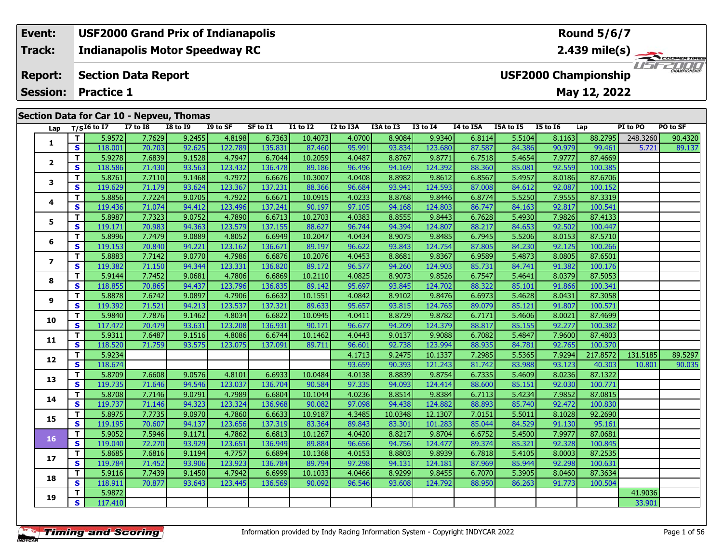#### **Event: USF2000 Grand Prix of Indianapolis Round 5/6/7Indianapolis Motor Speedway RC 2.439 mile(s) Track:** ER TIRES USF2000 **Section Data Report Report: USF2000 Championship Session:May 12, 2022 Practice 1 Section Data for Car 10 - Nepveu, Thomas**

|                |              |               | $\frac{1}{2}$ | см, пропис      |          |          |                 |           |           |                 |           |           |                 |          |          |          |
|----------------|--------------|---------------|---------------|-----------------|----------|----------|-----------------|-----------|-----------|-----------------|-----------|-----------|-----------------|----------|----------|----------|
| Lap            |              | $T/SI6$ to I7 | $I7$ to $I8$  | <b>I8 to I9</b> | I9 to SF | SF to I1 | <b>I1 to I2</b> | I2 to I3A | I3A to I3 | <b>I3 to I4</b> | I4 to I5A | I5A to I5 | <b>I5 to 16</b> | Lap      | PI to PO | PO to SF |
| 1              | $\mathbf{T}$ | 5.9572        | 7.7629        | 9.2455          | 4.8198   | 6.7363   | 10.4073         | 4.0700    | 8.9084    | 9.9340          | 6.8114    | 5.5104    | 8.1163          | 88.2795  | 248,3260 | 90.4320  |
|                | $\mathbf{s}$ | 118.001       | 70.703        | 92.625          | 122.789  | 135.831  | 87.460          | 95.991    | 93.834    | 123.680         | 87.587    | 84.386    | 90.979          | 99.461   | 5.721    | 89.137   |
| $\overline{2}$ | $\mathbf{T}$ | 5.9278        | 7.6839        | 9.1528          | 4.7947   | 6.7044   | 10.2059         | 4.0487    | 8.8767    | 9.8771          | 6.7518    | 5.4654    | 7.9777          | 87.4669  |          |          |
|                | $\mathbf{s}$ | 118.586       | 71.430        | 93.563          | 123.432  | 136.478  | 89.186          | 96.496    | 94.169    | 124.392         | 88.360    | 85.081    | 92.559          | 100.385  |          |          |
| 3              | $\mathbf{T}$ | 5.8761        | 7.7110        | 9.1468          | 4.7972   | 6.6676   | 10.3007         | 4.0408    | 8.8982    | 9.8612          | 6.8567    | 5.4957    | 8.0186          | 87.6706  |          |          |
|                | $\mathbf{s}$ | 119.629       | 71.179        | 93.624          | 123.367  | 137.231  | 88.366          | 96.684    | 93.941    | 124.593         | 87.008    | 84.612    | 92.087          | 100.152  |          |          |
| 4              | $\mathbf{T}$ | 5.8856        | 7.7224        | 9.0705          | 4.7922   | 6.6671   | 10.0915         | 4.0233    | 8.8768    | 9.8446          | 6.8774    | 5.5250    | 7.9555          | 87.3319  |          |          |
|                | S            | 119.436       | 71.074        | 94.412          | 123.496  | 137.241  | 90.197          | 97.105    | 94.168    | 124.803         | 86.747    | 84.163    | 92.817          | 100.541  |          |          |
| 5              | $\mathbf T$  | 5.8987        | 7.7323        | 9.0752          | 4.7890   | 6.6713   | 10.2703         | 4.0383    | 8.8555    | 9.8443          | 6.7628    | 5.4930    | 7.9826          | 87.4133  |          |          |
|                | <b>S</b>     | 119.171       | 70.983        | 94.363          | 123.579  | 137.155  | 88.627          | 96.744    | 94.394    | 124.807         | 88.217    | 84.653    | 92.502          | 100.447  |          |          |
| 6              | T            | 5.8996        | 7.7479        | 9.0889          | 4.8052   | 6.6949   | 10.2047         | 4.0434    | 8.9075    | 9.8485          | 6.7945    | 5.5206    | 8.0153          | 87.5710  |          |          |
|                | $\mathbf{s}$ | 119.153       | 70.840        | 94.221          | 123.162  | 136.671  | 89.197          | 96.622    | 93.843    | 124.754         | 87.805    | 84.230    | 92.125          | 100.266  |          |          |
|                | $\mathbf{T}$ | 5.8883        | 7.7142        | 9.0770          | 4.7986   | 6.6876   | 10.2076         | 4.0453    | 8.8681    | 9.8367          | 6.9589    | 5.4873    | 8.0805          | 87.6501  |          |          |
| 7              | $\mathbf{s}$ | 119.382       | 71.150        | 94.344          | 123.331  | 136.820  | 89.172          | 96.577    | 94.260    | 124.903         | 85.731    | 84.741    | 91.382          | 100.176  |          |          |
|                | $\mathbf{T}$ | 5.9144        | 7.7452        | 9.0681          | 4.7806   | 6.6869   | 10.2110         | 4.0825    | 8.9073    | 9.8526          | 6.7547    | 5.4641    | 8.0379          | 87.5053  |          |          |
| 8              | $\mathbf{s}$ | 118.855       | 70.865        | 94.437          | 123.796  | 136.835  | 89.142          | 95.697    | 93.845    | 124.702         | 88.322    | 85.101    | 91.866          | 100.341  |          |          |
|                | $\mathbf T$  | 5.8878        | 7.6742        | 9.0897          | 4.7906   | 6.6632   | 10.1551         | 4.0842    | 8.9102    | 9.8476          | 6.6973    | 5.4628    | 8.0431          | 87.3058  |          |          |
| 9              | $\mathbf{s}$ | 119.392       | 71.521        | 94.213          | 123.537  | 137.321  | 89.633          | 95.657    | 93.815    | 124.765         | 89.079    | 85.121    | 91.807          | 100.571  |          |          |
|                | $\mathbf{T}$ | 5.9840        | 7.7876        | 9.1462          | 4.8034   | 6.6822   | 10.0945         | 4.0411    | 8.8729    | 9.8782          | 6.7171    | 5.4606    | 8.0021          | 87.4699  |          |          |
| 10             | S            | 117.472       | 70.479        | 93.631          | 123.208  | 136.931  | 90.171          | 96.677    | 94.209    | 124.379         | 88.817    | 85.155    | 92.277          | 100.382  |          |          |
|                | $\mathbf{T}$ | 5.9311        | 7.6487        | 9.1516          | 4.8086   | 6.6744   | 10.1462         | 4.0443    | 9.0137    | 9.9088          | 6.7082    | 5.4847    | 7.9600          | 87.4803  |          |          |
| 11             | $\mathbf{s}$ | 118.520       | 71.759        | 93.575          | 123.075  | 137.091  | 89.711          | 96.601    | 92.738    | 123.994         | 88.935    | 84.781    | 92.765          | 100.370  |          |          |
|                | $\mathbf T$  | 5.9234        |               |                 |          |          |                 | 4.1713    | 9.2475    | 10.1337         | 7.2985    | 5.5365    | 7.9294          | 217.8572 | 131.5185 | 89.5297  |
| 12             | $\mathbf{s}$ | 118.674       |               |                 |          |          |                 | 93.659    | 90.393    | 121.243         | 81.742    | 83.988    | 93.123          | 40.303   | 10.801   | 90.035   |
|                | $\mathbf{T}$ | 5.8709        | 7.6608        | 9.0576          | 4.8101   | 6.6933   | 10.0484         | 4.0138    | 8.8839    | 9.8754          | 6.7335    | 5.4609    | 8.0236          | 87.1322  |          |          |
| 13             | $\mathbf{s}$ | 119.735       | 71.646        | 94.546          | 123.037  | 136.704  | 90.584          | 97.335    | 94.093    | 124.414         | 88.600    | 85.151    | 92.030          | 100.771  |          |          |
|                | $\mathbf{T}$ | 5.8708        | 7.7146        | 9.0791          | 4.7989   | 6.6804   | 10.1044         | 4.0236    | 8.8514    | 9.8384          | 6.7113    | 5.4234    | 7.9852          | 87.0815  |          |          |
| 14             | $\mathbf{s}$ | 119.737       | 71.146        | 94.323          | 123.324  | 136.968  | 90.082          | 97.098    | 94.438    | 124.882         | 88.893    | 85.740    | 92.472          | 100.830  |          |          |
|                | Т            | 5.8975        | 7.7735        | 9.0970          | 4.7860   | 6.6633   | 10.9187         | 4.3485    | 10.0348   | 12.1307         | 7.0151    | 5.5011    | 8.1028          | 92.2690  |          |          |
| 15             | S            | 119.195       | 70.607        | 94.137          | 123.656  | 137.319  | 83.364          | 89.843    | 83.301    | 101.283         | 85.044    | 84.529    | 91.130          | 95.161   |          |          |
|                | $\mathbf{T}$ | 5.9052        | 7.5946        | 9.1171          | 4.7862   | 6.6813   | 10.1267         | 4.0420    | 8.8217    | 9.8704          | 6.6752    | 5.4500    | 7.9977          | 87.0681  |          |          |
| 16             | S            | 119.040       | 72.270        | 93.929          | 123.651  | 136.949  | 89.884          | 96.656    | 94.756    | 124.477         | 89.374    | 85.321    | 92.328          | 100.845  |          |          |
|                | $\mathbf T$  | 5.8685        | 7.6816        | 9.1194          | 4.7757   | 6.6894   | 10.1368         | 4.0153    | 8.8803    | 9.8939          | 6.7818    | 5.4105    | 8.0003          | 87.2535  |          |          |
| 17             | $\mathbf{s}$ | 119.784       | 71.452        | 93.906          | 123.923  | 136.784  | 89.794          | 97.298    | 94.131    | 124.181         | 87.969    | 85.944    | 92.298          | 100.631  |          |          |
|                | $\mathbf T$  | 5.9116        | 7.7439        | 9.1450          | 4.7942   | 6.6999   | 10.1033         | 4.0466    | 8.9299    | 9.8455          | 6.7070    | 5.3905    | 8.0460          | 87.3634  |          |          |
| 18             | $\mathbf{s}$ | 118.911       | 70.877        | 93.643          | 123.445  | 136.569  | 90.092          | 96.546    | 93.608    | 124.792         | 88.950    | 86.263    | 91.773          | 100.504  |          |          |
|                | $\mathbf T$  | 5.9872        |               |                 |          |          |                 |           |           |                 |           |           |                 |          | 41.9036  |          |
| 19             | $\mathbf{s}$ | 117.410       |               |                 |          |          |                 |           |           |                 |           |           |                 |          | 33.901   |          |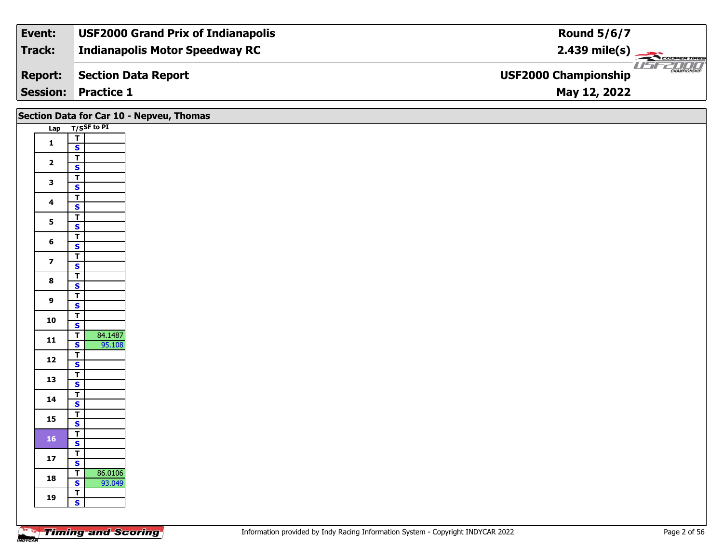| Event:         | <b>USF2000 Grand Prix of Indianapolis</b> | <b>Round 5/6/7</b>                                     |
|----------------|-------------------------------------------|--------------------------------------------------------|
| Track:         | <b>Indianapolis Motor Speedway RC</b>     | $2.439$ mile(s)                                        |
| <b>Report:</b> | Section Data Report                       | <b>THE CHAMPIONSHIP</b><br><b>USF2000 Championship</b> |
|                | <b>Session: Practice 1</b>                | May 12, 2022                                           |

|                         |                                                   | Section Data for Car 10 - Nepveu, Thomas |
|-------------------------|---------------------------------------------------|------------------------------------------|
|                         | Lap T/SSF to PI                                   |                                          |
| $\mathbf{1}$            | $\frac{1}{s}$                                     |                                          |
|                         | $\overline{\mathsf{T}}$                           |                                          |
| $\overline{\mathbf{2}}$ | $\overline{\mathbf{s}}$                           |                                          |
| $\mathbf{3}$            | $\overline{\mathbf{r}}$                           |                                          |
|                         | $\overline{\mathbf{s}}$                           |                                          |
| $\overline{\mathbf{4}}$ | $\overline{\mathsf{T}}$<br>$\mathbf{s}$           |                                          |
|                         | $\overline{\mathbf{r}}$                           |                                          |
| $5\phantom{a}$          | $\overline{\mathbf{s}}$                           |                                          |
| 6                       | $\overline{\mathsf{T}}$                           |                                          |
|                         | $\mathsf{s}$<br>$\overline{\mathbf{r}}$           |                                          |
| $\overline{\mathbf{z}}$ | $\mathbf{s}$                                      |                                          |
| $\bf{8}$                | $\overline{\mathbf{r}}$                           |                                          |
|                         | $\overline{\mathbf{s}}$                           |                                          |
| $\boldsymbol{9}$        | $\overline{\mathsf{T}}$<br>$\mathsf{s}$           |                                          |
|                         |                                                   |                                          |
| 10                      | $rac{1}{s}$                                       |                                          |
| $11$                    | 84.1487<br>$\overline{\mathbf{r}}$                |                                          |
|                         | $\mathbf{s}$<br>95.108<br>$\overline{\mathsf{T}}$ |                                          |
| $12$                    | $\overline{\mathbf{s}}$                           |                                          |
| 13                      | $rac{1}{s}$                                       |                                          |
|                         |                                                   |                                          |
| 14                      | $\overline{\mathsf{T}}$<br>$\mathsf{s}$           |                                          |
|                         | $\overline{\mathbf{r}}$                           |                                          |
| 15                      | $\overline{\mathbf{s}}$                           |                                          |
| $161$                   | $\overline{I}$                                    |                                          |
|                         | $\mathsf{s}$                                      |                                          |
| ${\bf 17}$              | $rac{1}{s}$                                       |                                          |
| 18                      | 86.0106<br>$\overline{1}$                         |                                          |
|                         | $\mathbf{s}$<br>93.049                            |                                          |
| 19                      | $\frac{T}{S}$                                     |                                          |
|                         |                                                   |                                          |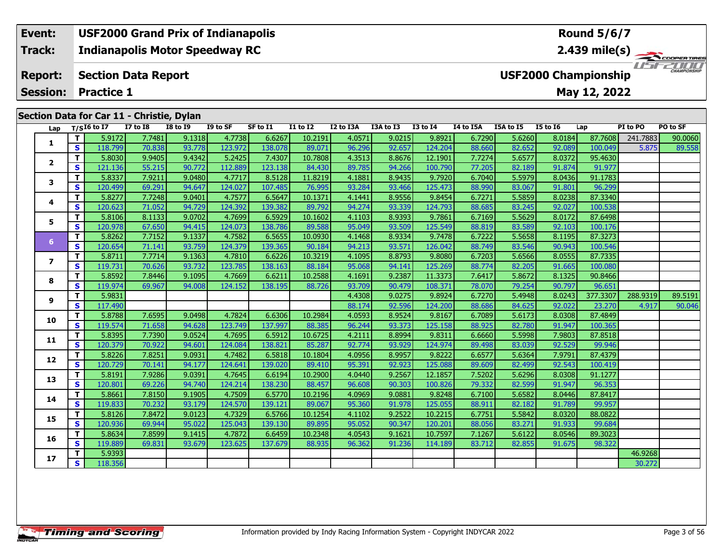#### **Event: USF2000 Grand Prix of Indianapolis Round 5/6/7Indianapolis Motor Speedway RC 2.439 mile(s) Track:**  $\sim$  COOF **PERTIRES** USFZUUD **Report: Section Data Report USF2000 Championship May 12, 2022 Session: Practice 1 Section Data for Car 11 - Christie, Dylan**

| Lap            |              | $T/SI6$ to I7 | <b>I7 to I8</b> | <b>I8 to 19</b> | I9 to SF | SF to I1 | <b>I1 to I2</b> | I2 to I3A | I3A to I3 | <b>I3 to I4</b> | I4 to I5A | I5A to I5 | <b>I5 to 16</b> | Lap      | PI to PO | PO to SF |
|----------------|--------------|---------------|-----------------|-----------------|----------|----------|-----------------|-----------|-----------|-----------------|-----------|-----------|-----------------|----------|----------|----------|
|                | T.           | 5.9172        | 7.7481          | 9.1318          | 4.7738   | 6.6267   | 10.2191         | 4.0571    | 9.0215    | 9.8921          | 6.7290    | 5.6260    | 8.0184          | 87.7608  | 241.7883 | 90.0060  |
| 1              | $\mathbf{s}$ | 118.799       | 70.838          | 93.778          | 123.972  | 138.078  | 89.071          | 96.296    | 92.657    | 124.204         | 88.660    | 82.652    | 92.089          | 100.049  | 5.875    | 89.558   |
|                | T            | 5.8030        | 9.9405          | 9.4342          | 5.2425   | 7.4307   | 10.7808         | 4.3513    | 8.8676    | 12.1901         | 7.7274    | 5.6577    | 8.0372          | 95.4630  |          |          |
| $\overline{2}$ | S            | 121.136       | 55.215          | 90.772          | 112.889  | 123.138  | 84.430          | 89.785    | 94.266    | 100.790         | 77.205    | 82.189    | 91.874          | 91.977   |          |          |
|                | T.           | 5.8337        | 7.9211          | 9.0480          | 4.7717   | 8.5128   | 11.8219         | 4.1881    | 8.9435    | 9.7920          | 6.7040    | 5.5979    | 8.0436          | 91.1783  |          |          |
| 3              | S            | 120.499       | 69.291          | 94.647          | 124.027  | 107.485  | 76.995          | 93.284    | 93.466    | 125.473         | 88.990    | 83.067    | 91.801          | 96.299   |          |          |
|                | Τ.           | 5.8277        | 7.7248          | 9.0401          | 4.7577   | 6.5647   | 10.1371         | 4.1441    | 8.9556    | 9.8454          | 6.7271    | 5.5859    | 8.0238          | 87.3340  |          |          |
| 4              | S            | 120.623       | 71.052          | 94.729          | 124.392  | 139.382  | 89.792          | 94.274    | 93.339    | 124.793         | 88.685    | 83.245    | 92.027          | 100.538  |          |          |
| 5              | T.           | 5.8106        | 8.1133          | 9.0702          | 4.7699   | 6.5929   | 10.1602         | 4.1103    | 8.9393    | 9.7861          | 6.7169    | 5.5629    | 8.0172          | 87.6498  |          |          |
|                | <b>S</b>     | 120.978       | 67.650          | 94.415          | 124.073  | 138.786  | 89.588          | 95.049    | 93.509    | 125.549         | 88.819    | 83.589    | 92.103          | 100.176  |          |          |
| 6              | $\mathbf{T}$ | 5.8262        | 7.7152          | 9.1337          | 4.7582   | 6.5655   | 10.0930         | 4.1468    | 8.9334    | 9.7478          | 6.7222    | 5.5658    | 8.1195          | 87.3273  |          |          |
|                | S            | 120.654       | 71.141          | 93.759          | 124.379  | 139.365  | 90.184          | 94.213    | 93.571    | 126.042         | 88.749    | 83.546    | 90.943          | 100.546  |          |          |
| $\overline{ }$ | T.           | 5.8711        | 7.7714          | 9.1363          | 4.7810   | 6.6226   | 10.3219         | 4.1095    | 8.8793    | 9.8080          | 6.7203    | 5.6566    | 8.0555          | 87.7335  |          |          |
|                | <b>S</b>     | 119.731       | 70.626          | 93.732          | 123.785  | 138.163  | 88.184          | 95.068    | 94.141    | 125.269         | 88.774    | 82.205    | 91.665          | 100.080  |          |          |
| 8              | T.           | 5.8592        | 7.8446          | 9.1095          | 4.7669   | 6.6211   | 10.2588         | 4.1691    | 9.2387    | 11.3373         | 7.6417    | 5.8672    | 8.1325          | 90.8466  |          |          |
|                | <b>S</b>     | 119.974       | 69.967          | 94.008          | 124.152  | 138.195  | 88.726          | 93.709    | 90.479    | 108.371         | 78.070    | 79.254    | 90.797          | 96.651   |          |          |
| 9              | T.           | 5.9831        |                 |                 |          |          |                 | 4.4308    | 9.0275    | 9.8924          | 6.7270    | 5.4948    | 8.0243          | 377.3307 | 288.9319 | 89.5191  |
|                | S            | 117.490       |                 |                 |          |          |                 | 88.174    | 92.596    | 124.200         | 88.686    | 84.625    | 92.022          | 23.270   | 4.917    | 90.046   |
| 10             | T.           | 5.8788        | 7.6595          | 9.0498          | 4.7824   | 6.6306   | 10.2984         | 4.0593    | 8.9524    | 9.8167          | 6.7089    | 5.6173    | 8.0308          | 87.4849  |          |          |
|                | <b>S</b>     | 119.574       | 71.658          | 94.628          | 123.749  | 137.997  | 88.385          | 96.244    | 93.373    | 125.158         | 88.925    | 82.780    | 91.947          | 100.365  |          |          |
| 11             | T.           | 5.8395        | 7.7390          | 9.0524          | 4.7695   | 6.5912   | 10.6725         | 4.2111    | 8.8994    | 9.8311          | 6.6660    | 5.5998    | 7.9803          | 87.8518  |          |          |
|                | S            | 120.379       | 70.922          | 94.601          | 124.084  | 138.821  | 85.287          | 92.774    | 93.929    | 124.974         | 89.498    | 83.039    | 92.529          | 99.946   |          |          |
| 12             | T.           | 5.8226        | 7.8251          | 9.0931          | 4.7482   | 6.5818   | 10.1804         | 4.0956    | 8.9957    | 9.8222          | 6.6577    | 5.6364    | 7.9791          | 87.4379  |          |          |
|                | S            | 120.729       | 70.141          | 94.177          | 124.641  | 139.020  | 89.410          | 95.391    | 92.923    | 125.088         | 89.609    | 82.499    | 92.543          | 100.419  |          |          |
| 13             | T.           | 5.8191        | 7.9286          | 9.0391          | 4.7645   | 6.6194   | 10.2900         | 4.0440    | 9.2567    | 12.1857         | 7.5202    | 5.6296    | 8.0308          | 91.1277  |          |          |
|                | <b>S</b>     | 120.801       | 69.226          | 94.740          | 124.214  | 138.230  | 88.457          | 96.608    | 90.303    | 100.826         | 79.332    | 82.599    | 91.947          | 96.353   |          |          |
| 14             | T.           | 5.8661        | 7.8150          | 9.1905          | 4.7509   | 6.5770   | 10.2196         | 4.0969    | 9.0881    | 9.8248          | 6.7100    | 5.6582    | 8.0446          | 87.8417  |          |          |
|                | <b>S</b>     | 119.833       | 70.232          | 93.179          | 124.570  | 139.121  | 89.067          | 95.360    | 91.978    | 125.055         | 88.911    | 82.182    | 91.789          | 99.957   |          |          |
| 15             | T.           | 5.8126        | 7.8472          | 9.0123          | 4.7329   | 6.5766   | 10.1254         | 4.1102    | 9.2522    | 10.2215         | 6.7751    | 5.5842    | 8.0320          | 88.0822  |          |          |
|                | S.           | 120.936       | 69.944          | 95.022          | 125.043  | 139.130  | 89.895          | 95.052    | 90.347    | 120.201         | 88.056    | 83.271    | 91.933          | 99.684   |          |          |
| 16             | T.           | 5.8634        | 7.8599          | 9.1415          | 4.7872   | 6.6459   | 10.2348         | 4.0543    | 9.1621    | 10.7597         | 7.1267    | 5.6122    | 8.0546          | 89.3023  |          |          |
|                | S.           | 119.889       | 69.831          | 93.679          | 123.625  | 137.679  | 88.935          | 96.362    | 91.236    | 114.189         | 83.712    | 82.855    | 91.675          | 98.322   |          |          |
| 17             | T.           | 5.9393        |                 |                 |          |          |                 |           |           |                 |           |           |                 |          | 46.9268  |          |
|                | S.           | 118.356       |                 |                 |          |          |                 |           |           |                 |           |           |                 |          | 30.272   |          |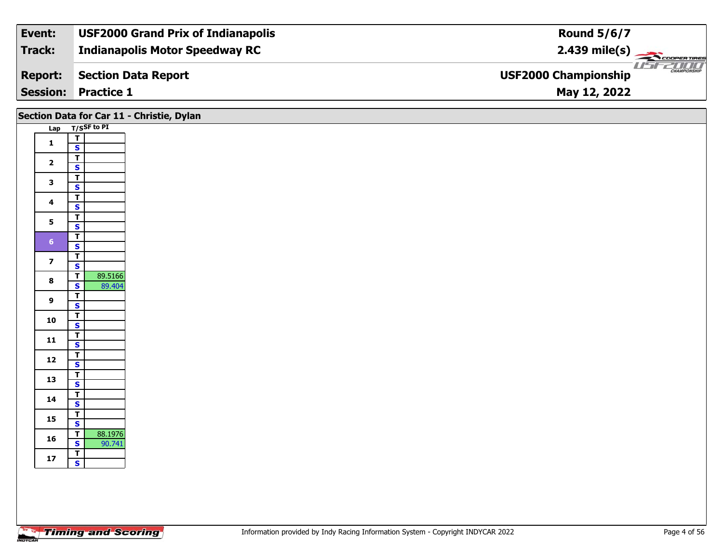| Event:         | <b>USF2000 Grand Prix of Indianapolis</b> | <b>Round 5/6/7</b>                                 |
|----------------|-------------------------------------------|----------------------------------------------------|
| Track:         | <b>Indianapolis Motor Speedway RC</b>     |                                                    |
| <b>Report:</b> | Section Data Report                       | <b>CHAMPIONSHIP</b><br><b>USF2000 Championship</b> |
|                | <b>Session: Practice 1</b>                | May 12, 2022                                       |

## **Lap T/SSF to PI 1** $\frac{1}{s}$  $\overline{\mathbf{T}}$ 2  $\frac{1}{s}$  $rac{s}{T}$ 3  $\frac{1}{s}$  $rac{s}{T}$ 4  $\frac{1}{s}$  $\mathsf{s}$ 5  $\frac{1}{s}$  $\overline{\mathsf{T}}$ 6  $\frac{1}{s}$  $\overline{7}$   $\overline{5}$ **7** $rac{s}{T}$ **88 T** 89.5166<br>**S** 89.404 **9 TS** $\overline{\mathsf{r}}$  $\frac{10}{\text{S}}$  $\overline{\mathsf{T}}$ 11  $\frac{1}{\mathsf{S}}$  $\mathbf{s}$ 12  $\frac{1}{s}$  $rac{s}{T}$ 13  $\frac{1}{s}$  $rac{S}{T}$ **14**4  $\frac{1}{\mathsf{S}}$ 15  $\frac{1}{s}$  $\overline{\mathbf{T}}$ **166 S**  $\frac{12}{\text{S}}$  **B**  $\frac{88.1976}{90.741}$ **Section Data for Car 11 - Christie, Dylan**

**17**

**TS**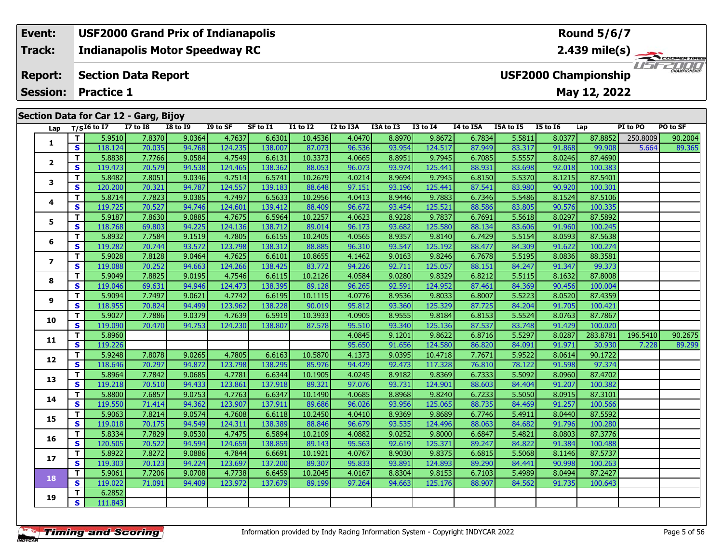### **Event: USF2000 Grand Prix of Indianapolis Round 5/6/7Indianapolis Motor Speedway RC 2.439 mile(s) Track:**11515211111 **Report: Section Data Report USF2000 Championship May 12, 2022 Session: Practice 1Section Data for Car 12 - Garg, Bijoy Lap T/SI6 to I7 I7 to I8 I8 to I9 I9 to SF SF to I1 I1 to I2 I2 to I3A I3A to I3 I3 to I4 I4 to I5A I5A to I5 I5 to I6 Lap PI to PO PO to SF**  1 | T | 5.9510| 7.8370| 9.0364| 4.7637| 6.6301| 10.4536| 4.0470| 8.8970| 9.8672| 6.7834| 5.5811| 8.0377| 87.8852| 250.8009| 90.2004<br>1 | S | 118.124| 70.035| 94.768| 124.235| 138.007| 87.073| 96.536| 93.954| 124.517| 87.949 **1**

**<sup>T</sup>** 5.8838 7.7766 9.0584 4.7549 6.6131 10.3373 4.0665 8.8951 9.7945 6.7085 5.5557 8.0246 87.4690 **<sup>S</sup>** 119.473 70.579 94.538 124.465 138.362 88.053 96.073 93.974 125.441 88.931 83.698 92.018 100.383

**<sup>T</sup>** 5.8482 7.8051 9.0346 4.7514 6.5741 10.2679 4.0214 8.9694 9.7945 6.8150 5.5370 8.1215 87.5401 **<sup>S</sup>** 120.200 70.321 94.787 124.557 139.183 88.648 97.151 93.196 125.441 87.541 83.980 90.920 100.301

**<sup>T</sup>** 5.8714 7.7823 9.0385 4.7497 6.5633 10.2956 4.0413 8.9446 9.7883 6.7346 5.5486 8.1524 87.5106 **<sup>S</sup>** 119.725 70.527 94.746 124.601 139.412 88.409 96.672 93.454 125.521 88.586 83.805 90.576 100.335

**<sup>T</sup>** 5.9187 7.8630 9.0885 4.7675 6.5964 10.2257 4.0623 8.9228 9.7837 6.7691 5.5618 8.0297 87.5892 **<sup>S</sup>** 118.768 69.803 94.225 124.136 138.712 89.014 96.173 93.682 125.580 88.134 83.606 91.960 100.245

**<sup>T</sup>** 5.8932 7.7584 9.1519 4.7805 6.6155 10.2405 4.0565 8.9357 9.8140 6.7429 5.5154 8.0593 87.5638 **<sup>S</sup>** 119.282 70.744 93.572 123.798 138.312 88.885 96.310 93.547 125.192 88.477 84.309 91.622 100.274

**<sup>T</sup>** 5.9028 7.8128 9.0464 4.7625 6.6101 10.8655 4.1462 9.0163 9.8246 6.7678 5.5195 8.0836 88.3581 **<sup>S</sup>** 119.088 70.252 94.663 124.266 138.425 83.772 94.226 92.711 125.057 88.151 84.247 91.347 99.373

**<sup>T</sup>** 5.9049 7.8825 9.0195 4.7546 6.6115 10.2126 4.0584 9.0280 9.8329 6.8212 5.5115 8.1632 87.8008 **<sup>S</sup>** 119.046 69.631 94.946 124.473 138.395 89.128 96.265 92.591 124.952 87.461 84.369 90.456 100.004

**<sup>T</sup>** 5.9094 7.7497 9.0621 4.7742 6.6195 10.1115 4.0776 8.9536 9.8033 6.8007 5.5223 8.0520 87.4359 **<sup>S</sup>** 118.955 70.824 94.499 123.962 138.228 90.019 95.812 93.360 125.329 87.725 84.204 91.705 100.421

**<sup>T</sup>** 5.9027 7.7886 9.0379 4.7639 6.5919 10.3933 4.0905 8.9555 9.8184 6.8153 5.5524 8.0763 87.7867 **<sup>S</sup>** 119.090 70.470 94.753 124.230 138.807 87.578 95.510 93.340 125.136 87.537 83.748 91.429 100.020

**<sup>T</sup>** 5.9248 7.8078 9.0265 4.7805 6.6163 10.5870 4.1373 9.0395 10.4718 7.7671 5.9522 8.0614 90.1722 **<sup>S</sup>** 118.646 70.297 94.872 123.798 138.295 85.976 94.429 92.473 117.328 76.810 78.122 91.598 97.374

**<sup>T</sup>** 5.8964 7.7842 9.0685 4.7781 6.6344 10.1905 4.0245 8.9182 9.8369 6.7333 5.5092 8.0960 87.4702 **<sup>S</sup>** 119.218 70.510 94.433 123.861 137.918 89.321 97.076 93.731 124.901 88.603 84.404 91.207 100.382

**<sup>T</sup>** 5.8800 7.6857 9.0753 4.7763 6.6347 10.1490 4.0685 8.8968 9.8240 6.7233 5.5050 8.0915 87.3101 **<sup>S</sup>** 119.550 71.414 94.362 123.907 137.911 89.686 96.026 93.956 125.065 88.735 84.469 91.257 100.566

**<sup>T</sup>** 5.9063 7.8214 9.0574 4.7608 6.6118 10.2450 4.0410 8.9369 9.8689 6.7746 5.4911 8.0440 87.5592 **<sup>S</sup>** 119.018 70.175 94.549 124.311 138.389 88.846 96.679 93.535 124.496 88.063 84.682 91.796 100.280

**<sup>T</sup>** 5.8334 7.7829 9.0530 4.7475 6.5894 10.2109 4.0882 9.0252 9.8000 6.6847 5.4821 8.0803 87.3776 **<sup>S</sup>** 120.505 70.522 94.594 124.659 138.859 89.143 95.563 92.619 125.371 89.247 84.822 91.384 100.488

**<sup>T</sup>** 5.8922 7.8272 9.0886 4.7844 6.6691 10.1921 4.0767 8.9030 9.8375 6.6815 5.5068 8.1146 87.5737 **<sup>S</sup>** 119.303 70.123 94.224 123.697 137.200 89.307 95.833 93.891 124.893 89.290 84.441 90.998 100.263

**<sup>T</sup>** 5.9061 7.7206 9.0708 4.7738 6.6459 10.2045 4.0167 8.8304 9.8153 6.7103 5.4989 8.0494 87.2427 **<sup>S</sup>** 119.022 71.091 94.409 123.972 137.679 89.199 97.264 94.663 125.176 88.907 84.562 91.735 100.643

**<sup>T</sup>** 6.2852 **<sup>S</sup>** 111.843

**2**

**3**

**4**

**5**

**6**

**7**

**8**

**9**

**10**

**11**

**12**

**13**

**14**

**15**

**16**

**17**

**18**

**19**

**<sup>T</sup>** 5.8960 4.0845 9.1201 9.8622 6.8716 5.5297 8.0287 283.8781 196.5410 90.2675 **<sup>S</sup>** 119.226 95.650 91.656 124.580 86.820 84.091 91.971 30.930 7.228 89.299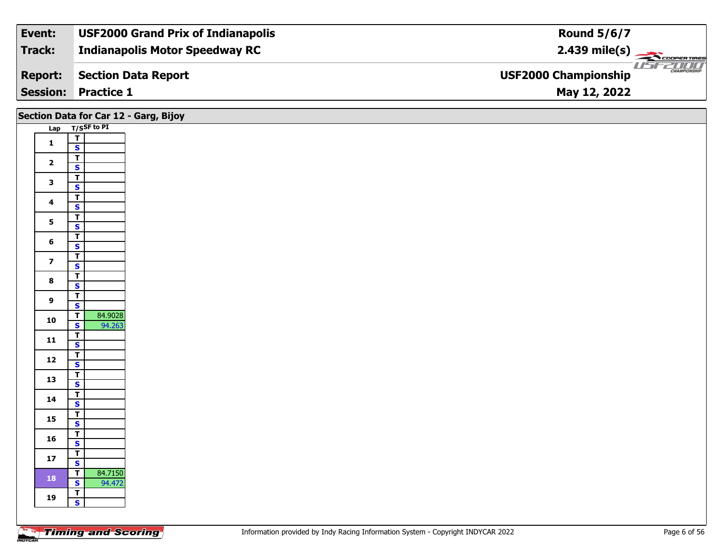| Event:         | <b>USF2000 Grand Prix of Indianapolis</b> | <b>Round 5/6/7</b>                           |
|----------------|-------------------------------------------|----------------------------------------------|
| Track:         | <b>Indianapolis Motor Speedway RC</b>     | $2.439 \text{ mile(s)}$                      |
| <b>Report:</b> | <b>Section Data Report</b>                | $\frac{1}{1}$<br><b>USF2000 Championship</b> |
|                | <b>Session: Practice 1</b>                | May 12, 2022                                 |

|                         | Section Data for Car 12 - Garg, Bijoy                        |
|-------------------------|--------------------------------------------------------------|
|                         | Lap T/SSF to PI                                              |
| $\mathbf{1}$            | $\overline{I}$                                               |
|                         | $\mathbf{s}$                                                 |
| $\overline{2}$          | $\overline{\mathsf{T}}$<br>$\mathbf{s}$                      |
|                         | $\overline{\mathsf{T}}$                                      |
| $\mathbf{3}$            | $\overline{\mathbf{s}}$                                      |
| 4                       | $\overline{\mathbf{T}}$                                      |
|                         | $\overline{\mathbf{s}}$                                      |
| 5 <sub>5</sub>          | $\overline{1}$<br>$\overline{\mathbf{s}}$                    |
|                         | $\mathbf T$                                                  |
| 6                       | $\overline{\mathbf{s}}$                                      |
| $\overline{\mathbf{z}}$ | $\overline{\mathbf{T}}$                                      |
|                         | $\overline{\mathbf{s}}$                                      |
| $\bf{8}$                | $\overline{\mathsf{r}}$<br>$\overline{\mathbf{s}}$           |
|                         | $\overline{\mathsf{T}}$                                      |
| 9                       | $\mathbf{s}$                                                 |
| 10                      | 84.9028<br>$\overline{\mathsf{T}}$                           |
|                         | $\overline{\mathbf{s}}$<br>94.263                            |
| 11                      | $\overline{\mathbf{T}}$<br>$\mathbf{s}$                      |
|                         | $\overline{\mathsf{T}}$                                      |
| $12$                    | $\mathsf{s}$                                                 |
| 13                      | $\overline{\mathbf{T}}$                                      |
|                         | $\overline{\mathbf{s}}$<br>$\overline{\mathsf{r}}$           |
| 14                      | $\mathbf{s}$                                                 |
| $15\phantom{.0}$        | $\overline{\mathsf{T}}$                                      |
|                         | $\overline{\mathbf{s}}$                                      |
| 16                      | $\overline{\mathbf{T}}$<br>$\mathsf{s}$                      |
|                         | $\overline{\mathsf{T}}$                                      |
| $17$                    | $\overline{\mathbf{s}}$                                      |
| 18                      | 84.7150<br>$\overline{\mathsf{T}}$                           |
|                         | $\overline{\mathbf{s}}$<br>94.472<br>$\overline{\mathsf{r}}$ |
| 19                      | $\overline{\mathbf{s}}$                                      |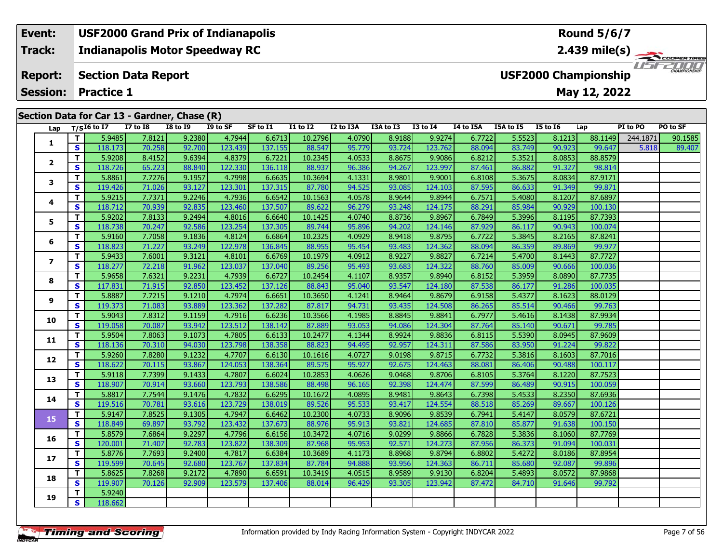### **Event: USF2000 Grand Prix of Indianapolis Round 5/6/7Indianapolis Motor Speedway RC 2.439 mile(s) Track:** USFZUUD **Report: Section Data Report USF2000 Championship May 12, 2022 Session: Practice 1 Section Data for Car 13 - Gardner, Chase (R)**

| Lap            |    | $T/SI6$ to I7 | <b>I7 to I8</b> | <b>I8 to 19</b> | $\mathbf{v}$<br>I9 to SF | SF to I1 | $I1$ to $I2$ | I2 to I3A | I3A to I3 | <b>I3 to I4</b> | I4 to I5A | I5A to I5 | <b>I5 to 16</b> | Lap     | PI to PO | PO to SF |
|----------------|----|---------------|-----------------|-----------------|--------------------------|----------|--------------|-----------|-----------|-----------------|-----------|-----------|-----------------|---------|----------|----------|
|                | T. | 5.9485        | 7.8121          | 9.2380          | 4.7944                   | 6.6713   | 10.2796      | 4.0790    | 8.9188    | 9.9274          | 6.7722    | 5.5523    | 8.1213          | 88.1149 | 244.1871 | 90.1585  |
| 1              | S. | 118.173       | 70.258          | 92.700          | 123.439                  | 137.155  | 88.547       | 95.779    | 93.724    | 123.762         | 88.094    | 83.749    | 90.923          | 99.647  | 5.818    | 89.407   |
|                | T. | 5.9208        | 8.4152          | 9.6394          | 4.8379                   | 6.7221   | 10.2345      | 4.0533    | 8.8675    | 9.9086          | 6.8212    | 5.3521    | 8.0853          | 88.8579 |          |          |
| $\mathbf{2}$   | S  | 118.726       | 65.223          | 88.840          | 122.330                  | 136.118  | 88.937       | 96.386    | 94.267    | 123.997         | 87.461    | 86.882    | 91.327          | 98.814  |          |          |
|                | T. | 5.8861        | 7.7276          | 9.1957          | 4.7998                   | 6.6635   | 10.3694      | 4.1331    | 8.9801    | 9.9001          | 6.8108    | 5.3675    | 8.0834          | 87.9171 |          |          |
| 3              | S  | 119,426       | 71.026          | 93.127          | 123.301                  | 137.315  | 87.780       | 94.525    | 93.085    | 124.103         | 87.595    | 86.633    | 91.349          | 99.871  |          |          |
|                | T. | 5.9215        | 7.7371          | 9.2246          | 4.7936                   | 6.6542   | 10.1563      | 4.0578    | 8.9644    | 9.8944          | 6.7571    | 5.4080    | 8.1207          | 87.6897 |          |          |
| 4              | S  | 118.712       | 70.939          | 92.835          | 123.460                  | 137.507  | 89.622       | 96.279    | 93.248    | 124.175         | 88.291    | 85.984    | 90.929          | 100.130 |          |          |
|                | T. | 5.9202        | 7.8133          | 9.2494          | 4.8016                   | 6.6640   | 10.1425      | 4.0740    | 8.8736    | 9.8967          | 6.7849    | 5.3996    | 8.1195          | 87.7393 |          |          |
| 5              | S. | 118.738       | 70.247          | 92.586          | 123.254                  | 137.305  | 89.744       | 95.896    | 94.202    | 124.146         | 87.929    | 86.117    | 90.943          | 100.074 |          |          |
|                | T. | 5.9160        | 7.7058          | 9.1836          | 4.8124                   | 6.6864   | 10.2325      | 4.0929    | 8.9418    | 9.8795          | 6.7722    | 5.3845    | 8.2165          | 87.8241 |          |          |
| 6              | S  | 118.823       | 71.227          | 93.249          | 122.978                  | 136.845  | 88.955       | 95.454    | 93.483    | 124.362         | 88.094    | 86.359    | 89.869          | 99.977  |          |          |
|                | T. | 5.9433        | 7.6001          | 9.3121          | 4.8101                   | 6.6769   | 10.1979      | 4.0912    | 8.9227    | 9.8827          | 6.7214    | 5.4700    | 8.1443          | 87.7727 |          |          |
| $\overline{ }$ | S  | 118.277       | 72.218          | 91.962          | 123.037                  | 137.040  | 89.256       | 95.493    | 93.683    | 124.322         | 88.760    | 85.009    | 90.666          | 100.036 |          |          |
| 8              | T. | 5.9658        | 7.6321          | 9.2231          | 4.7939                   | 6.6727   | 10.2454      | 4.1107    | 8.9357    | 9.8940          | 6.8152    | 5.3959    | 8.0890          | 87.7735 |          |          |
|                | S. | 117.831       | 71.915          | 92.850          | 123.452                  | 137.126  | 88.843       | 95.040    | 93.547    | 124.180         | 87.538    | 86.177    | 91.286          | 100.035 |          |          |
|                | T. | 5.8887        | 7.7215          | 9.1210          | 4.7974                   | 6.6651   | 10.3650      | 4.1241    | 8.9464    | 9.8679          | 6.9158    | 5.4377    | 8.1623          | 88.0129 |          |          |
| 9              | S  | 119.373       | 71.083          | 93.889          | 123.362                  | 137.282  | 87.817       | 94.731    | 93.435    | 124.508         | 86.265    | 85.514    | 90.466          | 99.763  |          |          |
| 10             | T. | 5.9043        | 7.8312          | 9.1159          | 4.7916                   | 6.6236   | 10.3566      | 4.1985    | 8.8845    | 9.8841          | 6.7977    | 5.4616    | 8.1438          | 87.9934 |          |          |
|                | S. | 119.058       | 70.087          | 93.942          | 123.512                  | 138.142  | 87.889       | 93.053    | 94.086    | 124.304         | 87.764    | 85.140    | 90.671          | 99.785  |          |          |
| 11             | T. | 5.9504        | 7.8063          | 9.1073          | 4.7805                   | 6.6133   | 10.2477      | 4.1344    | 8.9924    | 9.8836          | 6.8115    | 5.5390    | 8.0945          | 87.9609 |          |          |
|                | S. | 118.136       | 70.310          | 94.030          | 123.798                  | 138.358  | 88.823       | 94.495    | 92.957    | 124.311         | 87.586    | 83.950    | 91.224          | 99.822  |          |          |
| 12             | T. | 5.9260        | 7.8280          | 9.1232          | 4.7707                   | 6.6130   | 10.1616      | 4.0727    | 9.0198    | 9.8715          | 6.7732    | 5.3816    | 8.1603          | 87.7016 |          |          |
|                | S. | 118.622       | 70.115          | 93.867          | 124.053                  | 138.364  | 89.575       | 95.927    | 92.675    | 124.463         | 88.081    | 86.406    | 90.488          | 100.117 |          |          |
| 13             | T. | 5.9118        | 7.7399          | 9.1433          | 4.7807                   | 6.6024   | 10.2853      | 4.0626    | 9.0468    | 9.8706          | 6.8105    | 5.3764    | 8.1220          | 87.7523 |          |          |
|                | S  | 118.907       | 70.914          | 93.660          | 123.793                  | 138.586  | 88.498       | 96.165    | 92.398    | 124.474         | 87.599    | 86.489    | 90.915          | 100.059 |          |          |
| 14             | T. | 5.8817        | 7.7544          | 9.1476          | 4.7832                   | 6.6295   | 10.1672      | 4.0895    | 8.9481    | 9.8643          | 6.7398    | 5.4533    | 8.2350          | 87.6936 |          |          |
|                | S. | 119.516       | 70.781          | 93.616          | 123.729                  | 138.019  | 89.526       | 95.533    | 93.417    | 124.554         | 88.518    | 85.269    | 89.667          | 100.126 |          |          |
| 15             | T. | 5.9147        | 7.8525          | 9.1305          | 4.7947                   | 6.6462   | 10.2300      | 4.0733    | 8.9096    | 9.8539          | 6.7941    | 5.4147    | 8.0579          | 87.6721 |          |          |
|                | S  | 118.849       | 69.897          | 93.792          | 123.432                  | 137.673  | 88.976       | 95.913    | 93.821    | 124.685         | 87.810    | 85.877    | 91.638          | 100.150 |          |          |
| 16             | т  | 5.8579        | 7.6864          | 9.2297          | 4.7796                   | 6.6156   | 10.3472      | 4.0716    | 9.0299    | 9.8866          | 6.7828    | 5.3836    | 8.1060          | 87.7769 |          |          |
|                | S  | 120.001       | 71.407          | 92.783          | 123.822                  | 138.309  | 87.968       | 95.953    | 92.571    | 124.273         | 87.956    | 86.373    | 91.094          | 100.031 |          |          |
| 17             | T. | 5.8776        | 7.7693          | 9.2400          | 4.7817                   | 6.6384   | 10.3689      | 4.1173    | 8.8968    | 9.8794          | 6.8802    | 5.4272    | 8.0186          | 87.8954 |          |          |
|                | S. | 119.599       | 70.645          | 92.680          | 123.767                  | 137.834  | 87.784       | 94.888    | 93.956    | 124.363         | 86.711    | 85.680    | 92.087          | 99.896  |          |          |
| 18             | T. | 5.8625        | 7.8268          | 9.2172          | 4.7890                   | 6.6591   | 10.3419      | 4.0515    | 8.9589    | 9.9130          | 6.8204    | 5.4893    | 8.0572          | 87.9868 |          |          |
|                | S  | 119.907       | 70.126          | 92.909          | 123.579                  | 137.406  | 88.014       | 96.429    | 93.305    | 123.942         | 87.472    | 84.710    | 91.646          | 99.792  |          |          |
| 19             | T. | 5.9240        |                 |                 |                          |          |              |           |           |                 |           |           |                 |         |          |          |
|                | S  | 118.662       |                 |                 |                          |          |              |           |           |                 |           |           |                 |         |          |          |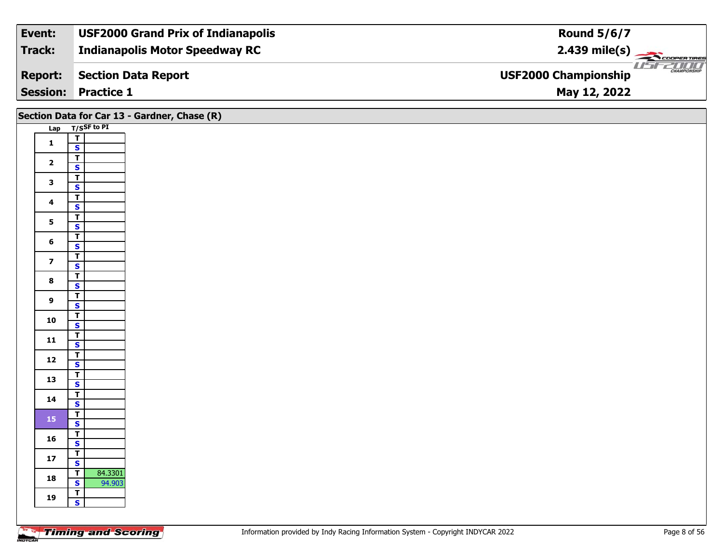| Event:          | <b>USF2000 Grand Prix of Indianapolis</b> | <b>Round 5/6/7</b>                                                                                                                                                                                                                                                                                                                                                                                                                                                                                                                                                              |
|-----------------|-------------------------------------------|---------------------------------------------------------------------------------------------------------------------------------------------------------------------------------------------------------------------------------------------------------------------------------------------------------------------------------------------------------------------------------------------------------------------------------------------------------------------------------------------------------------------------------------------------------------------------------|
| Track:          | <b>Indianapolis Motor Speedway RC</b>     | $2.439$ mile(s) $\left\langle \right\rangle$ $\left\langle \right\rangle$ $\left\langle \right\rangle$ $\left\langle \right\rangle$ $\left\langle \right\rangle$ $\left\langle \right\rangle$ $\left\langle \right\rangle$ $\left\langle \right\rangle$ $\left\langle \right\rangle$ $\left\langle \right\rangle$ $\left\langle \right\rangle$ $\left\langle \right\rangle$ $\left\langle \right\rangle$ $\left\langle \right\rangle$ $\left\langle \right\rangle$ $\left\langle \right\rangle$ $\left\langle \right\rangle$ $\left\langle \right\rangle$ $\left\langle \right$ |
| <b>Report:</b>  | Section Data Report                       | <b>CHAMPIONSHIP</b><br><b>USF2000 Championship</b>                                                                                                                                                                                                                                                                                                                                                                                                                                                                                                                              |
| <b>Session:</b> | <b>Practice 1</b>                         | May 12, 2022                                                                                                                                                                                                                                                                                                                                                                                                                                                                                                                                                                    |

|                         | Section Data for Car 13 - Gardner, Chase (R)       |
|-------------------------|----------------------------------------------------|
|                         | Lap T/SSF to PI                                    |
| $\mathbf 1$             | $\frac{T}{S}$                                      |
|                         |                                                    |
| $\mathbf{2}$            | $\frac{T}{S}$                                      |
| $\mathbf{3}$            | $rac{1}{s}$                                        |
|                         |                                                    |
| $\overline{\mathbf{4}}$ | $rac{1}{s}$                                        |
| 5 <sub>1</sub>          | $\overline{\mathsf{T}}$                            |
|                         | $\overline{\mathbf{s}}$<br>$\overline{\mathbf{T}}$ |
| 6                       | $\mathbf{s}$                                       |
| $\overline{7}$          | $\overline{\mathbf{r}}$                            |
|                         | $\mathbf{s}$<br>$\overline{1}$                     |
| $\bf{8}$                | $\mathbf{s}$                                       |
| 9                       | $\overline{1}$                                     |
|                         | $\overline{\mathbf{s}}$<br>$\mathbf{T}$            |
| 10                      | $\overline{\mathbf{s}}$                            |
| $\mathbf{11}$           | $\overline{\mathbf{r}}$                            |
|                         | $\mathbf{s}$                                       |
| $12$                    | $rac{T}{S}$                                        |
|                         |                                                    |
| 13                      | $rac{1}{s}$                                        |
| 14                      | $\frac{1}{s}$                                      |
|                         | $\mathbf{T}$                                       |
| 15                      | $\overline{\mathbf{s}}$                            |
| 16                      | $\overline{\mathbf{r}}$                            |
|                         | $\mathbf{s}$                                       |
| $17\,$                  | $rac{1}{s}$                                        |
| 18                      | 84.3301<br>$\frac{1}{s}$                           |
|                         | 94.903<br>$\mathbf{T}$                             |
| 19                      | $\overline{\mathbf{s}}$                            |
|                         |                                                    |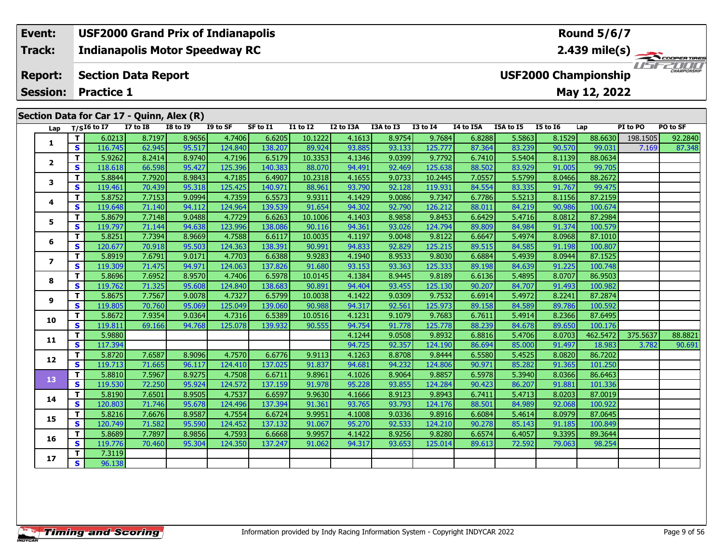### **Event: USF2000 Grand Prix of Indianapolis Round 5/6/7Indianapolis Motor Speedway RC 2.439 mile(s) Track:** TELECOPERTING **Section Data Report Report: USF2000 Championship May 12, 2022 Session: Practice 1 Section Data for Car 17 - Quinn, Alex (R) Lap T/SI6 to I7 I7 to I8 I8 to I9 I9 to SF SF to I1 I1 to I2 I2 to I3A I3A to I3 I3 to I4 I4 to I5A I5A to I5 I5 to I6 Lap PI to PO PO to SF**

| 4.7406<br>T.<br>6.0213<br>8.9656<br>6.6205<br>10.1222<br>4.1613<br>8.9754<br>9.7684<br>6.8288<br>5.5863<br>8.1529<br>198.1505<br>92.2840<br>8.7197<br>88.6630<br>1<br>S<br>62.945<br>124.840<br>138.207<br>89.924<br>93.133<br>83.239<br>116.745<br>95.517<br>93.885<br>125.777<br>87.364<br>90.570<br>7.169<br>87.348<br>99.031<br>9.0399<br>5.5404<br>T.<br>5.9262<br>8.9740<br>4.7196<br>6.5179<br>10.3353<br>4.1346<br>9.7792<br>6.7410<br>8.1139<br>88.0634<br>8.2414<br>2<br>S.<br>83.929<br>95.427<br>125.396<br>140.383<br>94.491<br>92.469<br>125.638<br>91.005<br>99.705<br>118.618<br>66.598<br>88.070<br>88.502<br>5.5799<br>5.8844<br>4.7185<br>4.1655<br>9.0733<br>8.0466<br>88.2672<br>T.<br>7.7920<br>8.9843<br>6.4907<br>10.2318<br>10.2445<br>7.0557<br>3<br>83.335<br>S<br>119.461<br>95.318<br>125.425<br>140.971<br>93.790<br>92.128<br>119.931<br>84.554<br>91.767<br>99.475<br>70.439<br>88.961<br>5.5213<br>5.8752<br>9.0994<br>4.7359<br>6.5573<br>4.1429<br>9.0086<br>87.2159<br>T.<br>7.7153<br>9.9311<br>9.7347<br>6.7786<br>8.1156<br>4<br>92.790<br>84.219<br>124.964<br>139.539<br>94.302<br>90.986<br>S.<br>119.648<br>94.112<br>91.654<br>126.212<br>88.011<br>100.674<br>71.140<br>4.7729<br>T.<br>5.8679<br>9.0488<br>6.6263<br>4.1403<br>8.9858<br>6.6429<br>5.4716<br>8.0812<br>7.7148<br>10.1006<br>9.8453<br>87.2984<br>5<br>S.<br>119.797<br>94.638<br>123.996<br>138.086<br>94.361<br>93.026<br>89.809<br>84.984<br>91.374<br>100.579<br>71.144<br>90.116<br>124.794<br>4.7588<br>5.4974<br>T.<br>5.8251<br>7.7394<br>8.9669<br>10.0035<br>4.1197<br>9.0048<br>9.8122<br>6.6647<br>8.0968<br>87.1010<br>6.6117<br>6<br>S<br>124.363<br>138.391<br>94.833<br>92.829<br>84.585<br>91.198<br>120.677<br>70.918<br>95.503<br>90.991<br>125.215<br>89.515<br>100.807<br>5.8919<br>4.7703<br>6.6388<br>9.9283<br>4.1940<br>8.9533<br>5.4939<br>87.1525<br>Τ.<br>7.6791<br>9.0171<br>9.8030<br>6.6884<br>8.0944<br>$\overline{\phantom{a}}$<br>S.<br>124.063<br>137.826<br>93.153<br>93.363<br>84.639<br>91.225<br>119.309<br>94.971<br>91.680<br>125.333<br>89.198<br>100.748<br>71.475<br>8.9570<br>4.7406<br>4.1384<br>8.9445<br>5.4895<br>T.<br>5.8696<br>7.6952<br>6.5978<br>10.0145<br>9.8189<br>6.6136<br>8.0707<br>86.9503<br>8<br>124.840<br>S.<br>119.762<br>95.608<br>138.683<br>94.404<br>93.455<br>90.207<br>84.707<br>91.493<br>100.982<br>71.325<br>90.891<br>125.130<br>5.8675<br>7.7567<br>4.7327<br>6.5799<br>4.1422<br>9.0309<br>5.4972<br>8.2241<br>Τ.<br>9.0078<br>10.0038<br>9.7532<br>6.6914<br>87.2874<br>9<br>S<br>139.060<br>92.561<br>119.805<br>70.760<br>95.069<br>125.049<br>90.988<br>94.317<br>125.973<br>89.158<br>84.589<br>89.786<br>100.592<br>5.8672<br>4.7316<br>9.1079<br>5.4914<br>8.2366<br>T.<br>7.9354<br>9.0364<br>6.5389<br>10.0516<br>4.1231<br>9.7683<br>6.7611<br>87.6495<br>10<br>S.<br>119.811<br>125.078<br>139.932<br>94.754<br>91.778<br>125.778<br>84.678<br>89.650<br>69.166<br>94.768<br>90.555<br>88.239<br>100.176<br>5.9880<br>9.0508<br>5.4706<br>Τ.<br>4.1244<br>9.8932<br>6.8816<br>8.0703<br>462.5472<br>375.5637<br>88.8821<br>11<br>S.<br>117.394<br>94.725<br>92.357<br>85.000<br>91.497<br>124.190<br>86.694<br>18.983<br>3.782<br>90.691<br>5.4525<br>5.8720<br>7.6587<br>8.9096<br>4.7570<br>9.9113<br>4.1263<br>8.8708<br>8.0820<br>Τ.<br>6.6776<br>9.8444<br>6.5580<br>86.7202<br>12<br>119.713<br>124.410<br>137.025<br>94.232<br>85.282<br>S.<br>96.117<br>94.681<br>124.806<br>90.971<br>91.365<br>101.250<br>71.665<br>91.837<br>5.3940<br>T.<br>5.8810<br>8.9275<br>4.7508<br>8.9064<br>9.8857<br>7.5967<br>6.6711<br>9.8961<br>4.1026<br>6.5978<br>8.0366<br>86.6463<br>13<br>S.<br>119.530<br>124.572<br>137.159<br>95.228<br>93.855<br>86.207<br>72.250<br>95.924<br>91.978<br>124.284<br>90.423<br>91.881<br>101.336<br>4.7537<br>5.4713<br>T.<br>5.8190<br>7.6501<br>8.9505<br>6.6597<br>9.9630<br>4.1666<br>8.9123<br>9.8943<br>6.7411<br>8.0203<br>87.0019<br>14<br>S.<br>120.803<br>124.496<br>137.394<br>93.765<br>93.793<br>124.176<br>84.989<br>92.068<br>100.922<br>71.746<br>95.678<br>91.361<br>88.501<br>5.8216<br>8.9587<br>4.7554<br>4.1008<br>9.0336<br>5.4614<br>87.0645<br>Τ.<br>7.6676<br>6.6724<br>9.9951<br>9.8916<br>6.6084<br>8.0979<br>15<br>S.<br>120.749<br>95.590<br>137.132<br>95.270<br>92.533<br>71.582<br>124.452<br>91.067<br>124.210<br>90.278<br>85.143<br>91.185<br>100.849<br>4.7593<br>8.9256<br>6.4057<br>Τ.<br>5.8689<br>7.7897<br>8.9856<br>6.6668<br>9.9957<br>4.1422<br>9.8280<br>6.6574<br>9.3395<br>89.3644<br>16<br>S.<br>119.776<br>124.350<br>137.247<br>93.653<br>72.592<br>79.063<br>98.254<br>70.460<br>95.304<br>91.062<br>94.317<br>125.014<br>89.613<br>7.3119<br>Τ.<br>17<br>S. | Lap | T/SI6 to I7 | <b>I7 to I8</b> | <b>I8 to 19</b> | I9 to SF | SF to I1 | <b>I1 to I2</b> | I2 to I3A | I3A to I3 | I3 to I4 | 14 to 15A | I5A to I5 | <b>I5 to 16</b> | Lap | PI to PO | PO to SF |
|-------------------------------------------------------------------------------------------------------------------------------------------------------------------------------------------------------------------------------------------------------------------------------------------------------------------------------------------------------------------------------------------------------------------------------------------------------------------------------------------------------------------------------------------------------------------------------------------------------------------------------------------------------------------------------------------------------------------------------------------------------------------------------------------------------------------------------------------------------------------------------------------------------------------------------------------------------------------------------------------------------------------------------------------------------------------------------------------------------------------------------------------------------------------------------------------------------------------------------------------------------------------------------------------------------------------------------------------------------------------------------------------------------------------------------------------------------------------------------------------------------------------------------------------------------------------------------------------------------------------------------------------------------------------------------------------------------------------------------------------------------------------------------------------------------------------------------------------------------------------------------------------------------------------------------------------------------------------------------------------------------------------------------------------------------------------------------------------------------------------------------------------------------------------------------------------------------------------------------------------------------------------------------------------------------------------------------------------------------------------------------------------------------------------------------------------------------------------------------------------------------------------------------------------------------------------------------------------------------------------------------------------------------------------------------------------------------------------------------------------------------------------------------------------------------------------------------------------------------------------------------------------------------------------------------------------------------------------------------------------------------------------------------------------------------------------------------------------------------------------------------------------------------------------------------------------------------------------------------------------------------------------------------------------------------------------------------------------------------------------------------------------------------------------------------------------------------------------------------------------------------------------------------------------------------------------------------------------------------------------------------------------------------------------------------------------------------------------------------------------------------------------------------------------------------------------------------------------------------------------------------------------------------------------------------------------------------------------------------------------------------------------------------------------------------------------------------------------------------------------------------------------------------------------------------------------------------------------------------------------------------------------------------------------------------------------------------------------------------------------------------------------------------------------------------------------------------------------------------------------------------------------------------------------------------------------------------------------------------------------------------------------------------------------------------------------------------------------------------------------------------|-----|-------------|-----------------|-----------------|----------|----------|-----------------|-----------|-----------|----------|-----------|-----------|-----------------|-----|----------|----------|
|                                                                                                                                                                                                                                                                                                                                                                                                                                                                                                                                                                                                                                                                                                                                                                                                                                                                                                                                                                                                                                                                                                                                                                                                                                                                                                                                                                                                                                                                                                                                                                                                                                                                                                                                                                                                                                                                                                                                                                                                                                                                                                                                                                                                                                                                                                                                                                                                                                                                                                                                                                                                                                                                                                                                                                                                                                                                                                                                                                                                                                                                                                                                                                                                                                                                                                                                                                                                                                                                                                                                                                                                                                                                                                                                                                                                                                                                                                                                                                                                                                                                                                                                                                                                                                                                                                                                                                                                                                                                                                                                                                                                                                                                                                                                                       |     |             |                 |                 |          |          |                 |           |           |          |           |           |                 |     |          |          |
|                                                                                                                                                                                                                                                                                                                                                                                                                                                                                                                                                                                                                                                                                                                                                                                                                                                                                                                                                                                                                                                                                                                                                                                                                                                                                                                                                                                                                                                                                                                                                                                                                                                                                                                                                                                                                                                                                                                                                                                                                                                                                                                                                                                                                                                                                                                                                                                                                                                                                                                                                                                                                                                                                                                                                                                                                                                                                                                                                                                                                                                                                                                                                                                                                                                                                                                                                                                                                                                                                                                                                                                                                                                                                                                                                                                                                                                                                                                                                                                                                                                                                                                                                                                                                                                                                                                                                                                                                                                                                                                                                                                                                                                                                                                                                       |     |             |                 |                 |          |          |                 |           |           |          |           |           |                 |     |          |          |
|                                                                                                                                                                                                                                                                                                                                                                                                                                                                                                                                                                                                                                                                                                                                                                                                                                                                                                                                                                                                                                                                                                                                                                                                                                                                                                                                                                                                                                                                                                                                                                                                                                                                                                                                                                                                                                                                                                                                                                                                                                                                                                                                                                                                                                                                                                                                                                                                                                                                                                                                                                                                                                                                                                                                                                                                                                                                                                                                                                                                                                                                                                                                                                                                                                                                                                                                                                                                                                                                                                                                                                                                                                                                                                                                                                                                                                                                                                                                                                                                                                                                                                                                                                                                                                                                                                                                                                                                                                                                                                                                                                                                                                                                                                                                                       |     |             |                 |                 |          |          |                 |           |           |          |           |           |                 |     |          |          |
|                                                                                                                                                                                                                                                                                                                                                                                                                                                                                                                                                                                                                                                                                                                                                                                                                                                                                                                                                                                                                                                                                                                                                                                                                                                                                                                                                                                                                                                                                                                                                                                                                                                                                                                                                                                                                                                                                                                                                                                                                                                                                                                                                                                                                                                                                                                                                                                                                                                                                                                                                                                                                                                                                                                                                                                                                                                                                                                                                                                                                                                                                                                                                                                                                                                                                                                                                                                                                                                                                                                                                                                                                                                                                                                                                                                                                                                                                                                                                                                                                                                                                                                                                                                                                                                                                                                                                                                                                                                                                                                                                                                                                                                                                                                                                       |     |             |                 |                 |          |          |                 |           |           |          |           |           |                 |     |          |          |
|                                                                                                                                                                                                                                                                                                                                                                                                                                                                                                                                                                                                                                                                                                                                                                                                                                                                                                                                                                                                                                                                                                                                                                                                                                                                                                                                                                                                                                                                                                                                                                                                                                                                                                                                                                                                                                                                                                                                                                                                                                                                                                                                                                                                                                                                                                                                                                                                                                                                                                                                                                                                                                                                                                                                                                                                                                                                                                                                                                                                                                                                                                                                                                                                                                                                                                                                                                                                                                                                                                                                                                                                                                                                                                                                                                                                                                                                                                                                                                                                                                                                                                                                                                                                                                                                                                                                                                                                                                                                                                                                                                                                                                                                                                                                                       |     |             |                 |                 |          |          |                 |           |           |          |           |           |                 |     |          |          |
|                                                                                                                                                                                                                                                                                                                                                                                                                                                                                                                                                                                                                                                                                                                                                                                                                                                                                                                                                                                                                                                                                                                                                                                                                                                                                                                                                                                                                                                                                                                                                                                                                                                                                                                                                                                                                                                                                                                                                                                                                                                                                                                                                                                                                                                                                                                                                                                                                                                                                                                                                                                                                                                                                                                                                                                                                                                                                                                                                                                                                                                                                                                                                                                                                                                                                                                                                                                                                                                                                                                                                                                                                                                                                                                                                                                                                                                                                                                                                                                                                                                                                                                                                                                                                                                                                                                                                                                                                                                                                                                                                                                                                                                                                                                                                       |     |             |                 |                 |          |          |                 |           |           |          |           |           |                 |     |          |          |
|                                                                                                                                                                                                                                                                                                                                                                                                                                                                                                                                                                                                                                                                                                                                                                                                                                                                                                                                                                                                                                                                                                                                                                                                                                                                                                                                                                                                                                                                                                                                                                                                                                                                                                                                                                                                                                                                                                                                                                                                                                                                                                                                                                                                                                                                                                                                                                                                                                                                                                                                                                                                                                                                                                                                                                                                                                                                                                                                                                                                                                                                                                                                                                                                                                                                                                                                                                                                                                                                                                                                                                                                                                                                                                                                                                                                                                                                                                                                                                                                                                                                                                                                                                                                                                                                                                                                                                                                                                                                                                                                                                                                                                                                                                                                                       |     |             |                 |                 |          |          |                 |           |           |          |           |           |                 |     |          |          |
|                                                                                                                                                                                                                                                                                                                                                                                                                                                                                                                                                                                                                                                                                                                                                                                                                                                                                                                                                                                                                                                                                                                                                                                                                                                                                                                                                                                                                                                                                                                                                                                                                                                                                                                                                                                                                                                                                                                                                                                                                                                                                                                                                                                                                                                                                                                                                                                                                                                                                                                                                                                                                                                                                                                                                                                                                                                                                                                                                                                                                                                                                                                                                                                                                                                                                                                                                                                                                                                                                                                                                                                                                                                                                                                                                                                                                                                                                                                                                                                                                                                                                                                                                                                                                                                                                                                                                                                                                                                                                                                                                                                                                                                                                                                                                       |     |             |                 |                 |          |          |                 |           |           |          |           |           |                 |     |          |          |
|                                                                                                                                                                                                                                                                                                                                                                                                                                                                                                                                                                                                                                                                                                                                                                                                                                                                                                                                                                                                                                                                                                                                                                                                                                                                                                                                                                                                                                                                                                                                                                                                                                                                                                                                                                                                                                                                                                                                                                                                                                                                                                                                                                                                                                                                                                                                                                                                                                                                                                                                                                                                                                                                                                                                                                                                                                                                                                                                                                                                                                                                                                                                                                                                                                                                                                                                                                                                                                                                                                                                                                                                                                                                                                                                                                                                                                                                                                                                                                                                                                                                                                                                                                                                                                                                                                                                                                                                                                                                                                                                                                                                                                                                                                                                                       |     |             |                 |                 |          |          |                 |           |           |          |           |           |                 |     |          |          |
|                                                                                                                                                                                                                                                                                                                                                                                                                                                                                                                                                                                                                                                                                                                                                                                                                                                                                                                                                                                                                                                                                                                                                                                                                                                                                                                                                                                                                                                                                                                                                                                                                                                                                                                                                                                                                                                                                                                                                                                                                                                                                                                                                                                                                                                                                                                                                                                                                                                                                                                                                                                                                                                                                                                                                                                                                                                                                                                                                                                                                                                                                                                                                                                                                                                                                                                                                                                                                                                                                                                                                                                                                                                                                                                                                                                                                                                                                                                                                                                                                                                                                                                                                                                                                                                                                                                                                                                                                                                                                                                                                                                                                                                                                                                                                       |     |             |                 |                 |          |          |                 |           |           |          |           |           |                 |     |          |          |
|                                                                                                                                                                                                                                                                                                                                                                                                                                                                                                                                                                                                                                                                                                                                                                                                                                                                                                                                                                                                                                                                                                                                                                                                                                                                                                                                                                                                                                                                                                                                                                                                                                                                                                                                                                                                                                                                                                                                                                                                                                                                                                                                                                                                                                                                                                                                                                                                                                                                                                                                                                                                                                                                                                                                                                                                                                                                                                                                                                                                                                                                                                                                                                                                                                                                                                                                                                                                                                                                                                                                                                                                                                                                                                                                                                                                                                                                                                                                                                                                                                                                                                                                                                                                                                                                                                                                                                                                                                                                                                                                                                                                                                                                                                                                                       |     |             |                 |                 |          |          |                 |           |           |          |           |           |                 |     |          |          |
|                                                                                                                                                                                                                                                                                                                                                                                                                                                                                                                                                                                                                                                                                                                                                                                                                                                                                                                                                                                                                                                                                                                                                                                                                                                                                                                                                                                                                                                                                                                                                                                                                                                                                                                                                                                                                                                                                                                                                                                                                                                                                                                                                                                                                                                                                                                                                                                                                                                                                                                                                                                                                                                                                                                                                                                                                                                                                                                                                                                                                                                                                                                                                                                                                                                                                                                                                                                                                                                                                                                                                                                                                                                                                                                                                                                                                                                                                                                                                                                                                                                                                                                                                                                                                                                                                                                                                                                                                                                                                                                                                                                                                                                                                                                                                       |     |             |                 |                 |          |          |                 |           |           |          |           |           |                 |     |          |          |
|                                                                                                                                                                                                                                                                                                                                                                                                                                                                                                                                                                                                                                                                                                                                                                                                                                                                                                                                                                                                                                                                                                                                                                                                                                                                                                                                                                                                                                                                                                                                                                                                                                                                                                                                                                                                                                                                                                                                                                                                                                                                                                                                                                                                                                                                                                                                                                                                                                                                                                                                                                                                                                                                                                                                                                                                                                                                                                                                                                                                                                                                                                                                                                                                                                                                                                                                                                                                                                                                                                                                                                                                                                                                                                                                                                                                                                                                                                                                                                                                                                                                                                                                                                                                                                                                                                                                                                                                                                                                                                                                                                                                                                                                                                                                                       |     |             |                 |                 |          |          |                 |           |           |          |           |           |                 |     |          |          |
|                                                                                                                                                                                                                                                                                                                                                                                                                                                                                                                                                                                                                                                                                                                                                                                                                                                                                                                                                                                                                                                                                                                                                                                                                                                                                                                                                                                                                                                                                                                                                                                                                                                                                                                                                                                                                                                                                                                                                                                                                                                                                                                                                                                                                                                                                                                                                                                                                                                                                                                                                                                                                                                                                                                                                                                                                                                                                                                                                                                                                                                                                                                                                                                                                                                                                                                                                                                                                                                                                                                                                                                                                                                                                                                                                                                                                                                                                                                                                                                                                                                                                                                                                                                                                                                                                                                                                                                                                                                                                                                                                                                                                                                                                                                                                       |     |             |                 |                 |          |          |                 |           |           |          |           |           |                 |     |          |          |
|                                                                                                                                                                                                                                                                                                                                                                                                                                                                                                                                                                                                                                                                                                                                                                                                                                                                                                                                                                                                                                                                                                                                                                                                                                                                                                                                                                                                                                                                                                                                                                                                                                                                                                                                                                                                                                                                                                                                                                                                                                                                                                                                                                                                                                                                                                                                                                                                                                                                                                                                                                                                                                                                                                                                                                                                                                                                                                                                                                                                                                                                                                                                                                                                                                                                                                                                                                                                                                                                                                                                                                                                                                                                                                                                                                                                                                                                                                                                                                                                                                                                                                                                                                                                                                                                                                                                                                                                                                                                                                                                                                                                                                                                                                                                                       |     |             |                 |                 |          |          |                 |           |           |          |           |           |                 |     |          |          |
|                                                                                                                                                                                                                                                                                                                                                                                                                                                                                                                                                                                                                                                                                                                                                                                                                                                                                                                                                                                                                                                                                                                                                                                                                                                                                                                                                                                                                                                                                                                                                                                                                                                                                                                                                                                                                                                                                                                                                                                                                                                                                                                                                                                                                                                                                                                                                                                                                                                                                                                                                                                                                                                                                                                                                                                                                                                                                                                                                                                                                                                                                                                                                                                                                                                                                                                                                                                                                                                                                                                                                                                                                                                                                                                                                                                                                                                                                                                                                                                                                                                                                                                                                                                                                                                                                                                                                                                                                                                                                                                                                                                                                                                                                                                                                       |     |             |                 |                 |          |          |                 |           |           |          |           |           |                 |     |          |          |
|                                                                                                                                                                                                                                                                                                                                                                                                                                                                                                                                                                                                                                                                                                                                                                                                                                                                                                                                                                                                                                                                                                                                                                                                                                                                                                                                                                                                                                                                                                                                                                                                                                                                                                                                                                                                                                                                                                                                                                                                                                                                                                                                                                                                                                                                                                                                                                                                                                                                                                                                                                                                                                                                                                                                                                                                                                                                                                                                                                                                                                                                                                                                                                                                                                                                                                                                                                                                                                                                                                                                                                                                                                                                                                                                                                                                                                                                                                                                                                                                                                                                                                                                                                                                                                                                                                                                                                                                                                                                                                                                                                                                                                                                                                                                                       |     |             |                 |                 |          |          |                 |           |           |          |           |           |                 |     |          |          |
|                                                                                                                                                                                                                                                                                                                                                                                                                                                                                                                                                                                                                                                                                                                                                                                                                                                                                                                                                                                                                                                                                                                                                                                                                                                                                                                                                                                                                                                                                                                                                                                                                                                                                                                                                                                                                                                                                                                                                                                                                                                                                                                                                                                                                                                                                                                                                                                                                                                                                                                                                                                                                                                                                                                                                                                                                                                                                                                                                                                                                                                                                                                                                                                                                                                                                                                                                                                                                                                                                                                                                                                                                                                                                                                                                                                                                                                                                                                                                                                                                                                                                                                                                                                                                                                                                                                                                                                                                                                                                                                                                                                                                                                                                                                                                       |     |             |                 |                 |          |          |                 |           |           |          |           |           |                 |     |          |          |
|                                                                                                                                                                                                                                                                                                                                                                                                                                                                                                                                                                                                                                                                                                                                                                                                                                                                                                                                                                                                                                                                                                                                                                                                                                                                                                                                                                                                                                                                                                                                                                                                                                                                                                                                                                                                                                                                                                                                                                                                                                                                                                                                                                                                                                                                                                                                                                                                                                                                                                                                                                                                                                                                                                                                                                                                                                                                                                                                                                                                                                                                                                                                                                                                                                                                                                                                                                                                                                                                                                                                                                                                                                                                                                                                                                                                                                                                                                                                                                                                                                                                                                                                                                                                                                                                                                                                                                                                                                                                                                                                                                                                                                                                                                                                                       |     |             |                 |                 |          |          |                 |           |           |          |           |           |                 |     |          |          |
|                                                                                                                                                                                                                                                                                                                                                                                                                                                                                                                                                                                                                                                                                                                                                                                                                                                                                                                                                                                                                                                                                                                                                                                                                                                                                                                                                                                                                                                                                                                                                                                                                                                                                                                                                                                                                                                                                                                                                                                                                                                                                                                                                                                                                                                                                                                                                                                                                                                                                                                                                                                                                                                                                                                                                                                                                                                                                                                                                                                                                                                                                                                                                                                                                                                                                                                                                                                                                                                                                                                                                                                                                                                                                                                                                                                                                                                                                                                                                                                                                                                                                                                                                                                                                                                                                                                                                                                                                                                                                                                                                                                                                                                                                                                                                       |     |             |                 |                 |          |          |                 |           |           |          |           |           |                 |     |          |          |
|                                                                                                                                                                                                                                                                                                                                                                                                                                                                                                                                                                                                                                                                                                                                                                                                                                                                                                                                                                                                                                                                                                                                                                                                                                                                                                                                                                                                                                                                                                                                                                                                                                                                                                                                                                                                                                                                                                                                                                                                                                                                                                                                                                                                                                                                                                                                                                                                                                                                                                                                                                                                                                                                                                                                                                                                                                                                                                                                                                                                                                                                                                                                                                                                                                                                                                                                                                                                                                                                                                                                                                                                                                                                                                                                                                                                                                                                                                                                                                                                                                                                                                                                                                                                                                                                                                                                                                                                                                                                                                                                                                                                                                                                                                                                                       |     |             |                 |                 |          |          |                 |           |           |          |           |           |                 |     |          |          |
|                                                                                                                                                                                                                                                                                                                                                                                                                                                                                                                                                                                                                                                                                                                                                                                                                                                                                                                                                                                                                                                                                                                                                                                                                                                                                                                                                                                                                                                                                                                                                                                                                                                                                                                                                                                                                                                                                                                                                                                                                                                                                                                                                                                                                                                                                                                                                                                                                                                                                                                                                                                                                                                                                                                                                                                                                                                                                                                                                                                                                                                                                                                                                                                                                                                                                                                                                                                                                                                                                                                                                                                                                                                                                                                                                                                                                                                                                                                                                                                                                                                                                                                                                                                                                                                                                                                                                                                                                                                                                                                                                                                                                                                                                                                                                       |     |             |                 |                 |          |          |                 |           |           |          |           |           |                 |     |          |          |
|                                                                                                                                                                                                                                                                                                                                                                                                                                                                                                                                                                                                                                                                                                                                                                                                                                                                                                                                                                                                                                                                                                                                                                                                                                                                                                                                                                                                                                                                                                                                                                                                                                                                                                                                                                                                                                                                                                                                                                                                                                                                                                                                                                                                                                                                                                                                                                                                                                                                                                                                                                                                                                                                                                                                                                                                                                                                                                                                                                                                                                                                                                                                                                                                                                                                                                                                                                                                                                                                                                                                                                                                                                                                                                                                                                                                                                                                                                                                                                                                                                                                                                                                                                                                                                                                                                                                                                                                                                                                                                                                                                                                                                                                                                                                                       |     |             |                 |                 |          |          |                 |           |           |          |           |           |                 |     |          |          |
|                                                                                                                                                                                                                                                                                                                                                                                                                                                                                                                                                                                                                                                                                                                                                                                                                                                                                                                                                                                                                                                                                                                                                                                                                                                                                                                                                                                                                                                                                                                                                                                                                                                                                                                                                                                                                                                                                                                                                                                                                                                                                                                                                                                                                                                                                                                                                                                                                                                                                                                                                                                                                                                                                                                                                                                                                                                                                                                                                                                                                                                                                                                                                                                                                                                                                                                                                                                                                                                                                                                                                                                                                                                                                                                                                                                                                                                                                                                                                                                                                                                                                                                                                                                                                                                                                                                                                                                                                                                                                                                                                                                                                                                                                                                                                       |     |             |                 |                 |          |          |                 |           |           |          |           |           |                 |     |          |          |
|                                                                                                                                                                                                                                                                                                                                                                                                                                                                                                                                                                                                                                                                                                                                                                                                                                                                                                                                                                                                                                                                                                                                                                                                                                                                                                                                                                                                                                                                                                                                                                                                                                                                                                                                                                                                                                                                                                                                                                                                                                                                                                                                                                                                                                                                                                                                                                                                                                                                                                                                                                                                                                                                                                                                                                                                                                                                                                                                                                                                                                                                                                                                                                                                                                                                                                                                                                                                                                                                                                                                                                                                                                                                                                                                                                                                                                                                                                                                                                                                                                                                                                                                                                                                                                                                                                                                                                                                                                                                                                                                                                                                                                                                                                                                                       |     |             |                 |                 |          |          |                 |           |           |          |           |           |                 |     |          |          |
|                                                                                                                                                                                                                                                                                                                                                                                                                                                                                                                                                                                                                                                                                                                                                                                                                                                                                                                                                                                                                                                                                                                                                                                                                                                                                                                                                                                                                                                                                                                                                                                                                                                                                                                                                                                                                                                                                                                                                                                                                                                                                                                                                                                                                                                                                                                                                                                                                                                                                                                                                                                                                                                                                                                                                                                                                                                                                                                                                                                                                                                                                                                                                                                                                                                                                                                                                                                                                                                                                                                                                                                                                                                                                                                                                                                                                                                                                                                                                                                                                                                                                                                                                                                                                                                                                                                                                                                                                                                                                                                                                                                                                                                                                                                                                       |     |             |                 |                 |          |          |                 |           |           |          |           |           |                 |     |          |          |
|                                                                                                                                                                                                                                                                                                                                                                                                                                                                                                                                                                                                                                                                                                                                                                                                                                                                                                                                                                                                                                                                                                                                                                                                                                                                                                                                                                                                                                                                                                                                                                                                                                                                                                                                                                                                                                                                                                                                                                                                                                                                                                                                                                                                                                                                                                                                                                                                                                                                                                                                                                                                                                                                                                                                                                                                                                                                                                                                                                                                                                                                                                                                                                                                                                                                                                                                                                                                                                                                                                                                                                                                                                                                                                                                                                                                                                                                                                                                                                                                                                                                                                                                                                                                                                                                                                                                                                                                                                                                                                                                                                                                                                                                                                                                                       |     |             |                 |                 |          |          |                 |           |           |          |           |           |                 |     |          |          |
|                                                                                                                                                                                                                                                                                                                                                                                                                                                                                                                                                                                                                                                                                                                                                                                                                                                                                                                                                                                                                                                                                                                                                                                                                                                                                                                                                                                                                                                                                                                                                                                                                                                                                                                                                                                                                                                                                                                                                                                                                                                                                                                                                                                                                                                                                                                                                                                                                                                                                                                                                                                                                                                                                                                                                                                                                                                                                                                                                                                                                                                                                                                                                                                                                                                                                                                                                                                                                                                                                                                                                                                                                                                                                                                                                                                                                                                                                                                                                                                                                                                                                                                                                                                                                                                                                                                                                                                                                                                                                                                                                                                                                                                                                                                                                       |     |             |                 |                 |          |          |                 |           |           |          |           |           |                 |     |          |          |
|                                                                                                                                                                                                                                                                                                                                                                                                                                                                                                                                                                                                                                                                                                                                                                                                                                                                                                                                                                                                                                                                                                                                                                                                                                                                                                                                                                                                                                                                                                                                                                                                                                                                                                                                                                                                                                                                                                                                                                                                                                                                                                                                                                                                                                                                                                                                                                                                                                                                                                                                                                                                                                                                                                                                                                                                                                                                                                                                                                                                                                                                                                                                                                                                                                                                                                                                                                                                                                                                                                                                                                                                                                                                                                                                                                                                                                                                                                                                                                                                                                                                                                                                                                                                                                                                                                                                                                                                                                                                                                                                                                                                                                                                                                                                                       |     |             |                 |                 |          |          |                 |           |           |          |           |           |                 |     |          |          |
|                                                                                                                                                                                                                                                                                                                                                                                                                                                                                                                                                                                                                                                                                                                                                                                                                                                                                                                                                                                                                                                                                                                                                                                                                                                                                                                                                                                                                                                                                                                                                                                                                                                                                                                                                                                                                                                                                                                                                                                                                                                                                                                                                                                                                                                                                                                                                                                                                                                                                                                                                                                                                                                                                                                                                                                                                                                                                                                                                                                                                                                                                                                                                                                                                                                                                                                                                                                                                                                                                                                                                                                                                                                                                                                                                                                                                                                                                                                                                                                                                                                                                                                                                                                                                                                                                                                                                                                                                                                                                                                                                                                                                                                                                                                                                       |     |             |                 |                 |          |          |                 |           |           |          |           |           |                 |     |          |          |
|                                                                                                                                                                                                                                                                                                                                                                                                                                                                                                                                                                                                                                                                                                                                                                                                                                                                                                                                                                                                                                                                                                                                                                                                                                                                                                                                                                                                                                                                                                                                                                                                                                                                                                                                                                                                                                                                                                                                                                                                                                                                                                                                                                                                                                                                                                                                                                                                                                                                                                                                                                                                                                                                                                                                                                                                                                                                                                                                                                                                                                                                                                                                                                                                                                                                                                                                                                                                                                                                                                                                                                                                                                                                                                                                                                                                                                                                                                                                                                                                                                                                                                                                                                                                                                                                                                                                                                                                                                                                                                                                                                                                                                                                                                                                                       |     |             |                 |                 |          |          |                 |           |           |          |           |           |                 |     |          |          |
|                                                                                                                                                                                                                                                                                                                                                                                                                                                                                                                                                                                                                                                                                                                                                                                                                                                                                                                                                                                                                                                                                                                                                                                                                                                                                                                                                                                                                                                                                                                                                                                                                                                                                                                                                                                                                                                                                                                                                                                                                                                                                                                                                                                                                                                                                                                                                                                                                                                                                                                                                                                                                                                                                                                                                                                                                                                                                                                                                                                                                                                                                                                                                                                                                                                                                                                                                                                                                                                                                                                                                                                                                                                                                                                                                                                                                                                                                                                                                                                                                                                                                                                                                                                                                                                                                                                                                                                                                                                                                                                                                                                                                                                                                                                                                       |     |             |                 |                 |          |          |                 |           |           |          |           |           |                 |     |          |          |
|                                                                                                                                                                                                                                                                                                                                                                                                                                                                                                                                                                                                                                                                                                                                                                                                                                                                                                                                                                                                                                                                                                                                                                                                                                                                                                                                                                                                                                                                                                                                                                                                                                                                                                                                                                                                                                                                                                                                                                                                                                                                                                                                                                                                                                                                                                                                                                                                                                                                                                                                                                                                                                                                                                                                                                                                                                                                                                                                                                                                                                                                                                                                                                                                                                                                                                                                                                                                                                                                                                                                                                                                                                                                                                                                                                                                                                                                                                                                                                                                                                                                                                                                                                                                                                                                                                                                                                                                                                                                                                                                                                                                                                                                                                                                                       |     |             |                 |                 |          |          |                 |           |           |          |           |           |                 |     |          |          |
|                                                                                                                                                                                                                                                                                                                                                                                                                                                                                                                                                                                                                                                                                                                                                                                                                                                                                                                                                                                                                                                                                                                                                                                                                                                                                                                                                                                                                                                                                                                                                                                                                                                                                                                                                                                                                                                                                                                                                                                                                                                                                                                                                                                                                                                                                                                                                                                                                                                                                                                                                                                                                                                                                                                                                                                                                                                                                                                                                                                                                                                                                                                                                                                                                                                                                                                                                                                                                                                                                                                                                                                                                                                                                                                                                                                                                                                                                                                                                                                                                                                                                                                                                                                                                                                                                                                                                                                                                                                                                                                                                                                                                                                                                                                                                       |     | 96.138      |                 |                 |          |          |                 |           |           |          |           |           |                 |     |          |          |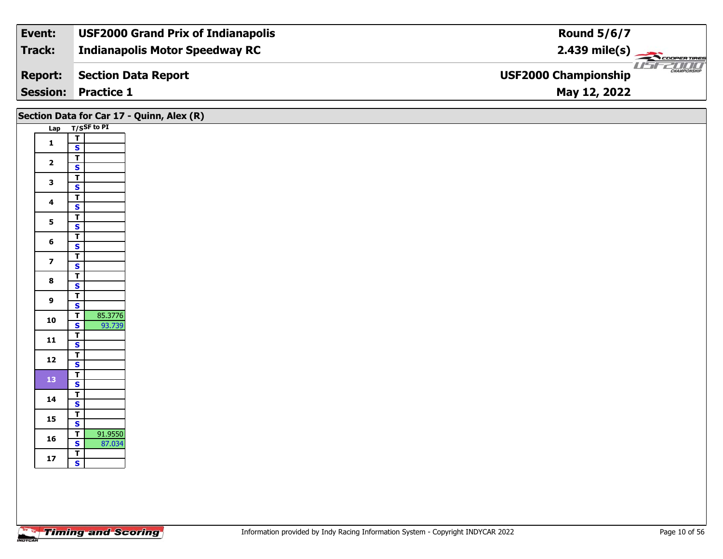| Event:          | <b>USF2000 Grand Prix of Indianapolis</b> | <b>Round 5/6/7</b>                                            |
|-----------------|-------------------------------------------|---------------------------------------------------------------|
| Track:          | <b>Indianapolis Motor Speedway RC</b>     | $2.439 \text{ mile(s)}$                                       |
| <b>Report:</b>  | Section Data Report                       | USFZDOO<br><b>CHAMPIONSHIP</b><br><b>USF2000 Championship</b> |
| <b>Session:</b> | <b>Practice 1</b>                         | May 12, 2022                                                  |

|                         | Section Data for Car 17 - Quinn, Alex (R)                                                                                                     |
|-------------------------|-----------------------------------------------------------------------------------------------------------------------------------------------|
|                         | Lap T/SSF to PI                                                                                                                               |
| $\mathbf 1$             | $\overline{\mathbf{I}}$<br>$\mathbf{s}$                                                                                                       |
|                         | $\overline{\mathsf{T}}$                                                                                                                       |
|                         | $\mathbf{s}$                                                                                                                                  |
|                         | $\overline{\mathsf{T}}$                                                                                                                       |
|                         | $\overline{\mathbf{s}}$                                                                                                                       |
| $\overline{\mathbf{4}}$ | $\overline{\mathsf{T}}$<br>$\mathbf{s}$                                                                                                       |
|                         | $\overline{1}$                                                                                                                                |
|                         | $\overline{\mathbf{s}}$                                                                                                                       |
| $6\phantom{1}$          | $\overline{\mathbf{r}}$                                                                                                                       |
|                         | $\mathbf{s}$<br>$\overline{\mathsf{T}}$                                                                                                       |
|                         | $\overline{\mathbf{s}}$                                                                                                                       |
|                         | $rac{1}{s}$                                                                                                                                   |
|                         |                                                                                                                                               |
| $\boldsymbol{9}$        | $\overline{\mathsf{T}}$<br>$\mathsf{s}$                                                                                                       |
|                         | $\overline{\mathsf{r}}$<br>85.3776                                                                                                            |
|                         | $\overline{\mathbf{s}}$<br>93.739                                                                                                             |
|                         | $\overline{\mathbf{T}}$                                                                                                                       |
|                         | $\mathbf{s}$<br>$\overline{\mathbf{T}}$                                                                                                       |
|                         | $\overline{\mathbf{s}}$                                                                                                                       |
|                         | $\overline{\mathbf{r}}$                                                                                                                       |
|                         | $\mathbf{s}$                                                                                                                                  |
| 14                      | $\overline{\mathsf{r}}$<br>$\mathbf{s}$                                                                                                       |
|                         | $\overline{1}$                                                                                                                                |
|                         | $\overline{\mathbf{s}}$                                                                                                                       |
|                         | 91.9550<br>$\overline{1}$                                                                                                                     |
|                         | 87.034<br>$\mathbf{s}$                                                                                                                        |
| $17$                    | $\overline{\mathsf{T}}$<br>$\overline{\mathbf{s}}$                                                                                            |
|                         |                                                                                                                                               |
|                         | $\overline{\mathbf{2}}$<br>$\mathbf{3}$<br>$5\phantom{a}$<br>$\overline{\mathbf{z}}$<br>$\bf8$<br>10<br>$\mathbf{11}$<br>12<br>13<br>15<br>16 |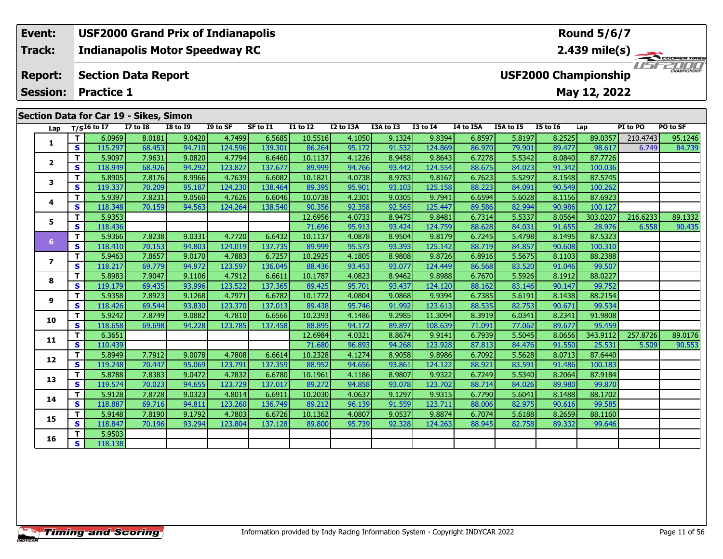### **Event: USF2000 Grand Prix of Indianapolis Round 5/6/7Indianapolis Motor Speedway RC 2.439 mile(s) Track:** COOPERTIRES USFZUUD **Report: Section Data Report USF2000 Championship May 12, 2022 Session: Practice 1 Section Data for Car 19 - Sikes, Simon**

| Lap            |              | $T/SI6$ to I7 | <b>I7 to I8</b> | <b>I8 to I9</b> | I9 to SF | SF to I1 | $I1$ to $I2$ | I2 to I3A | I3A to I3 | <b>I3 to I4</b> | I4 to I5A | I5A to I5 | <b>I5 to 16</b> | Lap      | PI to PO | PO to SF |
|----------------|--------------|---------------|-----------------|-----------------|----------|----------|--------------|-----------|-----------|-----------------|-----------|-----------|-----------------|----------|----------|----------|
|                | T.           | 6.0969        | 8.0181          | 9.0420          | 4.7499   | 6.5685   | 10.5516      | 4.1050    | 9.1324    | 9.8394          | 6.8597    | 5.8197    | 8.2525          | 89.0357  | 210.4743 | 95.1246  |
| 1              | <b>S</b>     | 115.297       | 68.453          | 94.710          | 124.596  | 139.301  | 86.264       | 95.172    | 91.532    | 124.869         | 86.970    | 79.901    | 89.477          | 98.617   | 6.749    | 84.739   |
|                | T.           | 5.9097        | 7.9631          | 9.0820          | 4.7794   | 6.6460   | 10.1137      | 4.1226    | 8.9458    | 9.8643          | 6.7278    | 5.5342    | 8.0840          | 87.7726  |          |          |
| $\mathbf{2}$   | $\mathbf{s}$ | 118.949       | 68.926          | 94.292          | 123.827  | 137.677  | 89.999       | 94.766    | 93.442    | 124.554         | 88.675    | 84.023    | 91.342          | 100.036  |          |          |
| 3              | T.           | 5.8905        | 7.8176          | 8.9966          | 4.7639   | 6.6082   | 10.1821      | 4.0738    | 8.9783    | 9.8167          | 6.7623    | 5.5297    | 8.1548          | 87.5745  |          |          |
|                | $\mathbf{s}$ | 119.337       | 70.209          | 95.187          | 124.230  | 138.464  | 89.395       | 95.901    | 93.103    | 125.158         | 88.223    | 84.091    | 90.549          | 100.262  |          |          |
| 4              | T.           | 5.9397        | 7.8231          | 9.0560          | 4.7626   | 6.6046   | 10.0738      | 4.2301    | 9.0305    | 9.7941          | 6.6594    | 5.6028    | 8.1156          | 87.6923  |          |          |
|                | S.           | 118.348       | 70.159          | 94.563          | 124.264  | 138.540  | 90.356       | 92.358    | 92.565    | 125.447         | 89.586    | 82.994    | 90.986          | 100.127  |          |          |
| 5              | T.           | 5.9353        |                 |                 |          |          | 12.6956      | 4.0733    | 8.9475    | 9.8481          | 6.7314    | 5.5337    | 8.0564          | 303.0207 | 216.6233 | 89.1332  |
|                | $\mathbf{s}$ | 118.436       |                 |                 |          |          | 71.696       | 95.913    | 93.424    | 124.759         | 88.628    | 84.031    | 91.655          | 28.976   | 6.558    | 90.435   |
| 6 <sup>1</sup> | T.           | 5.9366        | 7.8238          | 9.0331          | 4.7720   | 6.6432   | 10.1137      | 4.0878    | 8.9504    | 9.8179          | 6.7245    | 5.4798    | 8.1495          | 87.5323  |          |          |
|                | S            | 118.410       | 70.153          | 94.803          | 124.019  | 137.735  | 89.999       | 95.573    | 93.393    | 125.142         | 88.719    | 84.857    | 90.608          | 100.310  |          |          |
| $\overline{ }$ | T.           | 5.9463        | 7.8657          | 9.0170          | 4.7883   | 6.7257   | 10.2925      | 4.1805    | 8.9808    | 9.8726          | 6.8916    | 5.5675    | 8.1103          | 88.2388  |          |          |
|                | S            | 118.217       | 69.779          | 94.972          | 123.597  | 136.045  | 88.436       | 93.453    | 93.077    | 124.449         | 86.568    | 83.520    | 91.046          | 99.507   |          |          |
| 8              | T.           | 5.8983        | 7.9047          | 9.1106          | 4.7912   | 6.6611   | 10.1787      | 4.0823    | 8.9462    | 9.8988          | 6.7670    | 5.5926    | 8.1912          | 88.0227  |          |          |
|                | <b>S</b>     | 119.179       | 69.435          | 93.996          | 123.522  | 137.365  | 89.425       | 95.701    | 93.437    | 124.120         | 88.162    | 83.146    | 90.147          | 99.752   |          |          |
| 9              | T.           | 5.9358        | 7.8923          | 9.1268          | 4.7971   | 6.6782   | 10.1772      | 4.0804    | 9.0868    | 9.9394          | 6.7385    | 5.6191    | 8.1438          | 88.2154  |          |          |
|                | S            | 118.426       | 69.544          | 93.830          | 123.370  | 137.013  | 89.438       | 95.746    | 91.992    | 123.613         | 88.535    | 82.753    | 90.671          | 99.534   |          |          |
| 10             | T.           | 5.9242        | 7.8749          | 9.0882          | 4.7810   | 6.6566   | 10.2393      | 4.1486    | 9.2985    | 11.3094         | 8.3919    | 6.0341    | 8.2341          | 91.9808  |          |          |
|                | S            | 118.658       | 69.698          | 94.228          | 123.785  | 137.458  | 88.895       | 94.172    | 89.897    | 108.639         | 71.091    | 77.062    | 89.677          | 95.459   |          |          |
| 11             | T.           | 6.3651        |                 |                 |          |          | 12.6984      | 4.0321    | 8.8674    | 9.9141          | 6.7939    | 5.5045    | 8.0656          | 343.9112 | 257.8726 | 89.0176  |
|                | S.           | 110.439       |                 |                 |          |          | 71.680       | 96.893    | 94.268    | 123.928         | 87.813    | 84.476    | 91.550          | 25.531   | 5.509    | 90.553   |
| 12             | T.           | 5.8949        | 7.7912          | 9.0078          | 4.7808   | 6.6614   | 10.2328      | 4.1274    | 8.9058    | 9.8986          | 6.7092    | 5.5628    | 8.0713          | 87.6440  |          |          |
|                | S            | 119.248       | 70.447          | 95.069          | 123.791  | 137.359  | 88.952       | 94.656    | 93.861    | 124.122         | 88.921    | 83.591    | 91.486          | 100.183  |          |          |
| 13             | T.           | 5.8788        | 7.8383          | 9.0472          | 4.7832   | 6.6780   | 10.1961      | 4.1186    | 8.9807    | 9.9322          | 6.7249    | 5.5340    | 8.2064          | 87.9184  |          |          |
|                | <b>S</b>     | 119.574       | 70.023          | 94.655          | 123.729  | 137.017  | 89.272       | 94.858    | 93.078    | 123.702         | 88.714    | 84.026    | 89.980          | 99.870   |          |          |
| 14             | T.           | 5.9128        | 7.8728          | 9.0323          | 4.8014   | 6.6911   | 10.2030      | 4.0637    | 9.1297    | 9.9315          | 6.7790    | 5.6041    | 8.1488          | 88.1702  |          |          |
|                | $\mathbf{s}$ | 118.887       | 69.716          | 94.811          | 123.260  | 136.749  | 89.212       | 96.139    | 91.559    | 123.711         | 88.006    | 82.975    | 90.616          | 99.585   |          |          |
| 15             | T.           | 5.9148        | 7.8190          | 9.1792          | 4.7803   | 6.6726   | 10.1362      | 4.0807    | 9.0537    | 9.8874          | 6.7074    | 5.6188    | 8.2659          | 88.1160  |          |          |
|                | <b>S</b>     | 118.847       | 70.196          | 93.294          | 123.804  | 137.128  | 89.800       | 95.739    | 92.328    | 124.263         | 88.945    | 82.758    | 89.332          | 99.646   |          |          |
| 16             | T            | 5.9503        |                 |                 |          |          |              |           |           |                 |           |           |                 |          |          |          |
|                | S.           | 118.138       |                 |                 |          |          |              |           |           |                 |           |           |                 |          |          |          |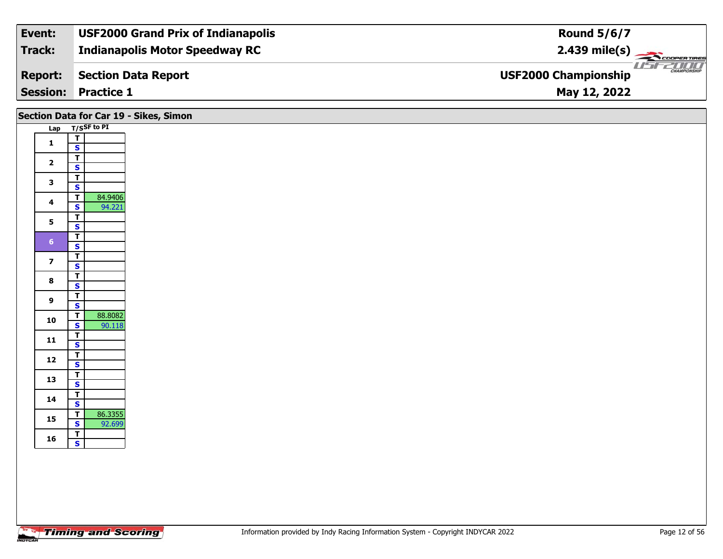| Event:         | <b>USF2000 Grand Prix of Indianapolis</b> | <b>Round 5/6/7</b>                                     |
|----------------|-------------------------------------------|--------------------------------------------------------|
| Track:         | <b>Indianapolis Motor Speedway RC</b>     | $2.439$ mile(s)                                        |
| <b>Report:</b> | Section Data Report                       | <b>THE CHAMPIONSHIP</b><br><b>USF2000 Championship</b> |
|                | <b>Session: Practice 1</b>                | May 12, 2022                                           |

| Section Data for Car 19 - Sikes, Simon<br>Lap T/SSF to PI |                                                                         |  |  |  |  |  |  |  |  |  |  |  |  |
|-----------------------------------------------------------|-------------------------------------------------------------------------|--|--|--|--|--|--|--|--|--|--|--|--|
|                                                           |                                                                         |  |  |  |  |  |  |  |  |  |  |  |  |
| $\mathbf{1}$                                              | $\overline{\mathsf{T}}$<br>$\overline{\mathbf{s}}$                      |  |  |  |  |  |  |  |  |  |  |  |  |
| $\overline{2}$                                            | $\overline{\mathsf{r}}$<br>$\mathbf{s}$                                 |  |  |  |  |  |  |  |  |  |  |  |  |
| $\mathbf{3}$                                              | $\overline{\mathsf{r}}$<br>$\overline{\mathbf{s}}$                      |  |  |  |  |  |  |  |  |  |  |  |  |
| $\overline{\mathbf{4}}$                                   | 84.9406<br>$\overline{\mathsf{r}}$<br>94.221<br>$\overline{\mathbf{s}}$ |  |  |  |  |  |  |  |  |  |  |  |  |
| $5\overline{)}$                                           | $\overline{\mathsf{T}}$<br>$\overline{\mathbf{s}}$                      |  |  |  |  |  |  |  |  |  |  |  |  |
| 6 <sup>1</sup>                                            | $\overline{\mathbf{T}}$<br>$\mathsf{s}$                                 |  |  |  |  |  |  |  |  |  |  |  |  |
| $\overline{\mathbf{z}}$                                   | $\overline{\mathsf{r}}$<br>$\mathbf{s}$                                 |  |  |  |  |  |  |  |  |  |  |  |  |
| $\bf{8}$                                                  | $\overline{\mathsf{r}}$<br>$\mathbf{s}$                                 |  |  |  |  |  |  |  |  |  |  |  |  |
| 9                                                         | $\overline{\mathsf{r}}$<br>$\mathbf{s}$                                 |  |  |  |  |  |  |  |  |  |  |  |  |
| 10                                                        | 88.8082<br>$\overline{\mathsf{r}}$<br>$\overline{\mathbf{s}}$<br>90.118 |  |  |  |  |  |  |  |  |  |  |  |  |
| 11                                                        | $\overline{\mathbf{T}}$<br>$\overline{\mathbf{s}}$                      |  |  |  |  |  |  |  |  |  |  |  |  |
| $12$                                                      | $\overline{1}$<br>$\overline{\mathbf{s}}$                               |  |  |  |  |  |  |  |  |  |  |  |  |
| 13                                                        | $\overline{\mathsf{r}}$<br>$\overline{\mathbf{s}}$                      |  |  |  |  |  |  |  |  |  |  |  |  |
| 14                                                        | $\overline{\mathsf{T}}$<br>$\mathbf{s}$                                 |  |  |  |  |  |  |  |  |  |  |  |  |
| 15                                                        | 86.3355<br>$\overline{\mathsf{T}}$<br>$\overline{\mathbf{s}}$<br>92.699 |  |  |  |  |  |  |  |  |  |  |  |  |
| 16                                                        | $\overline{\mathbf{T}}$<br>$\mathbf{s}$                                 |  |  |  |  |  |  |  |  |  |  |  |  |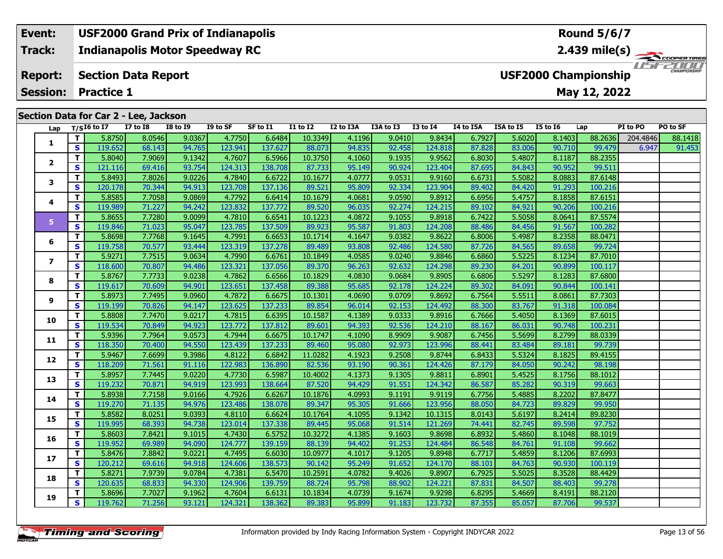### **Event: USF2000 Grand Prix of Indianapolis Round 5/6/7Indianapolis Motor Speedway RC 2.439 mile(s) Track:** THE COOPERTIRES **Section Data Report Report: USF2000 Championship May 12, 2022 Session: Practice 1 Section Data for Car 2 - Lee, Jackson Lap T/SI6 to I7 I7 to I8 I8 to I9 I9 to SF SF to I1 I1 to I2 I2 to I3A I3A to I3 I3 to I4 I4 to I5A I5A to I5 I5 to I6 Lap PI to PO PO to SF**

| Lap            |              | $T/SI6$ to I7 | <b>I7 to I8</b> | <b>I8 to I9</b> | I9 to SF | SF to I1 | <b>I1 to I2</b> | I2 to I3A I3A to I3 |        | I3 to I4 | I4 to I5A | I5A to I5 | I5 to I6 | Lap     | PI to PO | PO to SF |
|----------------|--------------|---------------|-----------------|-----------------|----------|----------|-----------------|---------------------|--------|----------|-----------|-----------|----------|---------|----------|----------|
|                | $\mathbf{T}$ | 5.8750        | 8.0546          | 9.0367          | 4.7750   | 6.6484   | 10.3349         | 4.1196              | 9.0410 | 9.8434   | 6.7927    | 5.6020    | 8.1403   | 88.2636 | 204.4846 | 88.1418  |
| 1              | S            | 119.652       | 68.143          | 94.765          | 123.941  | 137.627  | 88.073          | 94.835              | 92.458 | 124.818  | 87.828    | 83.006    | 90.710   | 99.479  | 6.947    | 91.453   |
|                | T.           | 5.8040        | 7.9069          | 9.1342          | 4.7607   | 6.5966   | 10.3750         | 4.1060              | 9.1935 | 9.9562   | 6.8030    | 5.4807    | 8.1187   | 88.2355 |          |          |
| $\mathbf{2}$   | S            | 121.116       | 69.416          | 93.754          | 124.313  | 138.708  | 87.733          | 95.149              | 90.924 | 123.404  | 87.695    | 84.843    | 90.952   | 99.511  |          |          |
| 3              | T.           | 5.8493        | 7.8026          | 9.0226          | 4.7840   | 6.6722   | 10.1677         | 4.0777              | 9.0531 | 9.9160   | 6.6731    | 5.5082    | 8.0883   | 87.6148 |          |          |
|                | S            | 120.178       | 70.344          | 94.913          | 123.708  | 137.136  | 89.521          | 95.809              | 92.334 | 123.904  | 89.402    | 84.420    | 91.293   | 100.216 |          |          |
| 4              | T.           | 5.8585        | 7.7058          | 9.0869          | 4.7792   | 6.6414   | 10.1679         | 4.0681              | 9.0590 | 9.8912   | 6.6956    | 5.4757    | 8.1858   | 87.6151 |          |          |
|                | <b>S</b>     | 119.989       | 71.227          | 94.242          | 123.832  | 137.772  | 89.520          | 96.035              | 92.274 | 124.215  | 89.102    | 84.921    | 90.206   | 100.216 |          |          |
| 5              | $\mathbf{T}$ | 5.8655        | 7.7280          | 9.0099          | 4.7810   | 6.6541   | 10.1223         | 4.0872              | 9.1055 | 9.8918   | 6.7422    | 5.5058    | 8.0641   | 87.5574 |          |          |
|                | S            | 119.846       | 71.023          | 95.047          | 123.785  | 137.509  | 89.923          | 95.587              | 91.803 | 124.208  | 88.486    | 84.456    | 91.567   | 100.282 |          |          |
| 6              | T.           | 5.8698        | 7.7768          | 9.1645          | 4.7991   | 6.6653   | 10.1714         | 4.1647              | 9.0382 | 9.8622   | 6.8006    | 5.4987    | 8.2358   | 88.0471 |          |          |
|                | S            | 119.758       | 70.577          | 93.444          | 123.319  | 137.278  | 89.489          | 93.808              | 92.486 | 124.580  | 87.726    | 84.565    | 89.658   | 99.724  |          |          |
| $\overline{ }$ | $\mathbf{T}$ | 5.9271        | 7.7515          | 9.0634          | 4.7990   | 6.6761   | 10.1849         | 4.0585              | 9.0240 | 9.8846   | 6.6860    | 5.5225    | 8.1234   | 87.7010 |          |          |
|                | <b>S</b>     | 118.600       | 70.807          | 94.486          | 123.321  | 137.056  | 89.370          | 96.263              | 92.632 | 124.298  | 89.230    | 84.201    | 90.899   | 100.117 |          |          |
| 8              | $\mathbf{T}$ | 5.8767        | 7.7733          | 9.0238          | 4.7862   | 6.6566   | 10.1829         | 4.0830              | 9.0684 | 9.8905   | 6.6806    | 5.5297    | 8.1283   | 87.6800 |          |          |
|                | S            | 119.617       | 70.609          | 94.901          | 123.651  | 137.458  | 89.388          | 95.685              | 92.178 | 124.224  | 89.302    | 84.091    | 90.844   | 100.141 |          |          |
| 9              | T.           | 5.8973        | 7.7495          | 9.0960          | 4.7872   | 6.6675   | 10.1301         | 4.0690              | 9.0709 | 9.8692   | 6.7564    | 5.5511    | 8.0861   | 87.7303 |          |          |
|                | <b>S</b>     | 119.199       | 70.826          | 94.147          | 123.625  | 137.233  | 89.854          | 96.014              | 92.153 | 124.492  | 88.300    | 83.767    | 91.318   | 100.084 |          |          |
| 10             | T.           | 5.8808        | 7.7470          | 9.0217          | 4.7815   | 6.6395   | 10.1587         | 4.1389              | 9.0333 | 9.8916   | 6.7666    | 5.4050    | 8.1369   | 87.6015 |          |          |
|                | <b>S</b>     | 119.534       | 70.849          | 94.923          | 123.772  | 137.812  | 89.601          | 94.393              | 92.536 | 124.210  | 88.167    | 86.031    | 90.748   | 100.231 |          |          |
| 11             | $\mathbf{T}$ | 5.9396        | 7.7964          | 9.0573          | 4.7944   | 6.6675   | 10.1747         | 4.1090              | 8.9909 | 9.9087   | 6.7456    | 5.5699    | 8.2799   | 88.0339 |          |          |
|                | S.           | 118.350       | 70.400          | 94.550          | 123.439  | 137.233  | 89.460          | 95.080              | 92.973 | 123.996  | 88.441    | 83.484    | 89.181   | 99.739  |          |          |
| 12             | T.           | 5.9467        | 7.6699          | 9.3986          | 4.8122   | 6.6842   | 11.0282         | 4.1923              | 9.2508 | 9.8744   | 6.8433    | 5.5324    | 8.1825   | 89.4155 |          |          |
|                | S            | 118.209       | 71.561          | 91.116          | 122.983  | 136.890  | 82.536          | 93.190              | 90.361 | 124.426  | 87.179    | 84.050    | 90.242   | 98.198  |          |          |
| 13             | $\mathbf{T}$ | 5.8957        | 7.7445          | 9.0220          | 4.7730   | 6.5987   | 10.4002         | 4.1373              | 9.1305 | 9.8811   | 6.8901    | 5.4525    | 8.1756   | 88.1012 |          |          |
|                | <b>S</b>     | 119.232       | 70.871          | 94.919          | 123.993  | 138.664  | 87.520          | 94.429              | 91.551 | 124.342  | 86.587    | 85.282    | 90.319   | 99.663  |          |          |
| 14             | $\mathbf{T}$ | 5.8938        | 7.7158          | 9.0166          | 4.7926   | 6.6267   | 10.1876         | 4.0993              | 9.1191 | 9.9119   | 6.7756    | 5.4885    | 8.2202   | 87.8477 |          |          |
|                | S            | 119.270       | 71.135          | 94.976          | 123.486  | 138.078  | 89.347          | 95.305              | 91.666 | 123.956  | 88.050    | 84.723    | 89.829   | 99.950  |          |          |
| 15             | T.           | 5.8582        | 8.0251          | 9.0393          | 4.8110   | 6.6624   | 10.1764         | 4.1095              | 9.1342 | 10.1315  | 8.0143    | 5.6197    | 8.2414   | 89.8230 |          |          |
|                | <b>S</b>     | 119.995       | 68.393          | 94.738          | 123.014  | 137.338  | 89.445          | 95.068              | 91.514 | 121.269  | 74.441    | 82.745    | 89.598   | 97.752  |          |          |
| 16             | T.           | 5.8603        | 7.8421          | 9.1015          | 4.7430   | 6.5752   | 10.3272         | 4.1385              | 9.1603 | 9.8698   | 6.8932    | 5.4860    | 8.1048   | 88.1019 |          |          |
|                | <b>S</b>     | 119.952       | 69.989          | 94.090          | 124.777  | 139.159  | 88.139          | 94.402              | 91.253 | 124.484  | 86.548    | 84.761    | 91.108   | 99.662  |          |          |
| 17             | T.           | 5.8476        | 7.8842          | 9.0221          | 4.7495   | 6.6030   | 10.0977         | 4.1017              | 9.1205 | 9.8948   | 6.7717    | 5.4859    | 8.1206   | 87.6993 |          |          |
|                | S            | 120.212       | 69.616          | 94.918          | 124.606  | 138.573  | 90.142          | 95.249              | 91.652 | 124.170  | 88.101    | 84.763    | 90.930   | 100.119 |          |          |
| 18             | T.           | 5.8271        | 7.9739          | 9.0784          | 4.7381   | 6.5470   | 10.2591         | 4.0782              | 9.4026 | 9.8907   | 6.7925    | 5.5025    | 8.3528   | 88.4429 |          |          |
|                | S            | 120.635       | 68.833          | 94.330          | 124.906  | 139.759  | 88.724          | 95.798              | 88.902 | 124.221  | 87.831    | 84.507    | 88.403   | 99.278  |          |          |
| 19             | T.           | 5.8696        | 7.7027          | 9.1962          | 4.7604   | 6.6131   | 10.1834         | 4.0739              | 9.1674 | 9.9298   | 6.8295    | 5.4669    | 8.4191   | 88.2120 |          |          |
|                | $\mathbf{s}$ | 119.762       | 71.256          | 93.121          | 124.321  | 138.362  | 89.383          | 95.899              | 91.183 | 123.732  | 87.355    | 85.057    | 87.706   | 99.537  |          |          |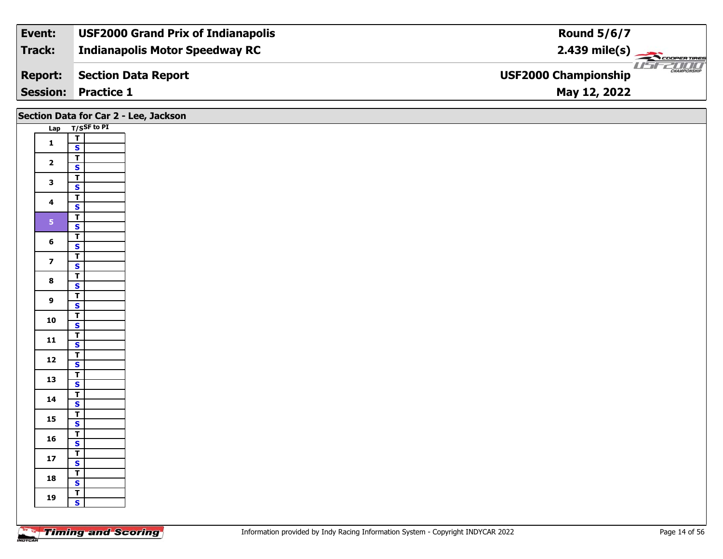| Event:         | <b>USF2000 Grand Prix of Indianapolis</b> | <b>Round 5/6/7</b>                                     |
|----------------|-------------------------------------------|--------------------------------------------------------|
| Track:         | <b>Indianapolis Motor Speedway RC</b>     | $2.439$ mile(s)                                        |
| <b>Report:</b> | Section Data Report                       | <b>THE CHAMPIONSHIP</b><br><b>USF2000 Championship</b> |
|                | <b>Session: Practice 1</b>                | May 12, 2022                                           |

|    |                         |                                           | Section Data for Car 2 - Lee, Jackson |
|----|-------------------------|-------------------------------------------|---------------------------------------|
|    |                         | Lap T/SSF to PI                           |                                       |
|    | $\mathbf{1}$            | $\overline{L}$                            |                                       |
|    |                         | $\mathbf{s}$                              |                                       |
|    | $\mathbf{2}$            | $\overline{I}$<br>$\overline{\mathbf{s}}$ |                                       |
|    |                         | $\overline{\mathsf{r}}$                   |                                       |
|    | $\mathbf{3}$            | $\mathbf{s}$                              |                                       |
|    |                         | $\overline{\mathsf{r}}$                   |                                       |
|    | $\overline{\mathbf{4}}$ | $\mathbf{s}$                              |                                       |
|    | 5 <sub>1</sub>          | $\overline{\mathsf{T}}$                   |                                       |
|    |                         | $\overline{\mathbf{s}}$                   |                                       |
|    | $6\phantom{a}$          | $\overline{\mathbf{T}}$                   |                                       |
|    |                         | $\mathbf{s}$<br>$\overline{I}$            |                                       |
|    | $\overline{\mathbf{z}}$ | $\mathbf{s}$                              |                                       |
|    |                         | $\overline{\mathsf{r}}$                   |                                       |
|    | $\bf{8}$                | $\mathbf{s}$                              |                                       |
|    | $\overline{9}$          | $\overline{T}$                            |                                       |
|    |                         | $\mathbf{s}$                              |                                       |
|    | ${\bf 10}$              | $\overline{\mathbf{r}}$                   |                                       |
|    |                         | $\overline{\mathbf{s}}$<br>$\overline{I}$ |                                       |
| 11 |                         | $\mathbf{s}$                              |                                       |
|    |                         | $\overline{\mathbf{r}}$                   |                                       |
|    | $12$                    | $\mathbf{s}$                              |                                       |
| 13 |                         | $\overline{\mathsf{r}}$                   |                                       |
|    |                         | $\overline{\mathbf{s}}$                   |                                       |
| 14 |                         | $\overline{I}$<br>$\mathbf{s}$            |                                       |
|    |                         | $\overline{\mathsf{T}}$                   |                                       |
| 15 |                         | $\overline{\mathbf{s}}$                   |                                       |
|    | 16                      | $\overline{I}$                            |                                       |
|    |                         | $\mathbf{s}$                              |                                       |
|    | $17$                    | $\overline{\mathbf{r}}$                   |                                       |
|    |                         | $\mathbf{s}$                              |                                       |
| 18 |                         | $\overline{r}$<br>$\mathbf{s}$            |                                       |
|    |                         | $\overline{\mathbf{r}}$                   |                                       |
| 19 |                         | $\mathbf{s}$                              |                                       |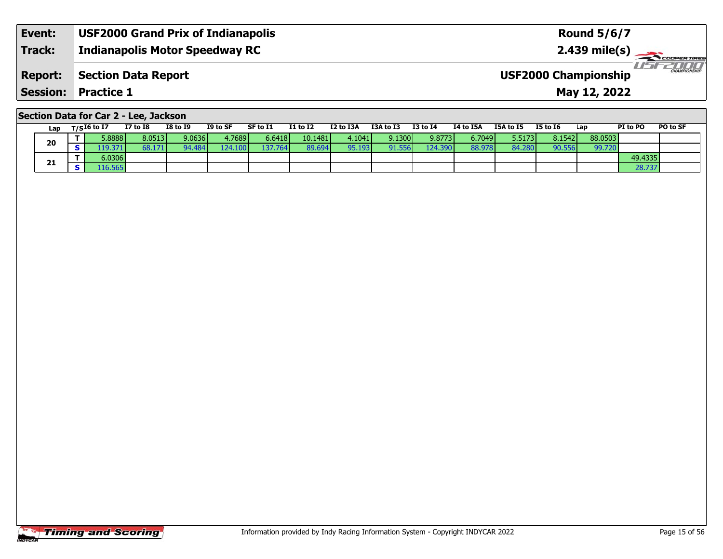| Event:         | <b>USF2000 Grand Prix of Indianapolis</b> | <b>Round 5/6/7</b>                                 |
|----------------|-------------------------------------------|----------------------------------------------------|
| <b>Track:</b>  | <b>Indianapolis Motor Speedway RC</b>     | $2.439$ mile(s)                                    |
| <b>Report:</b> | Section Data Report                       | <b>CHAMPIONSHIP</b><br><b>USF2000 Championship</b> |
|                | <b>Session: Practice 1</b>                | May 12, 2022                                       |

## **Section Data for Car 2 - Lee, Jackson**

|    | Lap     | T/SI6 to I7 | <b>I7 to I8</b> | <b>I8 to I9</b> | I9 to SF | SF to I1 | <b>I1 to I2</b> | I2 to I3A | I3A to I3 | <b>I3 to I4</b> | I4 to I5A | I5A to I5 | I5 to 16 | Lap    | PI to PO | PO to SF |
|----|---------|-------------|-----------------|-----------------|----------|----------|-----------------|-----------|-----------|-----------------|-----------|-----------|----------|--------|----------|----------|
| 20 | 5.8888  | 8.0513      | 9.0636          | 4.7689          | 6.6418   | 10.1481  | 4.1041          | 9.1300    | 9.8773    | 6.7049          | 5.5173    | 8.1542    | 88.0503  |        |          |          |
|    |         | .19.371     | 68.171          | 94.484          | 124.100  | 37.764   | 89.694          | 95.193    | 91.556    | 124.390         | 88.978    | 84.28     | 90.556   | 99.720 |          |          |
|    |         | 6.0306      |                 |                 |          |          |                 |           |           |                 |           |           |          |        | 49.4335  |          |
| 21 | 116.565 |             |                 |                 |          |          |                 |           |           |                 |           |           |          | 28.73. |          |          |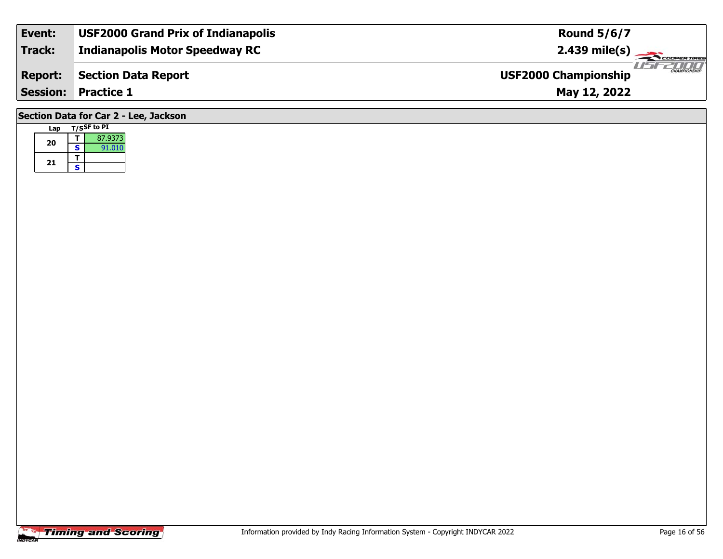| Event:                                | <b>USF2000 Grand Prix of Indianapolis</b> | <b>Round 5/6/7</b>                                 |  |  |  |  |  |  |  |  |  |
|---------------------------------------|-------------------------------------------|----------------------------------------------------|--|--|--|--|--|--|--|--|--|
| Track:                                | <b>Indianapolis Motor Speedway RC</b>     |                                                    |  |  |  |  |  |  |  |  |  |
| <b>Report:</b>                        | <b>Section Data Report</b>                | <b>CHAMPIONSHIP</b><br><b>USF2000 Championship</b> |  |  |  |  |  |  |  |  |  |
|                                       | <b>Session: Practice 1</b>                | May 12, 2022                                       |  |  |  |  |  |  |  |  |  |
| Section Data for Car 2 - Lee, Jackson |                                           |                                                    |  |  |  |  |  |  |  |  |  |

|  | Lap |   | <b>T/SSF</b> to PI |
|--|-----|---|--------------------|
|  | 20  |   | 87.9373            |
|  |     | S | 91.010             |
|  | 21  |   |                    |
|  |     | s |                    |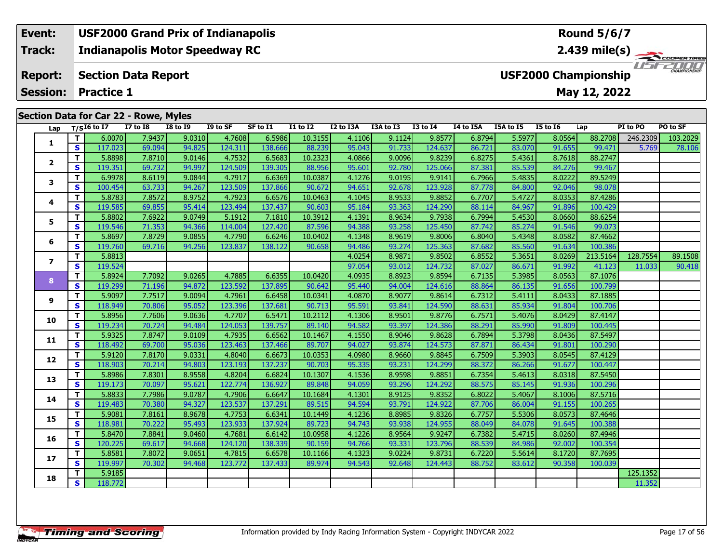### **Event: USF2000 Grand Prix of Indianapolis Round 5/6/7Indianapolis Motor Speedway RC 2.439 mile(s) Track:** THE COOPERTIRES **Section Data Report Report: USF2000 Championship May 12, 2022 Session: Practice 1 Section Data for Car 22 - Rowe, Myles Lap T/SI6 to I7 I7 to I8 I8 to I9 I9 to SF SF to I1 I1 to I2 I2 to I3A I3A to I3 I3 to I4 I4 to I5A I5A to I5 I5 to I6 Lap PI to PO PO to SF**

| Lap            |              | $T/SI6$ to I7 | $I7$ to $I8$ | <b>I8 to 19</b> | $I9$ to SF | SF to I1 | $I1$ to $I2$ | I2 to I3A | I3A to I3 | <b>I3 to I4</b> | I4 to I5A | I5A to I5 | <b>I5 to 16</b> | Lap      | PI to PO | PO to SF |
|----------------|--------------|---------------|--------------|-----------------|------------|----------|--------------|-----------|-----------|-----------------|-----------|-----------|-----------------|----------|----------|----------|
|                | T.           | 6.0070        | 7.9437       | 9.0310          | 4.7608     | 6.5986   | 10.3155      | 4.1106    | 9.1124    | 9.8577          | 6.8794    | 5.5977    | 8.0564          | 88.2708  | 246.2309 | 103.2029 |
| 1              | S            | 117.023       | 69.094       | 94.825          | 124.311    | 138.666  | 88.239       | 95.043    | 91.733    | 124.637         | 86.721    | 83.070    | 91.655          | 99.471   | 5.769    | 78.106   |
|                | T.           | 5.8898        | 7.8710       | 9.0146          | 4.7532     | 6.5683   | 10.2323      | 4.0866    | 9.0096    | 9.8239          | 6.8275    | 5.4361    | 8.7618          | 88.2747  |          |          |
| $\mathbf{2}$   | $\mathbf{s}$ | 119.351       | 69.732       | 94.997          | 124.509    | 139.305  | 88.956       | 95.601    | 92.780    | 125.066         | 87.381    | 85.539    | 84.276          | 99.467   |          |          |
| 3              | T.           | 6.9978        | 8.6119       | 9.0844          | 4.7917     | 6.6369   | 10.0387      | 4.1276    | 9.0195    | 9.9141          | 6.7966    | 5.4835    | 8.0222          | 89.5249  |          |          |
|                | S            | 100.454       | 63.733       | 94.267          | 123.509    | 137.866  | 90.672       | 94.651    | 92.678    | 123.928         | 87.778    | 84.800    | 92.046          | 98.078   |          |          |
| 4              | T.           | 5.8783        | 7.8572       | 8.9752          | 4.7923     | 6.6576   | 10.0463      | 4.1045    | 8.9533    | 9.8852          | 6.7707    | 5.4727    | 8.0353          | 87.4286  |          |          |
|                | $\mathbf{s}$ | 119.585       | 69.855       | 95.414          | 123.494    | 137.437  | 90.603       | 95.184    | 93.363    | 124.290         | 88.114    | 84.967    | 91.896          | 100.429  |          |          |
| 5              | T.           | 5.8802        | 7.6922       | 9.0749          | 5.1912     | 7.1810   | 10.3912      | 4.1391    | 8.9634    | 9.7938          | 6.7994    | 5.4530    | 8.0660          | 88.6254  |          |          |
|                | S            | 119.546       | 71.353       | 94.366          | 114.004    | 127.420  | 87.596       | 94.388    | 93.258    | 125.450         | 87.742    | 85.274    | 91.546          | 99.073   |          |          |
| 6              | T.           | 5.8697        | 7.8729       | 9.0855          | 4.7790     | 6.6246   | 10.0402      | 4.1348    | 8.9619    | 9.8006          | 6.8040    | 5.4348    | 8.0582          | 87.4662  |          |          |
|                | S            | 119.760       | 69.716       | 94.256          | 123.837    | 138.122  | 90.658       | 94.486    | 93.274    | 125.363         | 87.682    | 85.560    | 91.634          | 100.386  |          |          |
| $\overline{ }$ | T.           | 5.8813        |              |                 |            |          |              | 4.0254    | 8.9871    | 9.8502          | 6.8552    | 5.3651    | 8.0269          | 213.5164 | 128.7554 | 89.1508  |
|                | <b>S</b>     | 119.524       |              |                 |            |          |              | 97.054    | 93.012    | 124.732         | 87.027    | 86.671    | 91.992          | 41.123   | 11.033   | 90.418   |
| 8              | T.           | 5.8924        | 7.7092       | 9.0265          | 4.7885     | 6.6355   | 10.0420      | 4.0935    | 8.8923    | 9.8594          | 6.7135    | 5.3985    | 8.0563          | 87.1076  |          |          |
|                | <b>S</b>     | 119.299       | 71.196       | 94.872          | 123.592    | 137.895  | 90.642       | 95.440    | 94.004    | 124.616         | 88.864    | 86.135    | 91.656          | 100.799  |          |          |
| 9              | $\mathbf{T}$ | 5.9097        | 7.7517       | 9.0094          | 4.7961     | 6.6458   | 10.0341      | 4.0870    | 8.9077    | 9.8614          | 6.7312    | 5.4111    | 8.0433          | 87.1885  |          |          |
|                | <b>S</b>     | 118.949       | 70.806       | 95.052          | 123.396    | 137.681  | 90.713       | 95.591    | 93.841    | 124.590         | 88.631    | 85.934    | 91.804          | 100.706  |          |          |
| 10             | Т            | 5.8956        | 7.7606       | 9.0636          | 4.7707     | 6.5471   | 10.2112      | 4.1306    | 8.9501    | 9.8776          | 6.7571    | 5.4076    | 8.0429          | 87.4147  |          |          |
|                | <b>S</b>     | 119.234       | 70.724       | 94.484          | 124.053    | 139.757  | 89.140       | 94.582    | 93.397    | 124.386         | 88.291    | 85.990    | 91.809          | 100.445  |          |          |
| 11             | T.           | 5.9325        | 7.8747       | 9.0109          | 4.7935     | 6.6562   | 10.1467      | 4.1550    | 8.9046    | 9.8628          | 6.7894    | 5.3798    | 8.0436          | 87.5497  |          |          |
|                | <b>S</b>     | 118.492       | 69.700       | 95.036          | 123.463    | 137.466  | 89.707       | 94.027    | 93.874    | 124.573         | 87.871    | 86.434    | 91.801          | 100.290  |          |          |
| 12             | T.           | 5.9120        | 7.8170       | 9.0331          | 4.8040     | 6.6673   | 10.0353      | 4.0980    | 8.9660    | 9.8845          | 6.7509    | 5.3903    | 8.0545          | 87.4129  |          |          |
|                | <b>S</b>     | 118.903       | 70.214       | 94.803          | 123.193    | 137.237  | 90.703       | 95.335    | 93.231    | 124.299         | 88.372    | 86.266    | 91.677          | 100.447  |          |          |
| 13             | T.           | 5.8986        | 7.8301       | 8.9558          | 4.8204     | 6.6824   | 10.1307      | 4.1536    | 8.9598    | 9.8851          | 6.7354    | 5.4613    | 8.0318          | 87.5450  |          |          |
|                | <b>S</b>     | 119.173       | 70.097       | 95.621          | 122.774    | 136.927  | 89.848       | 94.059    | 93.296    | 124.292         | 88.575    | 85.145    | 91.936          | 100.296  |          |          |
| 14             | T.           | 5.8833        | 7.7986       | 9.0787          | 4.7906     | 6.6647   | 10.1684      | 4.1301    | 8.9125    | 9.8352          | 6.8022    | 5.4067    | 8.1006          | 87.5716  |          |          |
|                | <b>S</b>     | 119.483       | 70.380       | 94.327          | 123.537    | 137.291  | 89.515       | 94.594    | 93.791    | 124.922         | 87.706    | 86.004    | 91.155          | 100.265  |          |          |
| 15             | T.           | 5.9081        | 7.8161       | 8.9678          | 4.7753     | 6.6341   | 10.1449      | 4.1236    | 8.8985    | 9.8326          | 6.7757    | 5.5306    | 8.0573          | 87.4646  |          |          |
|                | <b>S</b>     | 118.981       | 70.222       | 95.493          | 123.933    | 137.924  | 89.723       | 94.743    | 93.938    | 124.955         | 88.049    | 84.078    | 91.645          | 100.388  |          |          |
| 16             | T.           | 5.8470        | 7.8841       | 9.0460          | 4.7681     | 6.6142   | 10.0958      | 4.1226    | 8.9564    | 9.9247          | 6.7382    | 5.4715    | 8.0260          | 87.4946  |          |          |
|                | S            | 120.225       | 69.617       | 94.668          | 124.120    | 138.339  | 90.159       | 94.766    | 93.331    | 123.796         | 88.539    | 84.986    | 92.002          | 100.354  |          |          |
| 17             | T.           | 5.8581        | 7.8072       | 9.0651          | 4.7815     | 6.6578   | 10.1166      | 4.1323    | 9.0224    | 9.8731          | 6.7220    | 5.5614    | 8.1720          | 87.7695  |          |          |
|                | <b>S</b>     | 119.997       | 70.302       | 94.468          | 123.772    | 137.433  | 89.974       | 94.543    | 92.648    | 124.443         | 88.752    | 83.612    | 90.358          | 100.039  |          |          |
| 18             | T.           | 5.9185        |              |                 |            |          |              |           |           |                 |           |           |                 |          | 125.1352 |          |
|                | S            | 118.772       |              |                 |            |          |              |           |           |                 |           |           |                 |          | 11.352   |          |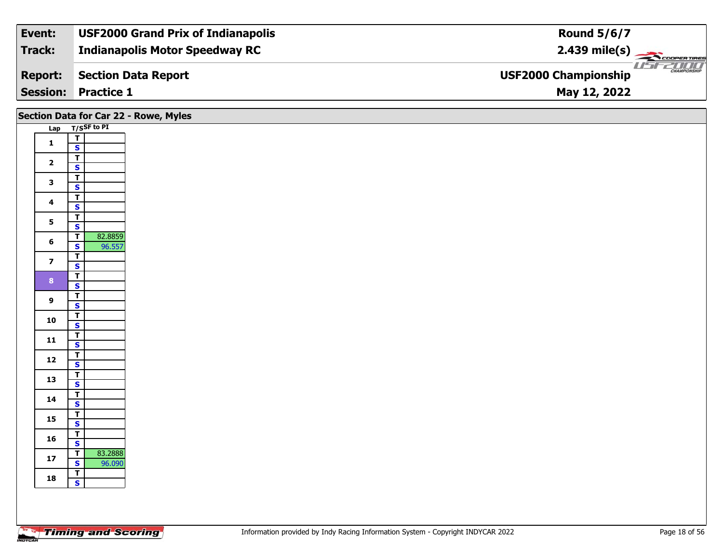| Event:         | <b>USF2000 Grand Prix of Indianapolis</b> | <b>Round 5/6/7</b>                                     |
|----------------|-------------------------------------------|--------------------------------------------------------|
| Track:         | <b>Indianapolis Motor Speedway RC</b>     | $2.439$ mile(s)                                        |
| <b>Report:</b> | Section Data Report                       | <b>THE CHAMPIONSHIP</b><br><b>USF2000 Championship</b> |
|                | <b>Session: Practice 1</b>                | May 12, 2022                                           |

|                         |                                                    | Section Data for Car 22 - Rowe, Myles |
|-------------------------|----------------------------------------------------|---------------------------------------|
|                         | Lap T/SSF to PI                                    |                                       |
| $\mathbf 1$             | $\overline{\mathbf{r}}$                            |                                       |
|                         | $\overline{\mathbf{s}}$<br>$\overline{\mathbf{T}}$ |                                       |
| $\overline{\mathbf{2}}$ | $\overline{\mathbf{s}}$                            |                                       |
| $\mathbf{3}$            | $\overline{\mathsf{r}}$<br>$\mathbf{s}$            |                                       |
|                         | $\overline{\mathsf{r}}$                            |                                       |
| 4                       | $\overline{\mathbf{s}}$                            |                                       |
| $\overline{\mathbf{5}}$ | $\overline{\mathsf{T}}$<br>$\overline{\mathbf{s}}$ |                                       |
| $\bf 6$                 | $\overline{\mathsf{T}}$<br>82.8859                 |                                       |
|                         | 96.557<br>$\mathbf{s}$                             |                                       |
| $\overline{\mathbf{z}}$ | $\overline{\mathsf{r}}$<br>$\overline{\mathbf{s}}$ |                                       |
| $\bf8$                  | $\overline{1}$                                     |                                       |
|                         | $\overline{\mathbf{s}}$<br>$\overline{\mathsf{r}}$ |                                       |
| $\boldsymbol{9}$        | $\mathbf{s}$                                       |                                       |
| 10                      | $rac{T}{s}$                                        |                                       |
|                         |                                                    |                                       |
| 11                      | $rac{1}{s}$                                        |                                       |
| $12$                    | $\overline{1}$<br>$\overline{\mathbf{s}}$          |                                       |
|                         |                                                    |                                       |
| 13                      | $\frac{1}{s}$                                      |                                       |
| 14                      | $\frac{1}{s}$                                      |                                       |
| 15                      | $\frac{T}{S}$                                      |                                       |
|                         |                                                    |                                       |
| 16                      | $rac{1}{s}$                                        |                                       |
| ${\bf 17}$              | $\overline{1}$<br>83.2888                          |                                       |
|                         | $\mathbf{s}$<br>96.090                             |                                       |
| 18                      | $\frac{1}{s}$                                      |                                       |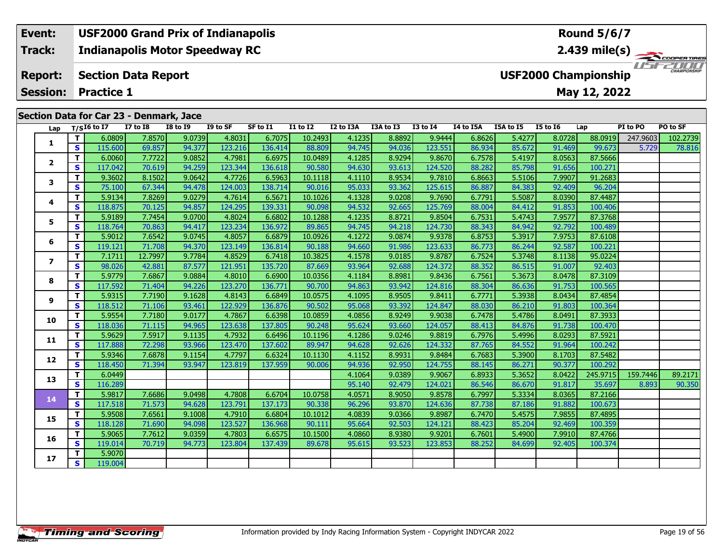#### **Event: USF2000 Grand Prix of Indianapolis Round 5/6/7Indianapolis Motor Speedway RC 2.439 mile(s) Track:** THE COOPER TIRES **Report: Section Data Report USF2000 Championship Session:May 12, 2022 Practice 1 Section Data for Car 23 - Denmark, Jace**

| Lap            |              | $T/SI6$ to I7 | $\frac{1}{2}$<br><b>I7 to I8</b> | <b>I8 to 19</b> | I9 to SF | SF to I1 | <b>I1 to I2</b> | I2 to I3A | I3A to I3 | <b>I3 to I4</b> | I4 to I5A | I5A to I5 | <b>I5 to 16</b> | Lap      | PI to PO | PO to SF |
|----------------|--------------|---------------|----------------------------------|-----------------|----------|----------|-----------------|-----------|-----------|-----------------|-----------|-----------|-----------------|----------|----------|----------|
|                | T.           | 6.0809        | 7.8570                           | 9.0739          | 4.8031   | 6.7075   | 10.2493         | 4.1235    | 8.8892    | 9.9444          | 6.8626    | 5.4277    | 8.0728          | 88.0919  | 247.9603 | 102.2739 |
| 1              | $\mathbf{s}$ | 115,600       | 69.857                           | 94.377          | 123.216  | 136.414  | 88.809          | 94.745    | 94.036    | 123.551         | 86.934    | 85.672    | 91.469          | 99.673   | 5.729    | 78.816   |
|                | T.           | 6.0060        | 7.7722                           | 9.0852          | 4.7981   | 6.6975   | 10.0489         | 4.1285    | 8.9294    | 9.8670          | 6.7578    | 5.4197    | 8.0563          | 87.5666  |          |          |
| $\mathbf{2}$   | S            | 117.042       | 70.619                           | 94.259          | 123.344  | 136.618  | 90.580          | 94.630    | 93.613    | 124.520         | 88.282    | 85.798    | 91.656          | 100.271  |          |          |
|                | T.           | 9.3602        | 8.1502                           | 9.0642          | 4.7726   | 6.5963   | 10.1118         | 4.1110    | 8.9534    | 9.7810          | 6.8663    | 5.5106    | 7.9907          | 91.2683  |          |          |
| 3              | S.           | 75.100        | 67.344                           | 94.478          | 124.003  | 138.714  | 90.016          | 95.033    | 93.362    | 125.615         | 86.887    | 84.383    | 92.409          | 96.204   |          |          |
|                | Т            | 5.9134        | 7.8269                           | 9.0279          | 4.7614   | 6.5671   | 10.1026         | 4.1328    | 9.0208    | 9.7690          | 6.7791    | 5.5087    | 8.0390          | 87.4487  |          |          |
| 4              | $\mathbf{s}$ | 118.875       | 70.125                           | 94.857          | 124.295  | 139.331  | 90.098          | 94.532    | 92.665    | 125.769         | 88.004    | 84.412    | 91.853          | 100.406  |          |          |
| 5              | T.           | 5.9189        | 7.7454                           | 9.0700          | 4.8024   | 6.6802   | 10.1288         | 4.1235    | 8.8721    | 9.8504          | 6.7531    | 5.4743    | 7.9577          | 87.3768  |          |          |
|                | $\mathbf{s}$ | 118.764       | 70.863                           | 94.417          | 123.234  | 136.972  | 89.865          | 94.745    | 94.218    | 124.730         | 88.343    | 84.942    | 92.792          | 100.489  |          |          |
| 6              | T.           | 5.9012        | 7.6542                           | 9.0745          | 4.8057   | 6.6879   | 10.0926         | 4.1272    | 9.0874    | 9.9378          | 6.8753    | 5.3917    | 7.9753          | 87.6108  |          |          |
|                | $\mathbf{s}$ | 119.121       | 71.708                           | 94.370          | 123.149  | 136.814  | 90.188          | 94.660    | 91.986    | 123.633         | 86.773    | 86.244    | 92.587          | 100.221  |          |          |
| $\overline{ }$ | Т            | 7.1711        | 12.7997                          | 9.7784          | 4.8529   | 6.7418   | 10.3825         | 4.1578    | 9.0185    | 9.8787          | 6.7524    | 5.3748    | 8.1138          | 95.0224  |          |          |
|                | $\mathbf{s}$ | 98.026        | 42.881                           | 87.577          | 121.951  | 135.720  | 87.669          | 93.964    | 92.688    | 124.372         | 88.352    | 86.515    | 91.007          | 92.403   |          |          |
| 8              | T.           | 5.9779        | 7.6867                           | 9.0884          | 4.8010   | 6.6900   | 10.0356         | 4.1184    | 8.8981    | 9.8436          | 6.7561    | 5.3673    | 8.0478          | 87.3109  |          |          |
|                | $\mathbf{s}$ | 117.592       | 71.404                           | 94.226          | 123.270  | 136.771  | 90.700          | 94.863    | 93.942    | 124.816         | 88.304    | 86.636    | 91.753          | 100.565  |          |          |
| 9              | T.           | 5.9315        | 7.7190                           | 9.1628          | 4.8143   | 6.6849   | 10.0575         | 4.1095    | 8.9505    | 9.8411          | 6.7771    | 5.3938    | 8.0434          | 87.4854  |          |          |
|                | S            | 118.512       | 71.106                           | 93.461          | 122.929  | 136.876  | 90.502          | 95.068    | 93.392    | 124.847         | 88.030    | 86.210    | 91.803          | 100.364  |          |          |
| 10             | T.           | 5.9554        | 7.7180                           | 9.0177          | 4.7867   | 6.6398   | 10.0859         | 4.0856    | 8.9249    | 9.9038          | 6.7478    | 5.4786    | 8.0491          | 87.3933  |          |          |
|                | S            | 118.036       | 71.115                           | 94.965          | 123.638  | 137.805  | 90.248          | 95.624    | 93.660    | 124.057         | 88.413    | 84.876    | 91.738          | 100.470  |          |          |
| 11             | T.           | 5.9629        | 7.5917                           | 9.1135          | 4.7932   | 6.6496   | 10.1196         | 4.1286    | 9.0246    | 9.8819          | 6.7976    | 5.4996    | 8.0293          | 87.5921  |          |          |
|                | $\mathbf{s}$ | 117.888       | 72.298                           | 93.966          | 123.470  | 137.602  | 89.947          | 94.628    | 92.626    | 124.332         | 87.765    | 84.552    | 91.964          | 100.242  |          |          |
| 12             | T            | 5.9346        | 7.6878                           | 9.1154          | 4.7797   | 6.6324   | 10.1130         | 4.1152    | 8.9931    | 9.8484          | 6.7683    | 5.3900    | 8.1703          | 87.5482  |          |          |
|                | $\mathbf{s}$ | 118.450       | 71.394                           | 93.947          | 123.819  | 137.959  | 90.006          | 94.936    | 92.950    | 124.755         | 88.145    | 86.271    | 90.377          | 100.292  |          |          |
| 13             | T.           | 6.0449        |                                  |                 |          |          |                 | 4.1064    | 9.0389    | 9.9067          | 6.8933    | 5.3652    | 8.0422          | 245.9715 | 159.7446 | 89.2171  |
|                | S            | 116.289       |                                  |                 |          |          |                 | 95.140    | 92.479    | 124.021         | 86.546    | 86.670    | 91.817          | 35.697   | 8.893    | 90.350   |
| 14             | T.           | 5.9817        | 7.6686                           | 9.0498          | 4.7808   | 6.6704   | 10.0758         | 4.0571    | 8.9050    | 9.8578          | 6.7997    | 5.3334    | 8.0365          | 87.2166  |          |          |
|                | $\mathbf{s}$ | 117.518       | 71.573                           | 94.628          | 123.791  | 137.173  | 90.338          | 96.296    | 93.870    | 124.636         | 87.738    | 87.186    | 91.882          | 100.673  |          |          |
| 15             | Т            | 5.9508        | 7.6561                           | 9.1008          | 4.7910   | 6.6804   | 10.1012         | 4.0839    | 9.0366    | 9.8987          | 6.7470    | 5.4575    | 7.9855          | 87.4895  |          |          |
|                | S.           | 118.128       | 71.690                           | 94.098          | 123.527  | 136.968  | 90.111          | 95.664    | 92.503    | 124.121         | 88.423    | 85.204    | 92.469          | 100.359  |          |          |
| 16             | T.           | 5.9065        | 7.7612                           | 9.0359          | 4.7803   | 6.6575   | 10.1500         | 4.0860    | 8.9380    | 9.9201          | 6.7601    | 5.4900    | 7.9910          | 87.4766  |          |          |
|                | S            | 119.014       | 70.719                           | 94.773          | 123.804  | 137.439  | 89.678          | 95.615    | 93.523    | 123.853         | 88.252    | 84.699    | 92.405          | 100.374  |          |          |
| 17             | T.           | 5.9070        |                                  |                 |          |          |                 |           |           |                 |           |           |                 |          |          |          |
|                | S.           | 119.004       |                                  |                 |          |          |                 |           |           |                 |           |           |                 |          |          |          |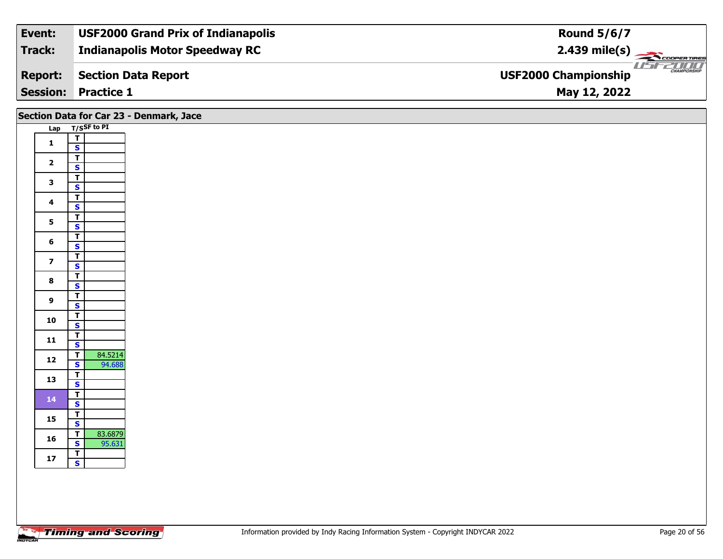| Event:         | <b>USF2000 Grand Prix of Indianapolis</b> | <b>Round 5/6/7</b>                                 |
|----------------|-------------------------------------------|----------------------------------------------------|
| Track:         | <b>Indianapolis Motor Speedway RC</b>     | $2.439 \text{ mile(s)}$                            |
| <b>Report:</b> | Section Data Report                       | <b>CHAMPIONSHIP</b><br><b>USF2000 Championship</b> |
|                | <b>Session: Practice 1</b>                | May 12, 2022                                       |

|                         |                                                                         | Section Data for Car 23 - Denmark, Jace |
|-------------------------|-------------------------------------------------------------------------|-----------------------------------------|
|                         | Lap T/SSF to PI                                                         |                                         |
| $\mathbf 1$             | $\mathbf T$<br>$\mathbf{s}$                                             |                                         |
| $\mathbf{2}$            | $\overline{\mathsf{r}}$<br>$\overline{\mathbf{s}}$                      |                                         |
| $\mathbf{3}$            | $\overline{\mathbf{T}}$                                                 |                                         |
|                         | $\overline{\mathbf{s}}$<br>$\overline{\mathsf{r}}$                      |                                         |
| $\overline{\mathbf{4}}$ | $\mathsf{s}$                                                            |                                         |
| 5                       | $\overline{1}$<br>$\overline{\mathbf{s}}$                               |                                         |
| 6                       | $\mathbf T$                                                             |                                         |
|                         | $\mathsf{s}$<br>$\overline{\mathbf{T}}$                                 |                                         |
| $\overline{\mathbf{z}}$ | $\overline{\mathbf{s}}$                                                 |                                         |
| $\bf{8}$                | $\overline{\mathbf{T}}$<br>$\overline{\mathbf{s}}$                      |                                         |
| $\boldsymbol{9}$        | $\overline{\mathbf{T}}$<br>$\mathbf{s}$                                 |                                         |
| 10                      | $\overline{\mathsf{r}}$                                                 |                                         |
|                         | $\overline{\mathbf{s}}$                                                 |                                         |
| 11                      | $\frac{1}{s}$                                                           |                                         |
| $12$                    | $\overline{\mathsf{T}}$<br>84.5214<br>$\overline{\mathbf{s}}$<br>94.688 |                                         |
| 13                      | $\overline{\mathbf{T}}$<br>$\overline{\mathbf{s}}$                      |                                         |
| 14                      | $\overline{\mathbf{T}}$                                                 |                                         |
|                         | $\mathbf{s}$<br>$\overline{\mathbf{T}}$                                 |                                         |
| 15                      | $\overline{\mathbf{s}}$                                                 |                                         |
| 16                      | 83.6879<br>$\mathbf T$<br>$\mathbf{s}$<br>95.631                        |                                         |
| $17$                    | $\overline{t}$<br>$\mathbf{s}$                                          |                                         |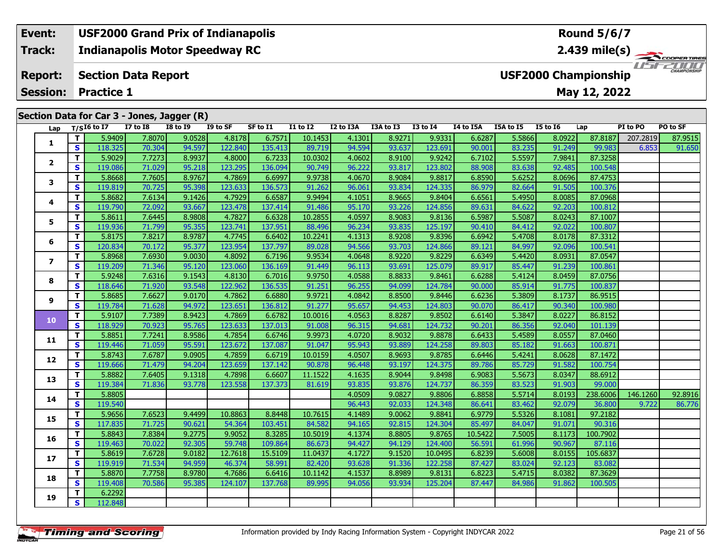### **Event: USF2000 Grand Prix of Indianapolis Round 5/6/7Indianapolis Motor Speedway RC 2.439 mile(s) Track:** COOPERTIRES USFZUUD **Report: Section Data Report USF2000 Championship May 12, 2022 Session: Practice 1 Section Data for Car 3 - Jones, Jagger (R)**

| Lap            |    | $T/SI6$ to I7 | <b>I7 to I8</b> | <b>I8 to 19</b> | I9 to SF | SF to I1 | $I1$ to $I2$ | I2 to I3A | I3A to I3 | <b>I3 to I4</b> | I4 to I5A | I5A to I5 | <b>I5 to 16</b> | Lap      | PI to PO | PO to SF |
|----------------|----|---------------|-----------------|-----------------|----------|----------|--------------|-----------|-----------|-----------------|-----------|-----------|-----------------|----------|----------|----------|
|                | T  | 5.9409        | 7.8070          | 9.0528          | 4.8178   | 6.7571   | 10.1453      | 4.1301    | 8.9271    | 9.9331          | 6.6287    | 5.5866    | 8.0922          | 87.8187  | 207.2819 | 87.9515  |
| 1              | S. | 118.325       | 70.304          | 94.597          | 122.840  | 135.413  | 89.719       | 94.594    | 93.637    | 123.691         | 90.001    | 83.235    | 91.249          | 99.983   | 6.853    | 91.650   |
|                | T. | 5.9029        | 7.7273          | 8.9937          | 4.8000   | 6.7233   | 10.0302      | 4.0602    | 8.9100    | 9.9242          | 6.7102    | 5.5597    | 7.9841          | 87.3258  |          |          |
| $\mathbf{2}$   | S. | 119.086       | 71.029          | 95.218          | 123.295  | 136.094  | 90.749       | 96.222    | 93.817    | 123.802         | 88.908    | 83.638    | 92.485          | 100.548  |          |          |
|                | T. | 5.8668        | 7.7605          | 8.9767          | 4.7869   | 6.6997   | 9.9738       | 4.0670    | 8.9084    | 9.8817          | 6.8590    | 5.6252    | 8.0696          | 87.4753  |          |          |
| 3              | S. | 119.819       | 70.725          | 95.398          | 123.633  | 136.573  | 91.262       | 96.061    | 93.834    | 124.335         | 86.979    | 82.664    | 91.505          | 100.376  |          |          |
|                | Τ. | 5.8682        | 7.6134          | 9.1426          | 4.7929   | 6.6587   | 9.9494       | 4.1051    | 8.9665    | 9.8404          | 6.6561    | 5.4950    | 8.0085          | 87.0968  |          |          |
| 4              | S  | 119.790       | 72.092          | 93.667          | 123.478  | 137.414  | 91.486       | 95.170    | 93.226    | 124.856         | 89.631    | 84.622    | 92.203          | 100.812  |          |          |
| 5              | T. | 5.8611        | 7.6445          | 8.9808          | 4.7827   | 6.6328   | 10.2855      | 4.0597    | 8.9083    | 9.8136          | 6.5987    | 5.5087    | 8.0243          | 87.1007  |          |          |
|                | S  | 119.936       | 71.799          | 95.355          | 123.741  | 137.951  | 88.496       | 96.234    | 93.835    | 125.197         | 90.410    | 84.412    | 92.022          | 100.807  |          |          |
|                | T. | 5.8175        | 7.8217          | 8.9787          | 4.7745   | 6.6402   | 10.2241      | 4.1313    | 8.9208    | 9.8396          | 6.6942    | 5.4708    | 8.0178          | 87.3312  |          |          |
| 6              | S  | 120.834       | 70.172          | 95.377          | 123.954  | 137.797  | 89.028       | 94.566    | 93.703    | 124.866         | 89.121    | 84.997    | 92.096          | 100.541  |          |          |
| $\overline{ }$ | T. | 5.8968        | 7.6930          | 9.0030          | 4.8092   | 6.7196   | 9.9534       | 4.0648    | 8.9220    | 9.8229          | 6.6349    | 5.4420    | 8.0931          | 87.0547  |          |          |
|                | S  | 119.209       | 71.346          | 95.120          | 123.060  | 136.169  | 91.449       | 96.113    | 93.691    | 125.079         | 89.917    | 85.447    | 91.239          | 100.861  |          |          |
| 8              | Τ. | 5.9248        | 7.6316          | 9.1543          | 4.8130   | 6.7016   | 9.9750       | 4.0588    | 8.8833    | 9.8461          | 6.6288    | 5.4124    | 8.0459          | 87.0756  |          |          |
|                | S. | 118.646       | 71.920          | 93.548          | 122.962  | 136.535  | 91.251       | 96.255    | 94.099    | 124.784         | 90.000    | 85.914    | 91.775          | 100.837  |          |          |
| 9              | T. | 5.8685        | 7.6627          | 9.0170          | 4.7862   | 6.6880   | 9.9721       | 4.0842    | 8.8500    | 9.8446          | 6.6236    | 5.3809    | 8.1737          | 86.9515  |          |          |
|                | S  | 119.784       | 71.628          | 94.972          | 123.651  | 136.812  | 91.277       | 95.657    | 94.453    | 124.803         | 90.070    | 86.417    | 90.340          | 100.980  |          |          |
| 10             | T. | 5.9107        | 7.7389          | 8.9423          | 4.7869   | 6.6782   | 10.0016      | 4.0563    | 8.8287    | 9.8502          | 6.6140    | 5.3847    | 8.0227          | 86.8152  |          |          |
|                | S. | 118.929       | 70.923          | 95.765          | 123.633  | 137.013  | 91.008       | 96.315    | 94.681    | 124.732         | 90.201    | 86.356    | 92.040          | 101.139  |          |          |
| 11             | T. | 5.8851        | 7.7241          | 8.9586          | 4.7854   | 6.6746   | 9.9973       | 4.0720    | 8.9032    | 9.8878          | 6.6433    | 5.4589    | 8.0557          | 87.0460  |          |          |
|                | S  | 119.446       | 71.059          | 95.591          | 123.672  | 137.087  | 91.047       | 95.943    | 93.889    | 124.258         | 89.803    | 85.182    | 91.663          | 100.871  |          |          |
| 12             | T. | 5.8743        | 7.6787          | 9.0905          | 4.7859   | 6.6719   | 10.0159      | 4.0507    | 8.9693    | 9.8785          | 6.6446    | 5.4241    | 8.0628          | 87.1472  |          |          |
|                | S. | 119.666       | 71.479          | 94.204          | 123.659  | 137.142  | 90.878       | 96.448    | 93.197    | 124.375         | 89.786    | 85.729    | 91.582          | 100.754  |          |          |
| 13             | Τ. | 5.8882        | 7.6405          | 9.1318          | 4.7898   | 6.6607   | 11.1522      | 4.1635    | 8.9044    | 9.8498          | 6.9083    | 5.5673    | 8.0347          | 88.6912  |          |          |
|                | S  | 119.384       | 71.836          | 93.778          | 123.558  | 137.373  | 81.619       | 93.835    | 93.876    | 124.737         | 86.359    | 83.523    | 91.903          | 99.000   |          |          |
| 14             | Τ. | 5.8805        |                 |                 |          |          |              | 4.0509    | 9.0827    | 9.8806          | 6.8858    | 5.5714    | 8.0193          | 238.6006 | 146.1260 | 92.8916  |
|                | S. | 119.540       |                 |                 |          |          |              | 96.443    | 92.033    | 124.348         | 86.641    | 83.462    | 92.079          | 36.800   | 9.722    | 86.776   |
| 15             | Τ. | 5.9656        | 7.6523          | 9.4499          | 10.8863  | 8.8448   | 10.7615      | 4.1489    | 9.0062    | 9.8841          | 6.9779    | 5.5326    | 8.1081          | 97.2182  |          |          |
|                | S  | 117.835       | 71.725          | 90.621          | 54.364   | 103.451  | 84.582       | 94.165    | 92.815    | 124.304         | 85.497    | 84.047    | 91.071          | 90.316   |          |          |
| 16             | T. | 5.8843        | 7.8384          | 9.2775          | 9.9052   | 8.3285   | 10.5019      | 4.1374    | 8.8805    | 9.8765          | 10.5422   | 7.5005    | 8.1173          | 100.7902 |          |          |
|                | S  | 119.463       | 70.022          | 92.305          | 59.748   | 109.864  | 86.673       | 94.427    | 94.129    | 124.400         | 56.591    | 61.996    | 90.967          | 87.116   |          |          |
| 17             | T. | 5.8619        | 7.6728          | 9.0182          | 12.7618  | 15.5109  | 11.0437      | 4.1727    | 9.1520    | 10.0495         | 6.8239    | 5.6008    | 8.0155          | 105.6837 |          |          |
|                | S  | 119.919       | 71.534          | 94.959          | 46.374   | 58.991   | 82.420       | 93.628    | 91.336    | 122.258         | 87.427    | 83.024    | 92.123          | 83.082   |          |          |
| 18             | T. | 5.8870        | 7.7758          | 8.9780          | 4.7686   | 6.6416   | 10.1142      | 4.1537    | 8.8989    | 9.8131          | 6.8223    | 5.4715    | 8.0382          | 87.3629  |          |          |
|                | S. | 119.408       | 70.586          | 95.385          | 124.107  | 137.768  | 89.995       | 94.056    | 93.934    | 125.204         | 87.447    | 84.986    | 91.862          | 100.505  |          |          |
| 19             | T. | 6.2292        |                 |                 |          |          |              |           |           |                 |           |           |                 |          |          |          |
|                | S. | 112.848       |                 |                 |          |          |              |           |           |                 |           |           |                 |          |          |          |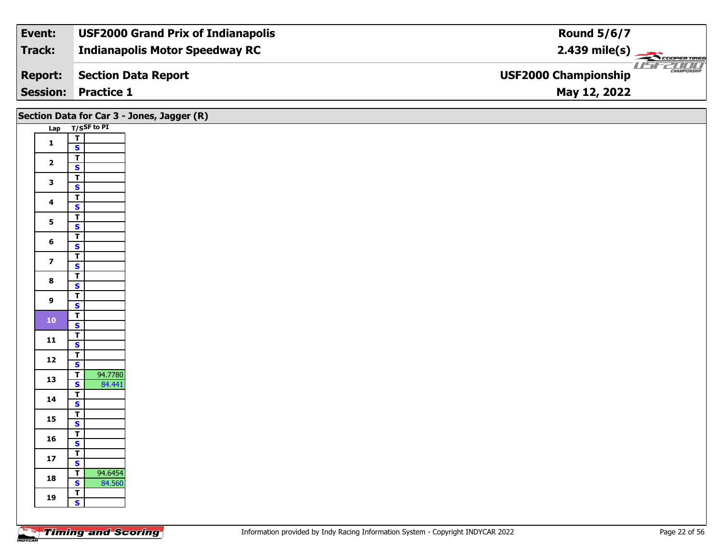| Event:         | <b>USF2000 Grand Prix of Indianapolis</b> | <b>Round 5/6/7</b>                           |
|----------------|-------------------------------------------|----------------------------------------------|
| Track:         | <b>Indianapolis Motor Speedway RC</b>     | $2.439 \text{ mile(s)}$                      |
| <b>Report:</b> | Section Data Report                       | $\frac{1}{1}$<br><b>USF2000 Championship</b> |
|                | <b>Session: Practice 1</b>                | May 12, 2022                                 |

|                         | Section Data for Car 3 - Jones, Jagger (R)                     |
|-------------------------|----------------------------------------------------------------|
|                         | Lap T/SSF to PI                                                |
| $\mathbf{1}$            | $\overline{r}$                                                 |
|                         | $\mathbf{s}$                                                   |
| $\overline{2}$          | $\overline{\mathsf{r}}$                                        |
|                         | $\mathbf{s}$                                                   |
| $\overline{\mathbf{3}}$ | $\overline{1}$                                                 |
|                         | $\overline{\mathbf{s}}$<br>$\overline{\mathsf{T}}$             |
| $\overline{\mathbf{4}}$ | $\mathbf{s}$                                                   |
|                         | $\overline{I}$                                                 |
| $5\phantom{a}$          | $\overline{\mathbf{s}}$                                        |
|                         | $\overline{\mathsf{T}}$                                        |
| $6\phantom{a}$          | $\mathsf{s}$                                                   |
| $\overline{\mathbf{z}}$ | $\overline{t}$                                                 |
|                         | $\mathbf{s}$                                                   |
| $\bf{8}$                | $\overline{\mathsf{r}}$<br>$\mathbf{s}$                        |
|                         | $\overline{\mathsf{r}}$                                        |
| $\overline{9}$          | $\overline{\mathbf{s}}$                                        |
|                         | $\overline{1}$                                                 |
| $101$                   | $\overline{\mathbf{s}}$                                        |
| 11                      | $\overline{\mathbf{r}}$                                        |
|                         | $\mathsf{s}$                                                   |
| 12                      | $\overline{\mathbf{r}}$                                        |
|                         | $\overline{\mathbf{s}}$                                        |
| 13                      | 94.7780<br>$\overline{I}$<br>$\overline{\mathbf{s}}$<br>84.441 |
|                         | $\overline{t}$                                                 |
| 14                      | $\mathbf{s}$                                                   |
|                         | $\overline{1}$                                                 |
| 15                      | $\overline{\mathbf{s}}$                                        |
| 16                      | $\overline{I}$                                                 |
|                         | $\mathbf{s}$                                                   |
| $17\,$                  | $\overline{L}$                                                 |
|                         | $\mathbf{s}$<br>94.6454<br>$\overline{\mathbf{r}}$             |
| 18                      | 84.560<br>$\overline{\mathbf{s}}$                              |
|                         | $\sqrt{T}$                                                     |
| 19                      | $\mathbf{s}$                                                   |
|                         |                                                                |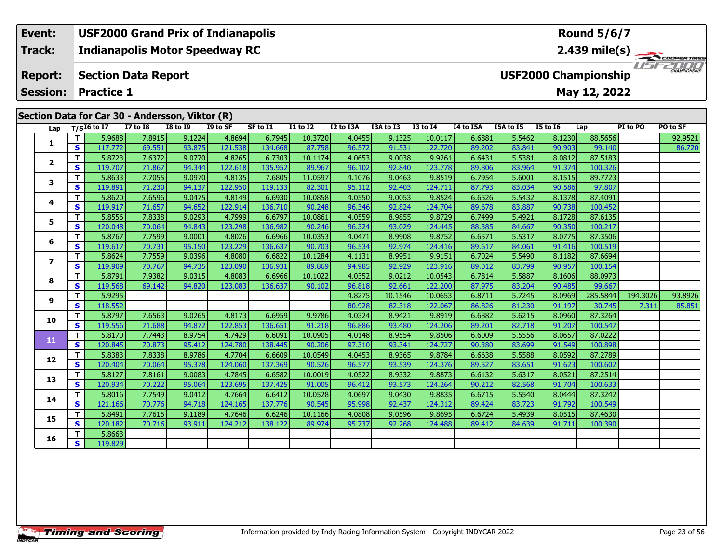#### **Event: USF2000 Grand Prix of Indianapolis Round 5/6/7Indianapolis Motor Speedway RC 2.439 mile(s) Track:** COOPER TIRES USFZOOD **Report: Section Data Report USF2000 Championship Session:May 12, 2022 Practice 1 Section Data for Car 30 - Andersson, Viktor (R)**

| Lap                      |              | $T/SI6$ to I7 | <b>I7 to I8</b> | $\frac{1}{2}$<br><b>I8 to I9</b> | I9 to SF | SF to I1 | I1 to I2 | I2 to I3A | I3A to I3 | <b>I3 to I4</b> | I4 to I5A | I5A to I5 | <b>I5 to 16</b> | Lap      | PI to PO | PO to SF |
|--------------------------|--------------|---------------|-----------------|----------------------------------|----------|----------|----------|-----------|-----------|-----------------|-----------|-----------|-----------------|----------|----------|----------|
|                          | $\mathbf{T}$ | 5.9688        | 7.8915          | 9.1224                           | 4.8694   | 6.7945   | 10.3720  | 4.0455    | 9.1325    | 10.0117         | 6.6881    | 5.5462    | 8.1230          | 88.5656  |          | 92.9521  |
| 1                        | <b>S</b>     | 117.772       | 69.551          | 93.875                           | 121.538  | 134.668  | 87.758   | 96.572    | 91.531    | 122.720         | 89.202    | 83.841    | 90.903          | 99.140   |          | 86.720   |
|                          | T            | 5.8723        | 7.6372          | 9.0770                           | 4.8265   | 6.7303   | 10.1174  | 4.0653    | 9.0038    | 9.9261          | 6.6431    | 5.5381    | 8.0812          | 87.5183  |          |          |
| $\overline{2}$           | <b>S</b>     | 119.707       | 71.867          | 94.344                           | 122.618  | 135.952  | 89.967   | 96.102    | 92.840    | 123.778         | 89.806    | 83.964    | 91.374          | 100.326  |          |          |
| 3                        | T            | 5.8633        | 7.7055          | 9.0970                           | 4.8135   | 7.6805   | 11.0597  | 4.1076    | 9.0463    | 9.8519          | 6.7954    | 5.6001    | 8.1515          | 89.7723  |          |          |
|                          | $\mathbf{s}$ | 119.891       | 71.230          | 94.137                           | 122.950  | 119.133  | 82.301   | 95.112    | 92.403    | 124.711         | 87.793    | 83.034    | 90.586          | 97.807   |          |          |
| 4                        | T.           | 5.8620        | 7.6596          | 9.0475                           | 4.8149   | 6.6930   | 10.0858  | 4.0550    | 9.0053    | 9.8524          | 6.6526    | 5.5432    | 8.1378          | 87.4091  |          |          |
|                          | S            | 119.917       | 71.657          | 94.652                           | 122.914  | 136.710  | 90.248   | 96.346    | 92.824    | 124.704         | 89.678    | 83.887    | 90.738          | 100.452  |          |          |
| 5                        | T            | 5.8556        | 7.8338          | 9.0293                           | 4.7999   | 6.6797   | 10.0861  | 4.0559    | 8.9855    | 9.8729          | 6.7499    | 5.4921    | 8.1728          | 87.6135  |          |          |
|                          | S            | 120.048       | 70.064          | 94.843                           | 123.298  | 136.982  | 90.246   | 96.324    | 93.029    | 124.445         | 88.385    | 84.667    | 90.350          | 100.217  |          |          |
| 6                        | T.           | 5.8767        | 7.7599          | 9.0001                           | 4.8026   | 6.6966   | 10.0353  | 4.0471    | 8.9908    | 9.8752          | 6.6571    | 5.5317    | 8.0775          | 87.3506  |          |          |
|                          | $\mathbf{s}$ | 119.617       | 70.731          | 95.150                           | 123.229  | 136.637  | 90.703   | 96.534    | 92.974    | 124.416         | 89.617    | 84.061    | 91.416          | 100.519  |          |          |
| $\overline{\phantom{a}}$ | T.           | 5.8624        | 7.7559          | 9.0396                           | 4.8080   | 6.6822   | 10.1284  | 4.1131    | 8.9951    | 9.9151          | 6.7024    | 5.5490    | 8.1182          | 87.6694  |          |          |
|                          | S            | 119.909       | 70.767          | 94.735                           | 123.090  | 136.931  | 89.869   | 94.985    | 92.929    | 123.916         | 89.012    | 83.799    | 90.957          | 100.154  |          |          |
| 8                        | T            | 5.8791        | 7.9382          | 9.0315                           | 4.8083   | 6.6966   | 10.1022  | 4.0352    | 9.0212    | 10.0543         | 6.7814    | 5.5887    | 8.1606          | 88.0973  |          |          |
|                          | $\mathbf{s}$ | 119.568       | 69.142          | 94.820                           | 123.083  | 136.637  | 90.102   | 96.818    | 92.661    | 122.200         | 87.975    | 83.204    | 90.485          | 99.667   |          |          |
| 9                        | T            | 5.9295        |                 |                                  |          |          |          | 4.8275    | 10.1546   | 10.0653         | 6.8711    | 5.7245    | 8.0969          | 285.5844 | 194.3026 | 93.8926  |
|                          | S            | 118.552       |                 |                                  |          |          |          | 80.928    | 82.318    | 122.067         | 86.826    | 81.230    | 91.197          | 30.745   | 7.311    | 85.851   |
| 10                       | Т            | 5.8797        | 7.6563          | 9.0265                           | 4.8173   | 6.6959   | 9.9786   | 4.0324    | 8.9421    | 9.8919          | 6.6882    | 5.6215    | 8.0960          | 87.3264  |          |          |
|                          | $\mathbf{s}$ | 119.556       | 71.688          | 94.872                           | 122.853  | 136.651  | 91.218   | 96.886    | 93.480    | 124.206         | 89.201    | 82.718    | 91.207          | 100.547  |          |          |
| 11                       | T            | 5.8170        | 7.7443          | 8.9754                           | 4.7429   | 6.6091   | 10.0905  | 4.0148    | 8.9554    | 9.8506          | 6.6009    | 5.5556    | 8.0657          | 87.0222  |          |          |
|                          | <b>S</b>     | 120.845       | 70.873          | 95.412                           | 124.780  | 138.445  | 90.206   | 97.310    | 93.341    | 124.727         | 90.380    | 83.699    | 91.549          | 100.898  |          |          |
| 12                       | T            | 5.8383        | 7.8338          | 8.9786                           | 4.7704   | 6.6609   | 10.0549  | 4.0453    | 8.9365    | 9.8784          | 6.6638    | 5.5588    | 8.0592          | 87.2789  |          |          |
|                          | <b>S</b>     | 120.404       | 70.064          | 95.378                           | 124.060  | 137.369  | 90.526   | 96.577    | 93.539    | 124.376         | 89.527    | 83.651    | 91.623          | 100.602  |          |          |
| 13                       | T            | 5.8127        | 7.8161          | 9.0083                           | 4.7845   | 6.6582   | 10.0019  | 4.0522    | 8.9332    | 9.8873          | 6.6132    | 5.6317    | 8.0521          | 87.2514  |          |          |
|                          | $\mathbf{s}$ | 120.934       | 70.222          | 95.064                           | 123.695  | 137.425  | 91.005   | 96.412    | 93.573    | 124.264         | 90.212    | 82.568    | 91.704          | 100.633  |          |          |
| 14                       | T.           | 5.8016        | 7.7549          | 9.0412                           | 4.7664   | 6.6412   | 10.0528  | 4.0697    | 9.0430    | 9.8835          | 6.6715    | 5.5540    | 8.0444          | 87.3242  |          |          |
|                          | S            | 121.166       | 70.776          | 94.718                           | 124.165  | 137.776  | 90.545   | 95.998    | 92.437    | 124.312         | 89.424    | 83.723    | 91.792          | 100.549  |          |          |
| 15                       | T.           | 5.8491        | 7.7615          | 9.1189                           | 4.7646   | 6.6246   | 10.1166  | 4.0808    | 9.0596    | 9.8695          | 6.6724    | 5.4939    | 8.0515          | 87.4630  |          |          |
|                          | $\mathbf{s}$ | 120.182       | 70.716          | 93.911                           | 124.212  | 138.122  | 89.974   | 95.737    | 92.268    | 124.488         | 89.412    | 84.639    | 91.711          | 100.390  |          |          |
| 16                       | T            | 5.8663        |                 |                                  |          |          |          |           |           |                 |           |           |                 |          |          |          |
|                          | <b>S</b>     | 119.829       |                 |                                  |          |          |          |           |           |                 |           |           |                 |          |          |          |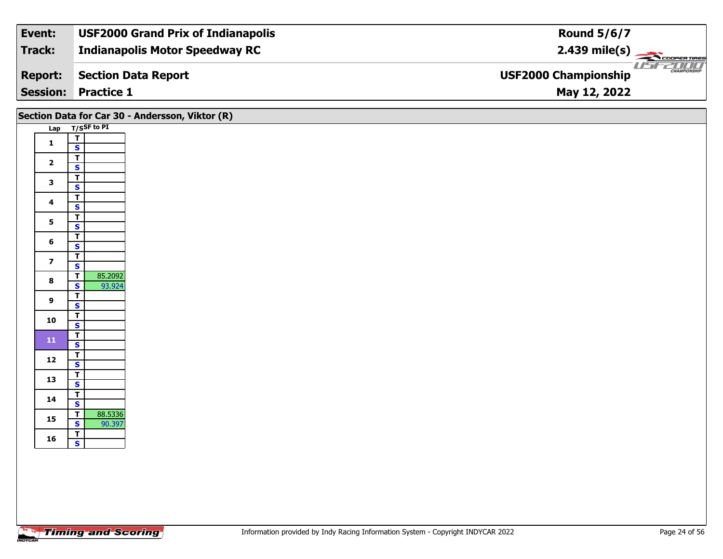| Event:         | <b>USF2000 Grand Prix of Indianapolis</b> | <b>Round 5/6/7</b>                                                                                                                                                                                                                                                                                                                                                                                                                                                                                                                                                              |
|----------------|-------------------------------------------|---------------------------------------------------------------------------------------------------------------------------------------------------------------------------------------------------------------------------------------------------------------------------------------------------------------------------------------------------------------------------------------------------------------------------------------------------------------------------------------------------------------------------------------------------------------------------------|
| <b>Track:</b>  | <b>Indianapolis Motor Speedway RC</b>     | $2.439$ mile(s) $\left\langle \right\rangle$ $\left\langle \right\rangle$ $\left\langle \right\rangle$ $\left\langle \right\rangle$ $\left\langle \right\rangle$ $\left\langle \right\rangle$ $\left\langle \right\rangle$ $\left\langle \right\rangle$ $\left\langle \right\rangle$ $\left\langle \right\rangle$ $\left\langle \right\rangle$ $\left\langle \right\rangle$ $\left\langle \right\rangle$ $\left\langle \right\rangle$ $\left\langle \right\rangle$ $\left\langle \right\rangle$ $\left\langle \right\rangle$ $\left\langle \right\rangle$ $\left\langle \right$ |
| <b>Report:</b> | <b>Section Data Report</b>                | <b>CHAMPIONSHIP</b><br><b>USF2000 Championship</b>                                                                                                                                                                                                                                                                                                                                                                                                                                                                                                                              |
|                | <b>Session: Practice 1</b>                | May 12, 2022                                                                                                                                                                                                                                                                                                                                                                                                                                                                                                                                                                    |

|                         |                                                                         | Section Data for Car 30 - Andersson, Viktor (R) |
|-------------------------|-------------------------------------------------------------------------|-------------------------------------------------|
|                         | Lap T/SSF to PI                                                         |                                                 |
| $\mathbf{1}$            | $\overline{\mathsf{T}}$                                                 |                                                 |
|                         | $\mathsf{s}$                                                            |                                                 |
| $\overline{\mathbf{2}}$ | $\overline{\mathbf{r}}$<br>$\overline{\mathbf{s}}$                      |                                                 |
| $\mathbf{3}$            | $\overline{\mathsf{r}}$<br>$\mathbf{s}$                                 |                                                 |
| $\overline{\mathbf{4}}$ | $\overline{\mathsf{T}}$<br>$\overline{\mathbf{s}}$                      |                                                 |
| $5\phantom{a}$          | $\overline{1}$                                                          |                                                 |
|                         | $\overline{\mathbf{s}}$                                                 |                                                 |
| $6\phantom{1}6$         | $\overline{\mathbf{T}}$<br>$\mathbf{s}$                                 |                                                 |
| $\overline{z}$          | $\overline{\mathsf{T}}$<br>$\mathbf{s}$                                 |                                                 |
| $\bf{8}$                | $\overline{1}$<br>85.2092<br>$\overline{\mathbf{s}}$                    |                                                 |
|                         | 93.924<br>$\overline{\mathsf{r}}$                                       |                                                 |
| $\boldsymbol{9}$        | $\overline{\mathbf{s}}$                                                 |                                                 |
| 10                      | $\overline{\mathsf{r}}$<br>$\overline{\mathbf{s}}$                      |                                                 |
| ${\bf 11}$              | $\overline{\mathsf{r}}$<br>$\mathsf{s}$                                 |                                                 |
| 12                      | $\overline{\mathsf{T}}$<br>$\overline{\mathbf{s}}$                      |                                                 |
| 13                      | $\overline{\mathbf{r}}$                                                 |                                                 |
|                         | $\overline{\mathbf{s}}$                                                 |                                                 |
| 14                      | $\frac{1}{\mathsf{S}}$                                                  |                                                 |
| 15                      | 88.5336<br>$\overline{\mathsf{T}}$<br>$\overline{\mathbf{s}}$<br>90.397 |                                                 |
| 16                      | $\frac{1}{s}$                                                           |                                                 |
|                         |                                                                         |                                                 |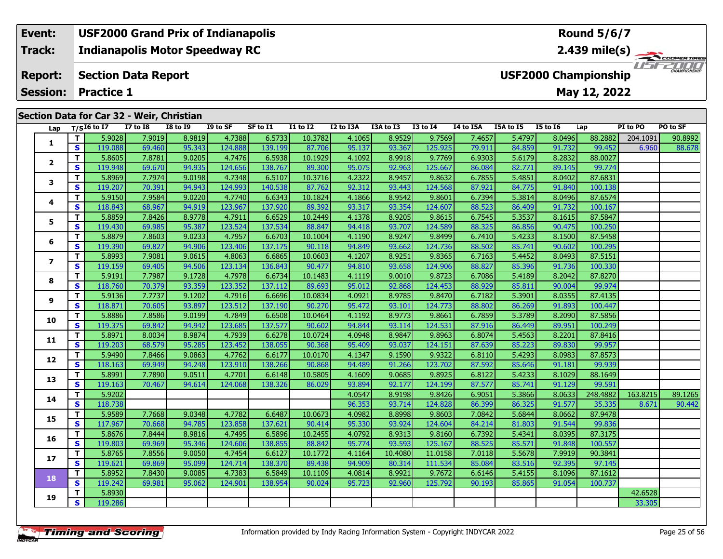#### **Event: USF2000 Grand Prix of Indianapolis Round 5/6/7Indianapolis Motor Speedway RC 2.439 mile(s) Track:** THE COOPER TIRES **Section Data Report Report: USF2000 Championship May 12, 2022 Session: Practice 1**

|  |  |  |  | Section Data for Car 32 - Weir, Christian |
|--|--|--|--|-------------------------------------------|
|--|--|--|--|-------------------------------------------|

| Lap            |                         | $T/SI6$ to I7 | <b>I7 to I8</b> | <b>I8 to 19</b> | I9 to SF | SF to I1 | <b>I1 to I2</b> | I2 to I3A | I3A to I3 | <b>I3 to I4</b> | I4 to I5A | I5A to I5 | <b>I5 to 16</b> | Lap      | PI to PO | PO to SF |
|----------------|-------------------------|---------------|-----------------|-----------------|----------|----------|-----------------|-----------|-----------|-----------------|-----------|-----------|-----------------|----------|----------|----------|
| 1              | T                       | 5.9028        | 7.9019          | 8.9819          | 4.7388   | 6.5733   | 10.3782         | 4.1065    | 8.9529    | 9.7569          | 7.4657    | 5.4797    | 8.0496          | 88.2882  | 204.1091 | 90.8992  |
|                | S                       | 119.088       | 69.460          | 95.343          | 124.888  | 139.199  | 87.706          | 95.137    | 93.367    | 125.925         | 79.911    | 84.859    | 91.732          | 99.452   | 6.960    | 88.678   |
| 2              | T.                      | 5.8605        | 7.8781          | 9.0205          | 4.7476   | 6.5938   | 10.1929         | 4.1092    | 8.9918    | 9.7769          | 6.9303    | 5.6179    | 8.2832          | 88.0027  |          |          |
|                | $\mathbf{s}$            | 119.948       | 69.670          | 94.935          | 124.656  | 138.767  | 89.300          | 95.075    | 92.963    | 125.667         | 86.084    | 82.771    | 89.145          | 99.774   |          |          |
| 3              | T.                      | 5.8969        | 7.7974          | 9.0198          | 4.7348   | 6.5107   | 10.3716         | 4.2322    | 8.9457    | 9.8632          | 6.7855    | 5.4851    | 8.0402          | 87.6831  |          |          |
|                | <b>S</b>                | 119.207       | 70.391          | 94.943          | 124.993  | 140.538  | 87.762          | 92.312    | 93.443    | 124.568         | 87.921    | 84.775    | 91.840          | 100.138  |          |          |
| 4              | T.                      | 5.9150        | 7.9584          | 9.0220          | 4.7740   | 6.6343   | 10.1824         | 4.1866    | 8.9542    | 9.8601          | 6.7394    | 5.3814    | 8.0496          | 87.6574  |          |          |
|                | S                       | 118.843       | 68.967          | 94.919          | 123.967  | 137.920  | 89.392          | 93.317    | 93.354    | 124.607         | 88.523    | 86.409    | 91.732          | 100.167  |          |          |
| 5              | T.                      | 5.8859        | 7.8426          | 8.9778          | 4.7911   | 6.6529   | 10.2449         | 4.1378    | 8.9205    | 9.8615          | 6.7545    | 5.3537    | 8.1615          | 87.5847  |          |          |
|                | S                       | 119.430       | 69.985          | 95.387          | 123.524  | 137.534  | 88.847          | 94.418    | 93.707    | 124.589         | 88.325    | 86.856    | 90.475          | 100.250  |          |          |
| 6              | T.                      | 5.8879        | 7.8603          | 9.0233          | 4.7957   | 6.6703   | 10.1004         | 4.1190    | 8.9247    | 9.8499          | 6.7410    | 5.4233    | 8.1500          | 87.5458  |          |          |
|                | S                       | 119.390       | 69.827          | 94.906          | 123.406  | 137.175  | 90.118          | 94.849    | 93.662    | 124.736         | 88.502    | 85.741    | 90.602          | 100.295  |          |          |
| $\overline{ }$ | T.                      | 5.8993        | 7.9081          | 9.0615          | 4.8063   | 6.6865   | 10.0603         | 4.1207    | 8.9251    | 9.8365          | 6.7163    | 5.4452    | 8.0493          | 87.5151  |          |          |
|                | $\mathbf{s}$            | 119.159       | 69.405          | 94.506          | 123.134  | 136.843  | 90.477          | 94.810    | 93.658    | 124.906         | 88.827    | 85.396    | 91.736          | 100.330  |          |          |
| 8              | T.                      | 5.9191        | 7.7987          | 9.1728          | 4.7978   | 6.6734   | 10.1483         | 4.1119    | 9.0010    | 9.8723          | 6.7086    | 5.4189    | 8.2042          | 87.8270  |          |          |
|                | $\overline{\mathbf{s}}$ | 118.760       | 70.379          | 93.359          | 123.352  | 137.112  | 89.693          | 95.012    | 92.868    | 124.453         | 88.929    | 85.811    | 90.004          | 99.974   |          |          |
| 9              | T.                      | 5.9136        | 7.7737          | 9.1202          | 4.7916   | 6.6696   | 10.0834         | 4.0921    | 8.9785    | 9.8470          | 6.7182    | 5.3901    | 8.0355          | 87.4135  |          |          |
|                | S                       | 118.871       | 70.605          | 93.897          | 123.512  | 137.190  | 90.270          | 95.472    | 93.101    | 124.773         | 88.802    | 86.269    | 91.893          | 100.447  |          |          |
| 10             | T.                      | 5.8886        | 7.8586          | 9.0199          | 4.7849   | 6.6508   | 10.0464         | 4.1192    | 8.9773    | 9.8661          | 6.7859    | 5.3789    | 8.2090          | 87.5856  |          |          |
|                | <b>S</b>                | 119.375       | 69.842          | 94.942          | 123.685  | 137.577  | 90.602          | 94.844    | 93.114    | 124.531         | 87.916    | 86.449    | 89.951          | 100.249  |          |          |
| 11             | T.                      | 5.8971        | 8.0034          | 8.9874          | 4.7939   | 6.6278   | 10.0724         | 4.0948    | 8.9847    | 9.8963          | 6.8074    | 5.4563    | 8.2201          | 87.8416  |          |          |
|                | S                       | 119.203       | 68.579          | 95.285          | 123.452  | 138.055  | 90.368          | 95.409    | 93.037    | 124.151         | 87.639    | 85.223    | 89.830          | 99.957   |          |          |
| 12             | T.                      | 5.9490        | 7.8466          | 9.0863          | 4.7762   | 6.6177   | 10.0170         | 4.1347    | 9.1590    | 9.9322          | 6.8110    | 5.4293    | 8.0983          | 87.8573  |          |          |
|                | $\mathbf{s}$            | 118.163       | 69.949          | 94.248          | 123.910  | 138.266  | 90.868          | 94.489    | 91.266    | 123.702         | 87.592    | 85.646    | 91.181          | 99.939   |          |          |
| 13             | T.                      | 5.8991        | 7.7890          | 9.0511          | 4.7701   | 6.6148   | 10.5805         | 4.1609    | 9.0685    | 9.8925          | 6.8122    | 5.4233    | 8.1029          | 88.1649  |          |          |
|                | $\overline{\mathbf{s}}$ | 119.163       | 70.467          | 94.614          | 124.068  | 138.326  | 86.029          | 93.894    | 92.177    | 124.199         | 87.577    | 85.741    | 91.129          | 99.591   |          |          |
| 14             | $\mathbf{T}$            | 5.9202        |                 |                 |          |          |                 | 4.0547    | 8.9198    | 9.8426          | 6.9051    | 5.3866    | 8.0633          | 248.4882 | 163.8215 | 89.1265  |
|                | S                       | 118.738       |                 |                 |          |          |                 | 96.353    | 93.714    | 124.828         | 86.399    | 86.325    | 91.577          | 35.335   | 8.671    | 90.442   |
| 15             | T.                      | 5.9589        | 7.7668          | 9.0348          | 4.7782   | 6.6487   | 10.0673         | 4.0982    | 8.8998    | 9.8603          | 7.0842    | 5.6844    | 8.0662          | 87.9478  |          |          |
|                | S                       | 117.967       | 70.668          | 94.785          | 123.858  | 137.621  | 90.414          | 95.330    | 93.924    | 124.604         | 84.214    | 81.803    | 91.544          | 99.836   |          |          |
| 16             | T                       | 5.8676        | 7.8444          | 8.9816          | 4.7495   | 6.5896   | 10.2455         | 4.0792    | 8.9313    | 9.8160          | 6.7392    | 5.4341    | 8.0395          | 87.3175  |          |          |
|                | S                       | 119.803       | 69.969          | 95.346          | 124.606  | 138.855  | 88.842          | 95.774    | 93.593    | 125.167         | 88.525    | 85.571    | 91.848          | 100.557  |          |          |
| 17             | T.                      | 5.8765        | 7.8556          | 9.0050          | 4.7454   | 6.6127   | 10.1772         | 4.1164    | 10.4080   | 11.0158         | 7.0118    | 5.5678    | 7.9919          | 90.3841  |          |          |
|                | $\mathbf{s}$            | 119.621       | 69.869          | 95.099          | 124.714  | 138.370  | 89.438          | 94.909    | 80.314    | 111.534         | 85.084    | 83.516    | 92.395          | 97.145   |          |          |
| 18             | $\mathbf{T}$            | 5.8952        | 7.8430          | 9.0085          | 4.7383   | 6.5849   | 10.1109         | 4.0814    | 8.9921    | 9.7672          | 6.6146    | 5.4155    | 8.1096          | 87.1612  |          |          |
|                | <b>S</b>                | 119.242       | 69.981          | 95.062          | 124.901  | 138.954  | 90.024          | 95.723    | 92.960    | 125.792         | 90.193    | 85.865    | 91.054          | 100.737  |          |          |
| 19             | $\mathbf{T}$            | 5.8930        |                 |                 |          |          |                 |           |           |                 |           |           |                 |          | 42.6528  |          |
|                | S                       | 119.286       |                 |                 |          |          |                 |           |           |                 |           |           |                 |          | 33.305   |          |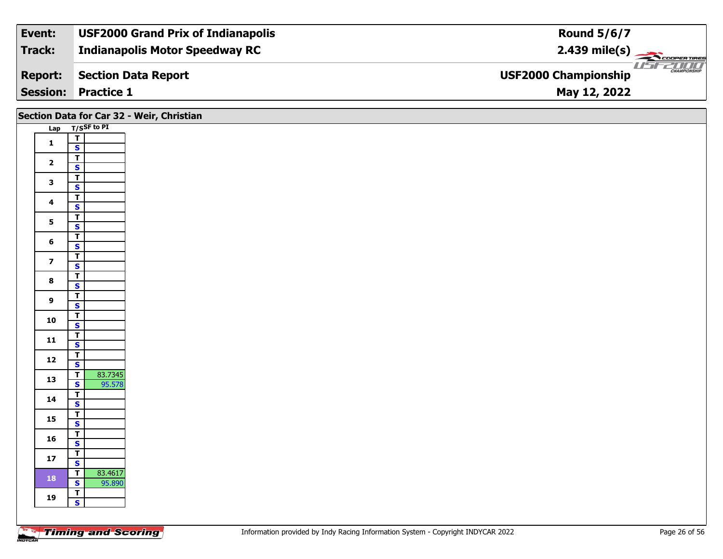| Event:         | <b>USF2000 Grand Prix of Indianapolis</b> | <b>Round 5/6/7</b>                                 |
|----------------|-------------------------------------------|----------------------------------------------------|
| Track:         | <b>Indianapolis Motor Speedway RC</b>     |                                                    |
| <b>Report:</b> | Section Data Report                       | <b>CHAMPIONSHIP</b><br><b>USF2000 Championship</b> |
|                | <b>Session: Practice 1</b>                | May 12, 2022                                       |

## **Lap T/SSF to PI 1** $\frac{1}{s}$  $\overline{\mathbf{T}}$ 2  $\frac{1}{s}$  $rac{s}{T}$ 3  $\frac{1}{s}$  $rac{s}{T}$ 4  $\frac{1}{s}$  $\overline{\mathbf{s}}$ 5  $\frac{1}{s}$  $\overline{\mathsf{T}}$ 6  $\frac{1}{s}$  $\frac{1}{s}$ **7** $\mathbf{s}$ 8  $\frac{1}{s}$  $rac{s}{T}$ **9**9 <mark>「S</mark> **10** $\frac{1}{s}$  $\overline{\mathsf{T}}$ 11  $\frac{1}{\mathsf{S}}$  $\mathbf{s}$ 12  $\frac{1}{s}$  $rac{s}{T}$ **13a T** 83.7345<br>**S** 95.578 **14**4  $\frac{1}{\mathsf{S}}$ 15  $\frac{1}{s}$  $\overline{\mathbf{T}}$ 16  $\frac{1}{s}$  $\overline{7}$   $\overline{5}$ **17** $rac{S}{T}$ **18 <sup>T</sup>** 83.4617 **<sup>S</sup>** 95.890 **TSSection Data for Car 32 - Weir, Christian**

**19**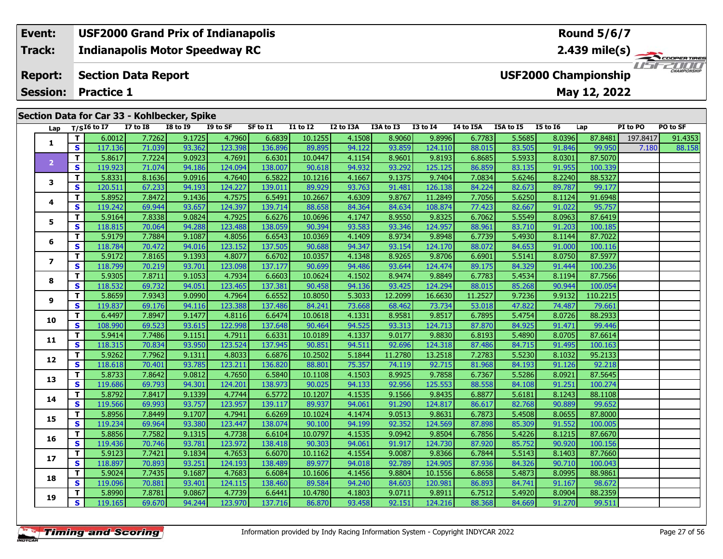#### **Event: USF2000 Grand Prix of Indianapolis Round 5/6/7Indianapolis Motor Speedway RC 2.439 mile(s) Track:** ER TIRES  $T = -T$ **Report: Section Data Report USF2000 Championship Session:May 12, 2022 Practice 1 Section Data for Car 33 - Kohlbecker, Spike**

| Lap            |              | $T/SI6$ to I7 | <b>I7 to I8</b> | <b>I8 to 19</b> | I9 to SF | SF to I1 | I1 to I2 | I2 to I3A | I3A to I3 | <b>I3 to I4</b> | I4 to I5A | I5A to I5 | <b>I5 to 16</b> | Lap      | PI to PO | PO to SF |
|----------------|--------------|---------------|-----------------|-----------------|----------|----------|----------|-----------|-----------|-----------------|-----------|-----------|-----------------|----------|----------|----------|
|                | $\mathbf{T}$ | 6.0012        | 7.7262          | 9.1725          | 4.7960   | 6.6839   | 10.1255  | 4.1508    | 8.9060    | 9.8996          | 6.7783    | 5.5685    | 8.0396          | 87.8481  | 197.8417 | 91.4353  |
| 1              | $\mathbf{s}$ | 117.136       | 71.039          | 93.362          | 123.398  | 136.896  | 89.895   | 94.122    | 93.859    | 124.110         | 88.015    | 83.505    | 91.846          | 99.950   | 7.180    | 88.158   |
|                | $\mathbf T$  | 5.8617        | 7.7224          | 9.0923          | 4.7691   | 6.6301   | 10.0447  | 4.1154    | 8.9601    | 9.8193          | 6.8685    | 5.5933    | 8.0301          | 87.5070  |          |          |
| $\overline{2}$ | <b>S</b>     | 119.923       | 71.074          | 94.186          | 124.094  | 138.007  | 90.618   | 94.932    | 93.292    | 125.125         | 86.859    | 83.135    | 91.955          | 100.339  |          |          |
|                | $\mathbf{T}$ | 5.8331        | 8.1636          | 9.0916          | 4.7640   | 6.5822   | 10.1216  | 4.1667    | 9.1375    | 9.7404          | 7.0834    | 5.6246    | 8.2240          | 88.5327  |          |          |
| 3              | $\mathbf{s}$ | 120.511       | 67.233          | 94.193          | 124.227  | 139.011  | 89.929   | 93.763    | 91.481    | 126.138         | 84.224    | 82.673    | 89.787          | 99.177   |          |          |
|                | $\mathbf{T}$ | 5.8952        | 7.8472          | 9.1436          | 4.7575   | 6.5491   | 10.2667  | 4.6309    | 9.8767    | 11.2849         | 7.7056    | 5.6250    | 8.1124          | 91.6948  |          |          |
| 4              | $\mathbf{s}$ | 119.242       | 69.944          | 93.657          | 124.397  | 139.714  | 88.658   | 84.364    | 84.634    | 108.874         | 77.423    | 82.667    | 91.022          | 95.757   |          |          |
| 5              | $\mathbf{T}$ | 5.9164        | 7.8338          | 9.0824          | 4.7925   | 6.6276   | 10.0696  | 4.1747    | 8.9550    | 9.8325          | 6.7062    | 5.5549    | 8.0963          | 87.6419  |          |          |
|                | S            | 118.815       | 70.064          | 94.288          | 123.488  | 138.059  | 90.394   | 93.583    | 93.346    | 124.957         | 88.961    | 83.710    | 91.203          | 100.185  |          |          |
|                | $\mathbf{T}$ | 5.9179        | 7.7884          | 9.1087          | 4.8056   | 6.6543   | 10.0369  | 4.1409    | 8.9734    | 9.8948          | 6.7739    | 5.4930    | 8.1144          | 87.7022  |          |          |
| 6              | $\mathbf{s}$ | 118.784       | 70.472          | 94.016          | 123.152  | 137.505  | 90.688   | 94.347    | 93.154    | 124.170         | 88.072    | 84.653    | 91.000          | 100.116  |          |          |
| $\overline{ }$ | $\mathbf{T}$ | 5.9172        | 7.8165          | 9.1393          | 4.8077   | 6.6702   | 10.0357  | 4.1348    | 8.9265    | 9.8706          | 6.6901    | 5.5141    | 8.0750          | 87.5977  |          |          |
|                | $\mathbf{s}$ | 118.799       | 70.219          | 93.701          | 123.098  | 137.177  | 90.699   | 94.486    | 93.644    | 124.474         | 89.175    | 84.329    | 91.444          | 100.236  |          |          |
| 8              | $\mathbf{T}$ | 5.9305        | 7.8711          | 9.1053          | 4.7934   | 6.6603   | 10.0624  | 4.1502    | 8.9474    | 9.8849          | 6.7783    | 5.4534    | 8.1194          | 87.7566  |          |          |
|                | $\mathbf{s}$ | 118.532       | 69.732          | 94.051          | 123.465  | 137.381  | 90.458   | 94.136    | 93.425    | 124.294         | 88.015    | 85.268    | 90.944          | 100.054  |          |          |
| 9              | $\mathbf{T}$ | 5.8659        | 7.9343          | 9.0990          | 4.7964   | 6.6552   | 10.8050  | 5.3033    | 12.2099   | 16.6630         | 11.2527   | 9.7236    | 9.9132          | 110.2215 |          |          |
|                | $\mathbf{s}$ | 119.837       | 69.176          | 94.116          | 123.388  | 137.486  | 84.241   | 73.668    | 68.462    | 73.734          | 53.018    | 47.822    | 74.487          | 79.661   |          |          |
| 10             | $\mathbf{T}$ | 6.4497        | 7.8947          | 9.1477          | 4.8116   | 6.6474   | 10.0618  | 4.1331    | 8.9581    | 9.8517          | 6.7895    | 5.4754    | 8.0726          | 88.2933  |          |          |
|                | $\mathbf{s}$ | 108.990       | 69.523          | 93.615          | 122.998  | 137.648  | 90.464   | 94.525    | 93.313    | 124.713         | 87.870    | 84.925    | 91.471          | 99.446   |          |          |
| 11             | $\mathbf T$  | 5.9414        | 7.7486          | 9.1151          | 4.7911   | 6.6331   | 10.0189  | 4.1337    | 9.0177    | 9.8830          | 6.8193    | 5.4890    | 8.0705          | 87.6614  |          |          |
|                | $\mathbf{s}$ | 118.315       | 70.834          | 93.950          | 123.524  | 137.945  | 90.851   | 94.511    | 92.696    | 124.318         | 87.486    | 84.715    | 91.495          | 100.163  |          |          |
| 12             | $\mathbf T$  | 5.9262        | 7.7962          | 9.1311          | 4.8033   | 6.6876   | 10.2502  | 5.1844    | 11.2780   | 13.2518         | 7.2783    | 5.5230    | 8.1032          | 95.2133  |          |          |
|                | S            | 118.618       | 70.401          | 93.785          | 123.211  | 136.820  | 88.801   | 75.357    | 74.119    | 92.715          | 81.968    | 84.193    | 91.126          | 92.218   |          |          |
| 13             | $\mathbf{T}$ | 5.8733        | 7.8642          | 9.0812          | 4.7650   | 6.5840   | 10.1108  | 4.1503    | 8.9925    | 9.7858          | 6.7367    | 5.5286    | 8.0921          | 87.5645  |          |          |
|                | $\mathbf{s}$ | 119.686       | 69.793          | 94.301          | 124.201  | 138.973  | 90.025   | 94.133    | 92.956    | 125.553         | 88.558    | 84.108    | 91.251          | 100.274  |          |          |
| 14             | $\mathbf{T}$ | 5.8792        | 7.8417          | 9.1339          | 4.7744   | 6.5772   | 10.1207  | 4.1535    | 9.1566    | 9.8435          | 6.8877    | 5.6181    | 8.1243          | 88.1108  |          |          |
|                | $\mathbf{s}$ | 119.566       | 69.993          | 93.757          | 123.957  | 139.117  | 89.937   | 94.061    | 91.290    | 124.817         | 86.617    | 82.768    | 90.889          | 99.652   |          |          |
| 15             | $\mathbf{T}$ | 5.8956        | 7.8449          | 9.1707          | 4.7941   | 6.6269   | 10.1024  | 4.1474    | 9.0513    | 9.8631          | 6.7873    | 5.4508    | 8.0655          | 87.8000  |          |          |
|                | $\mathbf{s}$ | 119.234       | 69.964          | 93.380          | 123.447  | 138.074  | 90.100   | 94.199    | 92.352    | 124.569         | 87.898    | 85.309    | 91.552          | 100.005  |          |          |
| 16             | $\mathbf{T}$ | 5.8856        | 7.7582          | 9.1315          | 4.7738   | 6.6104   | 10.0797  | 4.1535    | 9.0942    | 9.8504          | 6.7856    | 5.4226    | 8.1215          | 87.6670  |          |          |
|                | $\mathbf{s}$ | 119.436       | 70.746          | 93.781          | 123.972  | 138.418  | 90.303   | 94.061    | 91.917    | 124.730         | 87.920    | 85.752    | 90.920          | 100.156  |          |          |
| 17             | $\mathbf{T}$ | 5.9123        | 7.7421          | 9.1834          | 4.7653   | 6.6070   | 10.1162  | 4.1554    | 9.0087    | 9.8366          | 6.7844    | 5.5143    | 8.1403          | 87.7660  |          |          |
|                | $\mathbf{s}$ | 118.897       | 70.893          | 93.251          | 124.193  | 138.489  | 89.977   | 94.018    | 92.789    | 124.905         | 87.936    | 84.326    | 90.710          | 100.043  |          |          |
| 18             | $\mathbf{T}$ | 5.9024        | 7.7435          | 9.1687          | 4.7683   | 6.6084   | 10.1606  | 4.1456    | 9.8804    | 10.1556         | 6.8658    | 5.4873    | 8.0995          | 88.9861  |          |          |
|                | $\mathbf{s}$ | 119.096       | 70.881          | 93.401          | 124.115  | 138.460  | 89.584   | 94.240    | 84.603    | 120.981         | 86.893    | 84.741    | 91.167          | 98.672   |          |          |
| 19             | Т            | 5.8990        | 7.8781          | 9.0867          | 4.7739   | 6.6441   | 10.4780  | 4.1803    | 9.0711    | 9.8911          | 6.7512    | 5.4920    | 8.0904          | 88.2359  |          |          |
|                | $\mathbf s$  | 119.165       | 69.670          | 94.244          | 123.970  | 137.716  | 86.870   | 93.458    | 92.151    | 124.216         | 88.368    | 84.669    | 91.270          | 99.511   |          |          |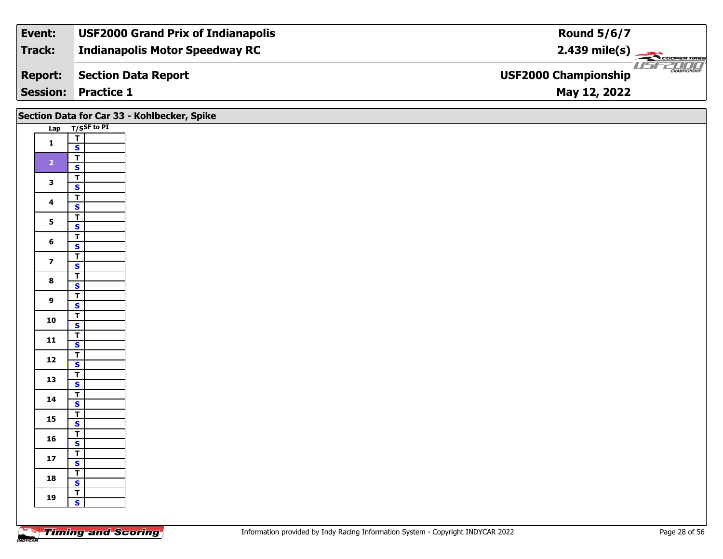| Event:          | <b>USF2000 Grand Prix of Indianapolis</b> | <b>Round 5/6/7</b>                                 |
|-----------------|-------------------------------------------|----------------------------------------------------|
| Track:          | <b>Indianapolis Motor Speedway RC</b>     | $2.439$ mile(s)                                    |
| <b>Report:</b>  | Section Data Report                       | <b>CHAMPIONSHIP</b><br><b>USF2000 Championship</b> |
| <b>Session:</b> | <b>Practice 1</b>                         | May 12, 2022                                       |

|                         |                                                    | Section Data for Car 33 - Kohlbecker, Spike |
|-------------------------|----------------------------------------------------|---------------------------------------------|
|                         | $T/SSF$ to PI<br>Lap                               |                                             |
| $\mathbf{1}$            | $\frac{1}{s}$                                      |                                             |
| $\overline{2}$          | $\overline{\mathsf{T}}$                            |                                             |
|                         | $\mathbf{s}$                                       |                                             |
| $\mathbf{3}$            | $\frac{1}{s}$<br>$\overline{\mathbf{r}}$           |                                             |
| $\overline{\mathbf{4}}$ | $\mathbf{s}$                                       |                                             |
| $5\phantom{a}$          | $\frac{1}{s}$                                      |                                             |
| $6\phantom{1}$          | $\overline{I}$                                     |                                             |
| $\overline{7}$          | $\mathbf{s}$<br>$\overline{1}$                     |                                             |
|                         | $\overline{\mathbf{s}}$                            |                                             |
| $\bf{8}$                | $\frac{1}{s}$                                      |                                             |
| $\boldsymbol{9}$        | $\overline{\mathsf{T}}$<br>$\mathbf{s}$            |                                             |
| 10                      | $rac{T}{s}$                                        |                                             |
| $11$                    | $\frac{1}{s}$                                      |                                             |
|                         |                                                    |                                             |
| $12$                    | $rac{1}{s}$                                        |                                             |
| 13                      | $\frac{1}{s}$                                      |                                             |
| 14                      | $\frac{1}{\sqrt{2}}$                               |                                             |
| 15                      | $\frac{T}{S}$                                      |                                             |
| 16                      | $\frac{1}{s}$                                      |                                             |
|                         |                                                    |                                             |
| $17\,$                  | $\frac{1}{\sqrt{2}}$                               |                                             |
| 18                      | $\overline{\mathsf{r}}$<br>$\overline{\mathbf{s}}$ |                                             |
| 19                      | $\frac{1}{s}$                                      |                                             |
|                         |                                                    |                                             |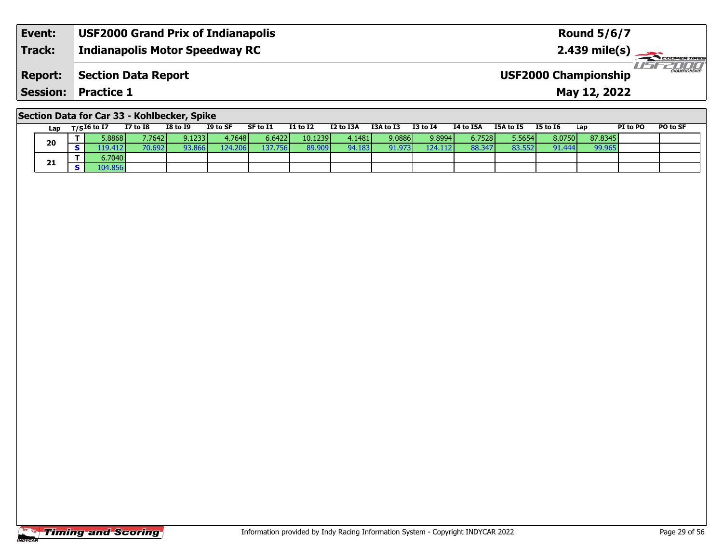| Event:  | <b>USF2000 Grand Prix of Indianapolis</b> | <b>Round 5/6/7</b>                                 |
|---------|-------------------------------------------|----------------------------------------------------|
| Track:  | <b>Indianapolis Motor Speedway RC</b>     | $2.439$ mile(s)                                    |
| Report: | Section Data Report                       | <b>CHAMPIONSHIP</b><br><b>USF2000 Championship</b> |
|         | <b>Session: Practice 1</b>                | May 12, 2022                                       |

## **Section Data for Car 33 - Kohlbecker, Spike**

| Lap | $T/SI6$ to I7 | <b>I7 to I8</b> | <b>I8 to I9</b> | I9 to SF        | SF to I1 | <b>I1 to I2</b> | I2 to I3A | I3A to I3 | $I3$ to $I4$ | <b>I4 to I5A</b> | I5A to I5 | <b>I5 to I6</b> | Lap     | PI to PO | PO to SF |
|-----|---------------|-----------------|-----------------|-----------------|----------|-----------------|-----------|-----------|--------------|------------------|-----------|-----------------|---------|----------|----------|
|     | 5.8868        | 7.7642          | 9.1233          | 1.7648 <b>I</b> | 6.6422   | 10.1239         | 4.1481    | 9.0886    | 9.8994       | 6.7528           | 5.5654    | 8.0750          | 87.8345 |          |          |
| 20  | 19.412        | 70.692          | 93.866          | 124.206         | 37.756   | 89.909          | 94.183    | 91.973    | 124.1121     | 88.347           | 83.552    | 91.444          | 99.965  |          |          |
|     | 6,7040        |                 |                 |                 |          |                 |           |           |              |                  |           |                 |         |          |          |
| 21  | .04.856       |                 |                 |                 |          |                 |           |           |              |                  |           |                 |         |          |          |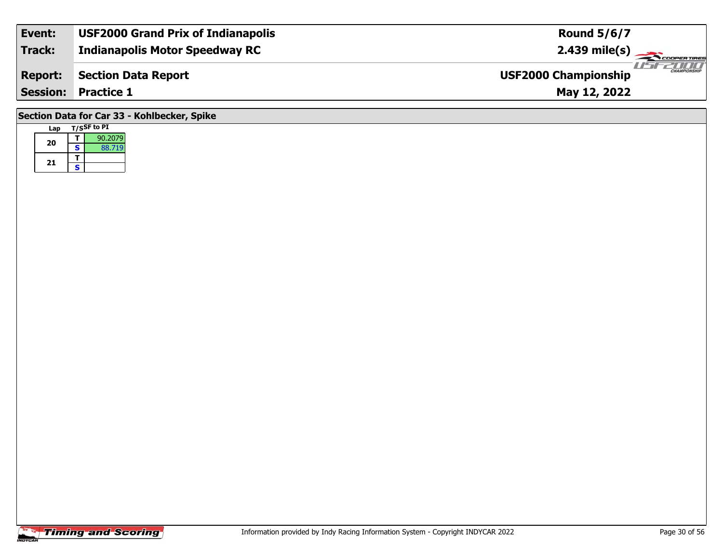| Event:                                      | <b>USF2000 Grand Prix of Indianapolis</b> | <b>Round 5/6/7</b>                                 |  |  |  |  |  |  |
|---------------------------------------------|-------------------------------------------|----------------------------------------------------|--|--|--|--|--|--|
| <b>Track:</b>                               | <b>Indianapolis Motor Speedway RC</b>     |                                                    |  |  |  |  |  |  |
| <b>Report:</b>                              | <b>Section Data Report</b>                | <b>CHAMPIONSHIP</b><br><b>USF2000 Championship</b> |  |  |  |  |  |  |
| <b>Session: Practice 1</b><br>May 12, 2022  |                                           |                                                    |  |  |  |  |  |  |
| Section Data for Car 33 - Kohlbecker, Spike |                                           |                                                    |  |  |  |  |  |  |

# **Timing and Scoring**

**Lap T/SSF to PI** 

**a T** 90.2079<br>**S** 88.719

**20**

21  $\frac{1}{s}$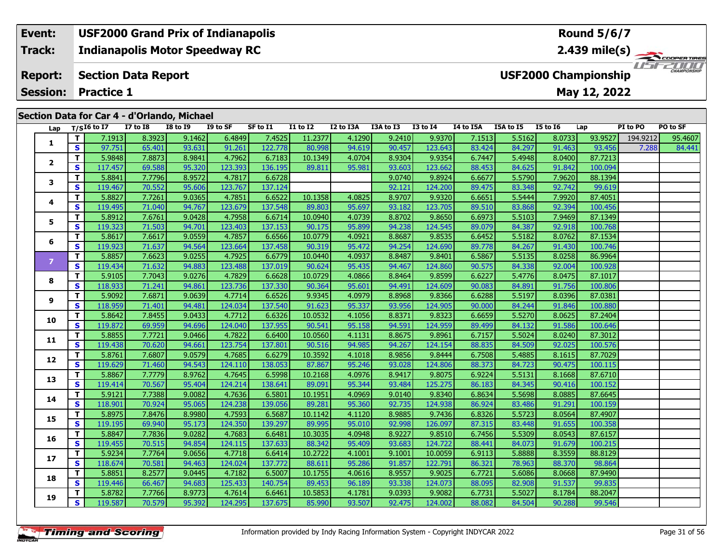#### **Event: USF2000 Grand Prix of Indianapolis Round 5/6/7Indianapolis Motor Speedway RC 2.439 mile(s) Track: THE COOPERTIRES Report: Section Data Report USF2000 Championship Session:May 12, 2022 Practice 1 Section Data for Car 4 - d'Orlando, Michael**

| ש ווטוויט | Lap            |              | $T/SI6$ to I7 | $\frac{1}{2}$ and $\frac{1}{2}$ and $\frac{1}{2}$ and $\frac{1}{2}$ and $\frac{1}{2}$ and $\frac{1}{2}$ and $\frac{1}{2}$ and $\frac{1}{2}$ and $\frac{1}{2}$ and $\frac{1}{2}$ and $\frac{1}{2}$ and $\frac{1}{2}$ and $\frac{1}{2}$ and $\frac{1}{2}$ and $\frac{1}{2}$ and $\frac{1}{2}$ a<br><b>I7 to I8</b> | <b>I8 to 19</b> | I9 to SF | SF to I1 | <b>I1 to I2</b> | I2 to I3A | I3A to I3 | <b>I3 to I4</b> | I4 to I5A | I5A to I5 | <b>I5 to 16</b> | Lap     | PI to PO | PO to SF |
|-----------|----------------|--------------|---------------|------------------------------------------------------------------------------------------------------------------------------------------------------------------------------------------------------------------------------------------------------------------------------------------------------------------|-----------------|----------|----------|-----------------|-----------|-----------|-----------------|-----------|-----------|-----------------|---------|----------|----------|
|           |                | $\mathbf{T}$ | 7.1913        | 8.3923                                                                                                                                                                                                                                                                                                           | 9.1462          | 6.4849   | 7.4525   | 11.2377         | 4.1290    | 9.2410    | 9.9370          | 7.1513    | 5.5162    | 8.0733          | 93.9527 | 194.9212 | 95.4607  |
|           | 1              | $\mathbf{s}$ | 97.751        | 65.401                                                                                                                                                                                                                                                                                                           | 93.631          | 91.261   | 122.778  | 80.998          | 94.619    | 90.457    | 123.643         | 83.424    | 84.297    | 91.463          | 93.456  | 7.288    | 84.441   |
|           | $\mathbf{2}$   | $\mathbf{T}$ | 5.9848        | 7.8873                                                                                                                                                                                                                                                                                                           | 8.9841          | 4.7962   | 6.7183   | 10.1349         | 4.0704    | 8.9304    | 9.9354          | 6.7447    | 5.4948    | 8.0400          | 87.7213 |          |          |
|           |                | $\mathbf{s}$ | 117.457       | 69.588                                                                                                                                                                                                                                                                                                           | 95.320          | 123.393  | 136.195  | 89.811          | 95.981    | 93.603    | 123.662         | 88.453    | 84.625    | 91.842          | 100.094 |          |          |
|           |                | T            | 5.8841        | 7.7796                                                                                                                                                                                                                                                                                                           | 8.9572          | 4.7817   | 6.6728   |                 |           | 9.0740    | 9.8924          | 6.6677    | 5.5790    | 7.9620          | 88.1394 |          |          |
|           | 3              | $\mathbf{s}$ | 119.467       | 70.552                                                                                                                                                                                                                                                                                                           | 95.606          | 123.767  | 137.124  |                 |           | 92.121    | 124.200         | 89.475    | 83.348    | 92.742          | 99.619  |          |          |
|           |                | $\mathbf T$  | 5.8827        | 7.7261                                                                                                                                                                                                                                                                                                           | 9.0365          | 4.7851   | 6.6522   | 10.1358         | 4.0825    | 8.9707    | 9.9320          | 6.6651    | 5.5444    | 7.9920          | 87.4051 |          |          |
|           | 4              | $\mathbf{s}$ | 119.495       | 71.040                                                                                                                                                                                                                                                                                                           | 94.767          | 123.679  | 137.548  | 89.803          | 95.697    | 93.182    | 123.705         | 89.510    | 83.868    | 92.394          | 100.456 |          |          |
|           | 5              | T            | 5.8912        | 7.6761                                                                                                                                                                                                                                                                                                           | 9.0428          | 4.7958   | 6.6714   | 10.0940         | 4.0739    | 8.8702    | 9.8650          | 6.6973    | 5.5103    | 7.9469          | 87.1349 |          |          |
|           |                | <b>S</b>     | 119.323       | 71.503                                                                                                                                                                                                                                                                                                           | 94.701          | 123.403  | 137.153  | 90.175          | 95.899    | 94.238    | 124.545         | 89.079    | 84.387    | 92.918          | 100.768 |          |          |
|           | 6              | $\mathbf T$  | 5.8617        | 7.6617                                                                                                                                                                                                                                                                                                           | 9.0559          | 4.7857   | 6.6566   | 10.0779         | 4.0921    | 8.8687    | 9.8535          | 6.6452    | 5.5182    | 8.0762          | 87.1534 |          |          |
|           |                | $\mathbf{s}$ | 119.923       | 71.637                                                                                                                                                                                                                                                                                                           | 94.564          | 123.664  | 137.458  | 90.319          | 95.472    | 94.254    | 124.690         | 89.778    | 84.267    | 91.430          | 100.746 |          |          |
|           | $\overline{7}$ | T            | 5.8857        | 7.6623                                                                                                                                                                                                                                                                                                           | 9.0255          | 4.7925   | 6.6779   | 10.0440         | 4.0937    | 8.8487    | 9.8401          | 6.5867    | 5.5135    | 8.0258          | 86.9964 |          |          |
|           |                | <b>S</b>     | 119.434       | 71.632                                                                                                                                                                                                                                                                                                           | 94.883          | 123.488  | 137.019  | 90.624          | 95.435    | 94.467    | 124.860         | 90.575    | 84.338    | 92.004          | 100.928 |          |          |
|           | 8              | T            | 5.9105        | 7.7043                                                                                                                                                                                                                                                                                                           | 9.0276          | 4.7829   | 6.6628   | 10.0729         | 4.0866    | 8.8464    | 9.8599          | 6.6227    | 5.4776    | 8.0475          | 87.1017 |          |          |
|           |                | $\mathbf{s}$ | 118.933       | 71.241                                                                                                                                                                                                                                                                                                           | 94.861          | 123.736  | 137.330  | 90.364          | 95.601    | 94.491    | 124.609         | 90.083    | 84.891    | 91.756          | 100.806 |          |          |
|           | 9              | T            | 5.9092        | 7.6871                                                                                                                                                                                                                                                                                                           | 9.0639          | 4.7714   | 6.6526   | 9.9345          | 4.0979    | 8.8968    | 9.8366          | 6.6288    | 5.5197    | 8.0396          | 87.0381 |          |          |
|           |                | $\mathbf{s}$ | 118.959       | 71.401                                                                                                                                                                                                                                                                                                           | 94.481          | 124.034  | 137.540  | 91.623          | 95.337    | 93.956    | 124.905         | 90.000    | 84.244    | 91.846          | 100.880 |          |          |
|           | 10             | $\mathbf T$  | 5.8642        | 7.8455                                                                                                                                                                                                                                                                                                           | 9.0433          | 4.7712   | 6.6326   | 10.0532         | 4.1056    | 8.8371    | 9.8323          | 6.6659    | 5.5270    | 8.0625          | 87.2404 |          |          |
|           |                | $\mathbf{s}$ | 119.872       | 69.959                                                                                                                                                                                                                                                                                                           | 94.696          | 124.040  | 137.955  | 90.541          | 95.158    | 94.591    | 124.959         | 89.499    | 84.132    | 91.586          | 100.646 |          |          |
|           | 11             | T            | 5.8855        | 7.7721                                                                                                                                                                                                                                                                                                           | 9.0466          | 4.7822   | 6.6400   | 10.0560         | 4.1131    | 8.8675    | 9.8961          | 6.7157    | 5.5024    | 8.0240          | 87.3012 |          |          |
|           |                | <b>S</b>     | 119.438       | 70.620                                                                                                                                                                                                                                                                                                           | 94.661          | 123.754  | 137.801  | 90.516          | 94.985    | 94.267    | 124.154         | 88.835    | 84.509    | 92.025          | 100.576 |          |          |
|           | 12             | T            | 5.8761        | 7.6807                                                                                                                                                                                                                                                                                                           | 9.0579          | 4.7685   | 6.6279   | 10.3592         | 4.1018    | 8.9856    | 9.8444          | 6.7508    | 5.4885    | 8.1615          | 87.7029 |          |          |
|           |                | $\mathbf{s}$ | 119.629       | 71.460                                                                                                                                                                                                                                                                                                           | 94.543          | 124.110  | 138.053  | 87.867          | 95.246    | 93.028    | 124.806         | 88.373    | 84.723    | 90.475          | 100.115 |          |          |
|           | 13             | T            | 5.8867        | 7.7779                                                                                                                                                                                                                                                                                                           | 8.9762          | 4.7645   | 6.5998   | 10.2168         | 4.0976    | 8.9417    | 9.8075          | 6.9224    | 5.5131    | 8.1668          | 87.6710 |          |          |
|           |                | <b>S</b>     | 119.414       | 70.567                                                                                                                                                                                                                                                                                                           | 95.404          | 124.214  | 138.641  | 89.091          | 95.344    | 93.484    | 125.275         | 86.183    | 84.345    | 90.416          | 100.152 |          |          |
|           | 14             | T            | 5.9121        | 7.7388                                                                                                                                                                                                                                                                                                           | 9.0082          | 4.7636   | 6.5801   | 10.1951         | 4.0969    | 9.0140    | 9.8340          | 6.8634    | 5.5698    | 8.0885          | 87.6645 |          |          |
|           |                | $\mathbf{s}$ | 118.901       | 70.924                                                                                                                                                                                                                                                                                                           | 95.065          | 124.238  | 139.056  | 89.281          | 95.360    | 92.735    | 124.938         | 86.924    | 83.486    | 91.291          | 100.159 |          |          |
|           | 15             | Т            | 5.8975        | 7.8476                                                                                                                                                                                                                                                                                                           | 8.9980          | 4.7593   | 6.5687   | 10.1142         | 4.1120    | 8.9885    | 9.7436          | 6.8326    | 5.5723    | 8.0564          | 87.4907 |          |          |
|           |                | $\mathbf{s}$ | 119.195       | 69.940                                                                                                                                                                                                                                                                                                           | 95.173          | 124.350  | 139.297  | 89.995          | 95.010    | 92.998    | 126.097         | 87.315    | 83.448    | 91.655          | 100.358 |          |          |
|           | 16             | $\mathbf T$  | 5.8847        | 7.7836                                                                                                                                                                                                                                                                                                           | 9.0282          | 4.7683   | 6.6481   | 10.3035         | 4.0948    | 8.9227    | 9.8510          | 6.7456    | 5.5309    | 8.0543          | 87.6157 |          |          |
|           |                | $\mathbf{s}$ | 119.455       | 70.515                                                                                                                                                                                                                                                                                                           | 94.854          | 124.115  | 137.633  | 88.342          | 95.409    | 93.683    | 124.722         | 88.441    | 84.073    | 91.679          | 100.215 |          |          |
|           | 17             | T            | 5.9234        | 7.7764                                                                                                                                                                                                                                                                                                           | 9.0656          | 4.7718   | 6.6414   | 10.2722         | 4.1001    | 9.1001    | 10.0059         | 6.9113    | 5.8888    | 8.3559          | 88.8129 |          |          |
|           |                | <b>S</b>     | 118.674       | 70.581                                                                                                                                                                                                                                                                                                           | 94.463          | 124.024  | 137.772  | 88.611          | 95.286    | 91.857    | 122.791         | 86.321    | 78.963    | 88.370          | 98.864  |          |          |
|           | 18             | T            | 5.8851        | 8.2577                                                                                                                                                                                                                                                                                                           | 9.0445          | 4.7182   | 6.5007   | 10.1755         | 4.0616    | 8.9557    | 9.9025          | 6.7721    | 5.6086    | 8.0668          | 87.9490 |          |          |
|           |                | $\mathbf{s}$ | 119.446       | 66.467                                                                                                                                                                                                                                                                                                           | 94.683          | 125.433  | 140.754  | 89.453          | 96.189    | 93.338    | 124.073         | 88.095    | 82.908    | 91.537          | 99.835  |          |          |
|           | 19             | T.           | 5.8782        | 7.7766                                                                                                                                                                                                                                                                                                           | 8.9773          | 4.7614   | 6.6461   | 10.5853         | 4.1781    | 9.0393    | 9.9082          | 6.7731    | 5.5027    | 8.1784          | 88.2047 |          |          |
|           |                | $\mathbf{s}$ | 119.587       | 70.579                                                                                                                                                                                                                                                                                                           | 95.392          | 124.295  | 137.675  | 85.990          | 93.507    | 92.475    | 124.002         | 88.082    | 84.504    | 90.288          | 99.546  |          |          |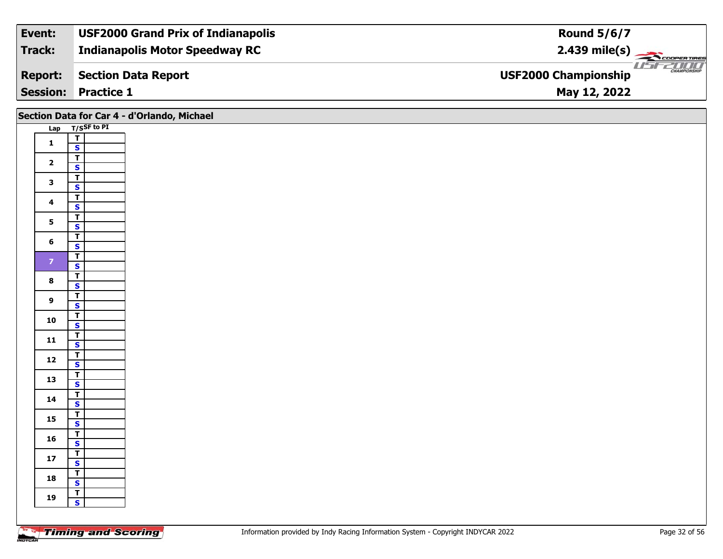| Event:          | <b>USF2000 Grand Prix of Indianapolis</b> | <b>Round 5/6/7</b>                                 |
|-----------------|-------------------------------------------|----------------------------------------------------|
| Track:          | <b>Indianapolis Motor Speedway RC</b>     | $2.439$ mile(s)                                    |
| <b>Report:</b>  | Section Data Report                       | <b>CHAMPIONSHIP</b><br><b>USF2000 Championship</b> |
| <b>Session:</b> | <b>Practice 1</b>                         | May 12, 2022                                       |

## **Section Data for Car 4 - d'Orlando, Michael**

| <b>Lap</b>     |                                 | T/S <sup>SF</sup> to PI |
|----------------|---------------------------------|-------------------------|
|                | Ţ                               |                         |
| 1              | S                               |                         |
|                | Τ                               |                         |
| 2              | S                               |                         |
|                | т                               |                         |
| 3              | S                               |                         |
|                | Ŧ                               |                         |
| 4              | S                               |                         |
| 5              | T                               |                         |
|                | S                               |                         |
| 6              | $\overline{\mathsf{r}}$         |                         |
|                | S                               |                         |
| $\overline{z}$ | Ŧ                               |                         |
|                | $\frac{\mathsf{s}}{\mathsf{T}}$ |                         |
| 8              |                                 |                         |
|                | S                               |                         |
| 9              | T                               |                         |
|                | $rac{S}{T}$                     |                         |
| 10             |                                 |                         |
|                | S                               |                         |
| 11             | $\bar{\mathbf{r}}$              |                         |
|                | S                               |                         |
| 12             | T                               |                         |
|                | S                               |                         |
| 13             | T                               |                         |
|                | S<br>Ŧ                          |                         |
| 14             | S                               |                         |
|                | T                               |                         |
| 15             | S                               |                         |
|                | Т                               |                         |
| 16             | S                               |                         |
|                | $\overline{\mathsf{T}}$         |                         |
| 17             | S                               |                         |
|                | Ŧ                               |                         |
| 18             | S                               |                         |
|                | T                               |                         |
| 19             | S                               |                         |
|                |                                 |                         |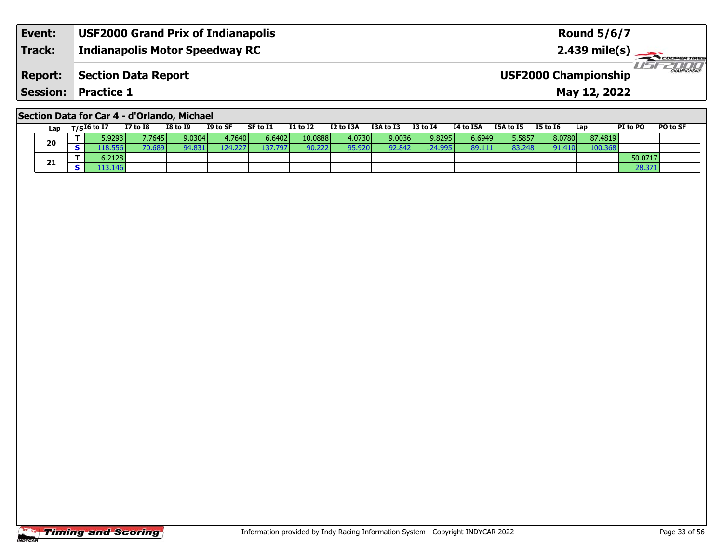| Event:          | <b>USF2000 Grand Prix of Indianapolis</b> | <b>Round 5/6/7</b>                                            |
|-----------------|-------------------------------------------|---------------------------------------------------------------|
| <b>Track:</b>   | <b>Indianapolis Motor Speedway RC</b>     | $2.439$ mile(s)                                               |
| <b>Report:</b>  | Section Data Report                       | USFZOOO<br><b>CHAMPIONSHIP</b><br><b>USF2000 Championship</b> |
| <b>Session:</b> | <b>Practice 1</b>                         | May 12, 2022                                                  |

## **Section Data for Car 4 - d'Orlando, Michael**

| Lap | $_{\rm T/S}$ I6 to I7 | <b>I7 to I8</b> | <b>I8 to I9</b> | I9 to SF        | SF to I1 | <b>I1 to I2</b> | I2 to I3A | I3A to I3       | <b>I3 to I4</b> | I4 to I5A | I5A to I5 | <b>I5 to 16</b> | Lap     | <b>PI to PO</b> | PO to SF |
|-----|-----------------------|-----------------|-----------------|-----------------|----------|-----------------|-----------|-----------------|-----------------|-----------|-----------|-----------------|---------|-----------------|----------|
|     | 5.9293                | 7.7645          | 9.0304          | 4.7640 <b>I</b> | 6.64021  | 10.0888         | 4.0730    | 9.0036 <b>1</b> | 9.8295          | 6.6949    | 5.5857    | 8.0780          | 87.4819 |                 |          |
| 20  | 18.556                | 70.689          | 94.831          | 124.<br>2271    | 137.797  | 90.222          | 95.920    | 92.842          | 124.9951        | 89.111    | 83.248    | 91.410          | 100.368 |                 |          |
|     | 6.2128                |                 |                 |                 |          |                 |           |                 |                 |           |           |                 |         | 50.0717         |          |
| 21  | 13.146                |                 |                 |                 |          |                 |           |                 |                 |           |           |                 |         | 28.37:          |          |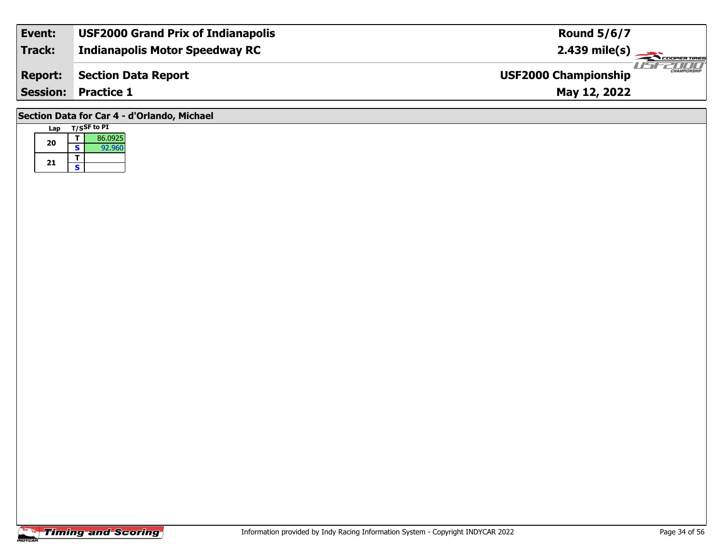| Event:                                      | <b>USF2000 Grand Prix of Indianapolis</b> | <b>Round 5/6/7</b>                                 |  |  |  |  |  |  |  |
|---------------------------------------------|-------------------------------------------|----------------------------------------------------|--|--|--|--|--|--|--|
| <b>Track:</b>                               | <b>Indianapolis Motor Speedway RC</b>     |                                                    |  |  |  |  |  |  |  |
| <b>Report:</b>                              | <b>Section Data Report</b>                | <b>EXAMPLONSHIP</b><br><b>USF2000 Championship</b> |  |  |  |  |  |  |  |
| <b>Session: Practice 1</b><br>May 12, 2022  |                                           |                                                    |  |  |  |  |  |  |  |
| Section Data for Car 4 - d'Orlando, Michael |                                           |                                                    |  |  |  |  |  |  |  |

| Lap |   | T/SSF to PI |
|-----|---|-------------|
| 20  |   | 86.0925     |
|     | S | 92.960      |
| 21  |   |             |
|     | ς |             |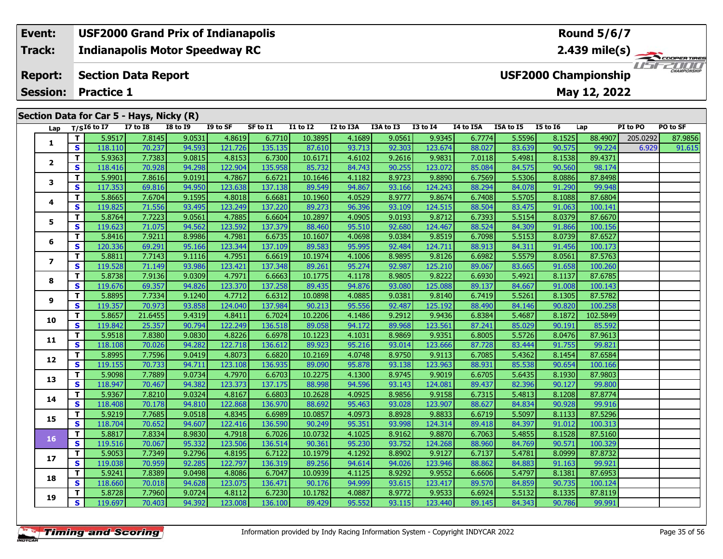### **Event: USF2000 Grand Prix of Indianapolis Round 5/6/7Indianapolis Motor Speedway RC 2.439 mile(s) Track:**USEZOOO **Report: Section Data Report USF2000 Championship May 12, 2022 Session: Practice 1Section Data for Car 5 - Hays, Nicky (R) Lap T/SI6 to I7 I7 to I8 I8 to I9 I9 to SF SF to I1 I1 to I2 I2 to I3A I3A to I3 I3 to I4 I4 to I5A I5A to I5 I5 to I6 Lap PI to PO PO to SF**  1 | T | 5.9517| 7.8145| 9.0531| 4.8619| 6.7710| 10.3895| 4.1689| 9.0561| 9.9345| 6.7774| 5.5596| 8.1525| 88.4907| 205.0292| 87.9856<br>1 | S | 118.110| 70.237| 94.593| 121.726| 135.135| 87.610| 93.713| 92.303| 123.674| 88.027 **1**

**<sup>T</sup>** 5.9363 7.7383 9.0815 4.8153 6.7300 10.6171 4.6102 9.2616 9.9831 7.0118 5.4981 8.1538 89.4371 **<sup>S</sup>** 118.416 70.928 94.298 122.904 135.958 85.732 84.743 90.255 123.072 85.084 84.575 90.560 98.174

**<sup>T</sup>** 5.9901 7.8616 9.0191 4.7867 6.6721 10.1646 4.1182 8.9723 9.8890 6.7569 5.5306 8.0886 87.8498 **<sup>S</sup>** 117.353 69.816 94.950 123.638 137.138 89.549 94.867 93.166 124.243 88.294 84.078 91.290 99.948

**<sup>T</sup>** 5.8665 7.6704 9.1595 4.8018 6.6681 10.1960 4.0529 8.9777 9.8674 6.7408 5.5705 8.1088 87.6804 **<sup>S</sup>** 119.825 71.556 93.495 123.249 137.220 89.273 96.396 93.109 124.515 88.504 83.475 91.063 100.141

**<sup>T</sup>** 5.8764 7.7223 9.0561 4.7885 6.6604 10.2897 4.0905 9.0193 9.8712 6.7393 5.5154 8.0379 87.6670 **<sup>S</sup>** 119.623 71.075 94.562 123.592 137.379 88.460 95.510 92.680 124.467 88.524 84.309 91.866 100.156

**<sup>T</sup>** 5.8416 7.9211 8.9986 4.7981 6.6735 10.1607 4.0698 9.0384 9.8519 6.7098 5.5153 8.0739 87.6527 **<sup>S</sup>** 120.336 69.291 95.166 123.344 137.109 89.583 95.995 92.484 124.711 88.913 84.311 91.456 100.173

**<sup>T</sup>** 5.8811 7.7143 9.1116 4.7951 6.6619 10.1974 4.1006 8.9895 9.8126 6.6982 5.5579 8.0561 87.5763 **<sup>S</sup>** 119.528 71.149 93.986 123.421 137.348 89.261 95.274 92.987 125.210 89.067 83.665 91.658 100.260

**<sup>T</sup>** 5.8738 7.9136 9.0309 4.7971 6.6663 10.1775 4.1178 8.9805 9.8222 6.6930 5.4921 8.1137 87.6785 **<sup>S</sup>** 119.676 69.357 94.826 123.370 137.258 89.435 94.876 93.080 125.088 89.137 84.667 91.008 100.143

**<sup>T</sup>** 5.8895 7.7334 9.1240 4.7712 6.6312 10.0898 4.0885 9.0381 9.8140 6.7419 5.5261 8.1305 87.5782 **<sup>S</sup>** 119.357 70.973 93.858 124.040 137.984 90.213 95.556 92.487 125.192 88.490 84.146 90.820 100.258

**<sup>T</sup>** 5.8657 21.6455 9.4319 4.8411 6.7024 10.2206 4.1486 9.2912 9.9436 6.8384 5.4687 8.1872 102.5849 **<sup>S</sup>** 119.842 25.357 90.794 122.249 136.518 89.058 94.172 89.968 123.561 87.241 85.029 90.191 85.592

**<sup>T</sup>** 5.9518 7.8380 9.0830 4.8226 6.6978 10.1223 4.1031 8.9869 9.9351 6.8005 5.5726 8.0476 87.9613 **<sup>S</sup>** 118.108 70.026 94.282 122.718 136.612 89.923 95.216 93.014 123.666 87.728 83.444 91.755 99.821

| 12 |    | 5.89951 | 7.7596 I | 9.0419 | 4.80731 | 6.6820           | 10.2169 | 4.07481 | 8.9750 | 9.91131  | 6.70851 | 5.43621 | 8.1454 | 87.6584 |
|----|----|---------|----------|--------|---------|------------------|---------|---------|--------|----------|---------|---------|--------|---------|
|    | S. | 119.155 | 70.733   | 94.711 | 123.108 | 136.935          | 89.090  | 95.878  | 93.138 | 123.963  | 88.931  | 85.538  | 90.654 | 100.166 |
| 13 |    | 5.9098  | 7.7889   | 9.0734 | 4.7970  | 6.6703           | 10.2275 | 4.1300  | 8.9745 | 9.9019   | 6.6705  | 5.6435  | 8.1930 | 87.9803 |
|    | S. | 118.947 | 70.467   | 94.382 | 123.373 | 137.175          | 88.998  | 94.596  | 93.143 | 124.081  | 89.437  | 82.396  | 90.127 | 99.800  |
| 14 |    | 5.9367  | 7.8210   | 9.0324 | 4.8167  | 6.6803           | 10.2628 | 4.0925  | 8.9856 | 9.9158   | 6.7315  | 5.4813  | 8.1208 | 87,8774 |
|    | S. | 118.408 | 70.178   | 94.810 | 122.868 | 136.970 <b>l</b> | 88.692  | 95.463  | 93.028 | 123.907  | 88.627  | 84.834  | 90.928 | 99.916  |
| 15 |    | 5.9219  | 7.7685   | 9.0518 | 4.8345  | 6.6989           | 10.0857 | 4.0973  | 8.8928 | 9.8833   | 6.6719  | 5.5097  | 8.1133 | 87.5296 |
|    | S. | 118.704 | 70.652   | 94.607 | 122.416 | 136.590          | 90.249  | 95.351  | 93.998 | 124.314  | 89.418  | 84.397  | 91.012 | 100.313 |
| 16 |    | 5.8817  | 7.8334   | 8.9830 | 4.7918  | 6.7026           | 10.0732 | 4.1025  | 8.9162 | 9.8870   | 6.7063  | 5.4855  | 8.1528 | 87.5160 |
|    | S. | 119.516 | 70.067   | 95.332 | 123.506 | 136.514 <b>I</b> | 90.361  | 95.230  | 93.752 | 124.2681 | 88.960  | 84.769  | 90.571 | 100.329 |
| 17 |    | 5.9053  | 7.7349   | 9.2796 | 4.8195  | 6.7122           | 10.1979 | 4.1292  | 8.8902 | 9.9127   | 6.7137  | 5.4781  | 8.0999 | 87.8732 |
|    | S. | 119.038 | 70.959   | 92.285 | 122.797 | 136.319          | 89.256  | 94.614  | 94.026 | 123.946  | 88.862  | 84.883  | 91.163 | 99.921  |
| 18 |    | 5.9241  | 7.8389   | 9.0498 | 4.8086  | 6.7047           | 10.0939 | 4.1125  | 8.9292 | 9.9552   | 6.6606  | 5.4797  | 8.1381 | 87.6953 |
|    | S. | 118.660 | 70.018   | 94.628 | 123.075 | 136.471          | 90.176  | 94.999  | 93.615 | 123.417  | 89.570  | 84.859  | 90.735 | 100.124 |
| 19 |    | 5.8728  | 7.7960   | 9.0724 | 4.8112  | 6.7230           | 10.1782 | 4.0887  | 8.9772 | 9.9533   | 6.6924  | 5.5132  | 8.1335 | 87.8119 |
|    | S. | 119.697 | 70.403   | 94.392 | 123.008 | 136.100          | 89.429  | 95.552  | 93.115 | 123.440  | 89.145  | 84.343  | 90.786 | 99.991  |
|    |    |         |          |        |         |                  |         |         |        |          |         |         |        |         |
|    |    |         |          |        |         |                  |         |         |        |          |         |         |        |         |

**2**

**3**

**4**

**5**

**6**

**7**

**8**

**9**

**10**

**11**

100.141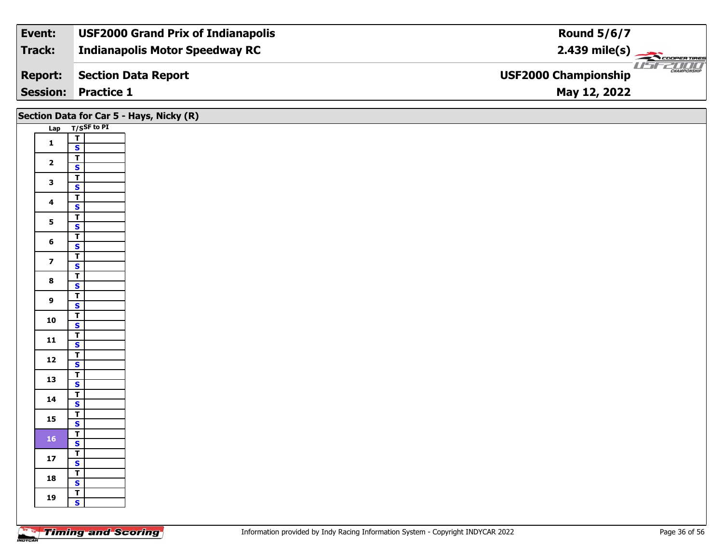| Event:          | <b>USF2000 Grand Prix of Indianapolis</b> | <b>Round 5/6/7</b>                                 |
|-----------------|-------------------------------------------|----------------------------------------------------|
| Track:          | <b>Indianapolis Motor Speedway RC</b>     | $2.439$ mile(s)                                    |
| <b>Report:</b>  | Section Data Report                       | <b>CHAMPIONSHIP</b><br><b>USF2000 Championship</b> |
| <b>Session:</b> | <b>Practice 1</b>                         | May 12, 2022                                       |

# **Section Data for Car 5 - Hays, Nicky (R)**

|            |                         | T/SSF to PI |
|------------|-------------------------|-------------|
| <b>Lap</b> | т                       |             |
| 1          | S                       |             |
|            | Ŧ                       |             |
| 2          |                         |             |
|            | $\overline{\mathbf{s}}$ |             |
| 3          | T                       |             |
|            | $rac{S}{T}$             |             |
| 4          |                         |             |
|            | $\overline{\mathbf{s}}$ |             |
| 5          | T                       |             |
|            | S                       |             |
| 6          | Ţ                       |             |
|            | S                       |             |
| 7          | T                       |             |
|            | S                       |             |
| 8          | T                       |             |
|            | S                       |             |
| 9          | T                       |             |
|            | S                       |             |
| 10         | T                       |             |
|            | $\overline{\mathbf{s}}$ |             |
| 11         | Ţ                       |             |
|            | S                       |             |
| 12         | T                       |             |
|            | S                       |             |
| 13         | T                       |             |
|            | S                       |             |
| 14         | T                       |             |
|            | S                       |             |
| 15         | Ŧ                       |             |
|            | S                       |             |
| 16         | T                       |             |
|            | S                       |             |
| 17         | Ŧ                       |             |
|            | <u>s</u>                |             |
| 18         | Ŧ                       |             |
|            | S                       |             |
| 19         | Т                       |             |
|            | s                       |             |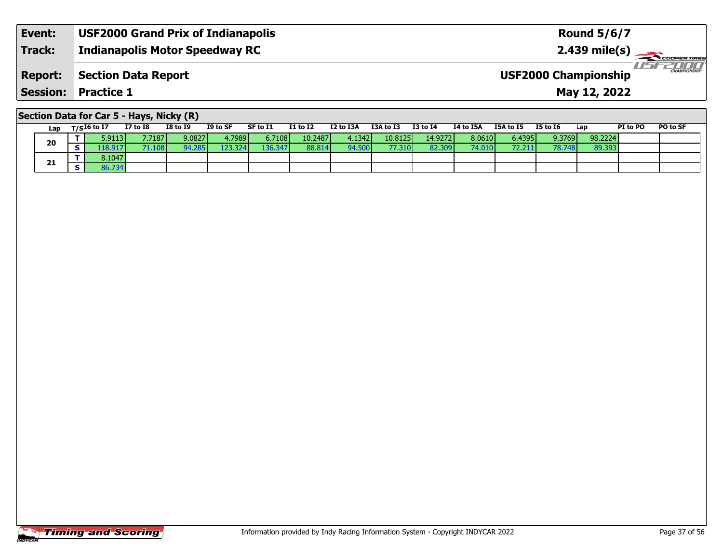| Event:          | <b>USF2000 Grand Prix of Indianapolis</b> | <b>Round 5/6/7</b>                                            |
|-----------------|-------------------------------------------|---------------------------------------------------------------|
| <b>Track:</b>   | Indianapolis Motor Speedway RC            | $2.439$ mile(s)                                               |
| <b>Report:</b>  | <b>Section Data Report</b>                | USFZOOO<br><b>CHAMPIONSHIP</b><br><b>USF2000 Championship</b> |
| <b>Session:</b> | <b>Practice 1</b>                         | May 12, 2022                                                  |

# **Section Data for Car 5 - Hays, Nicky (R)**

| Lap | $T/SI6$ to I7 | $I7$ to $I8$  | <b>I8 to I9</b> | I9 to SF | SF to I1 | <b>I1 to I2</b> | I2 to I3A | I3A to I3 | <b>I3 to I4</b>  | <b>I4 to I5A</b> | I5A to I5       | <b>I5 to 16</b> | Lap     | PI to PO | PO to SF |
|-----|---------------|---------------|-----------------|----------|----------|-----------------|-----------|-----------|------------------|------------------|-----------------|-----------------|---------|----------|----------|
| 20  | 5.9113 I      | 7.7187        | 9.0827          | 4.7989   | 6.7108   | 10.2487         | 4.1342 l  | 10.8125   | 14.9272 <b>l</b> | 8.0610           | 6.4395 <b>I</b> | 9.3769          | 98.2224 |          |          |
|     | .18.917       | <b>71.108</b> | 94.285          | 123.324  | 136.347  | 88.814          | 94.500    |           | 82.309           | 74.010           | 72.21           | 78.748 <b>I</b> | 89.393  |          |          |
|     | 3.1047        |               |                 |          |          |                 |           |           |                  |                  |                 |                 |         |          |          |
| 21  | 36.734        |               |                 |          |          |                 |           |           |                  |                  |                 |                 |         |          |          |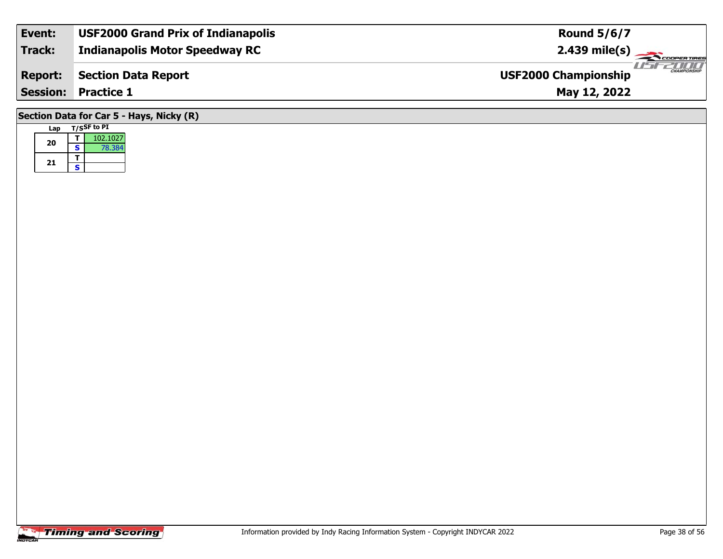| Event:                                     | <b>USF2000 Grand Prix of Indianapolis</b> | <b>Round 5/6/7</b>                                 |  |  |  |  |  |  |  |
|--------------------------------------------|-------------------------------------------|----------------------------------------------------|--|--|--|--|--|--|--|
| Track:                                     | <b>Indianapolis Motor Speedway RC</b>     | $2.439 \text{ mile(s)}$                            |  |  |  |  |  |  |  |
| <b>Report:</b>                             | <b>Section Data Report</b>                | <b>CHAMPIONSHIP</b><br><b>USF2000 Championship</b> |  |  |  |  |  |  |  |
| <b>Session: Practice 1</b><br>May 12, 2022 |                                           |                                                    |  |  |  |  |  |  |  |
| Section Data for Car 5 - Hays, Nicky (R)   |                                           |                                                    |  |  |  |  |  |  |  |

| Lap |   | <b>T/SSF</b> to PI |
|-----|---|--------------------|
| 20  |   | 102.1027           |
|     | S | 78.384             |
| 21  |   |                    |
|     | s |                    |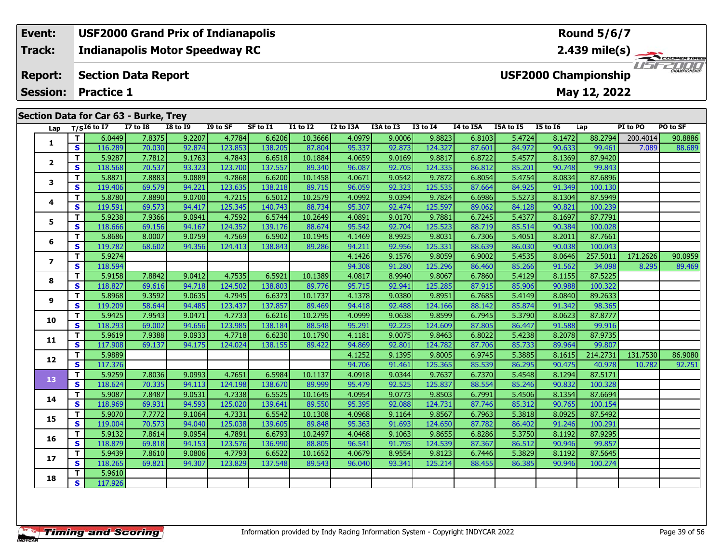## **Event: USF2000 Grand Prix of Indianapolis Round 5/6/7Indianapolis Motor Speedway RC 2.439 mile(s) Track:** THE COOPERTIRES **Section Data Report Report: USF2000 Championship May 12, 2022 Session: Practice 1 Section Data for Car 63 - Burke, Trey Lap T/SI6 to I7 I7 to I8 I8 to I9 I9 to SF SF to I1 I1 to I2 I2 to I3A I3A to I3 I3 to I4 I4 to I5A I5A to I5 I5 to I6 Lap PI to PO PO to SF 1**

| 6.0449<br>7.8375<br>9.2207<br>10.3666<br>9.0006<br>T.<br>4.7784<br>6.6206<br>4.0979<br>9.8823<br>6.8103<br>5.4724<br>8.1472<br>88.2794<br>200.4014<br>90.8886<br>1<br>S.<br>92.874<br>123.853<br>138.205<br>87.804<br>95.337<br>92.873<br>124.327<br>84.972<br>90.633<br>99.461<br>116.289<br>70.030<br>87.601<br>7.089<br>88.689<br>4.7843<br>87.9420<br>T.<br>5.9287<br>7.7812<br>9.1763<br>6.6518<br>10.1884<br>4.0659<br>9.0169<br>9.8817<br>6.8722<br>5.4577<br>8.1369<br>$\mathbf{2}$<br>70.537<br>123.700<br>137.557<br>96.087<br>92.705<br>124.335<br>90.748<br>S.<br>118.568<br>93.323<br>89.340<br>86.812<br>85.201<br>99.843<br>т<br>5.8871<br>7.8883<br>4.7868<br>6.6200<br>4.0671<br>9.0542<br>5.4754<br>8.0834<br>87.6896<br>9.0889<br>10.1458<br>9.7872<br>6.8054<br>3<br>S<br>92.323<br>125.535<br>119.406<br>69.579<br>94.221<br>123.635<br>138.218<br>96.059<br>87.664<br>84.925<br>91.349<br>100.130<br>89.715<br>4.7215<br>9.0394<br>87.5949<br>T.<br>5.8780<br>7.8890<br>9.0700<br>6.5012<br>10.2579<br>4.0992<br>9.7824<br>5.5273<br>8.1304<br>6.6986<br>4<br>125.345<br>S<br>119.591<br>88.734<br>95.307<br>92.474<br>125.597<br>84.128<br>90.821<br>100.239<br>69.573<br>94.417<br>140.743<br>89.062<br>4.7592<br>T.<br>5.9238<br>7.9366<br>6.5744<br>10.2649<br>4.0891<br>9.0170<br>5.4377<br>8.1697<br>87.7791<br>9.0941<br>9.7881<br>6.7245<br>5<br>$\mathbf{s}$<br>124.352<br>139.176<br>95.542<br>92.704<br>125.523<br>90.384<br>100.028<br>118,666<br>69.156<br>94.167<br>88.674<br>88.719<br>85.514<br>4.7569<br>8.9925<br>8.2011<br>87.7661<br>T.<br>5.8686<br>8.0007<br>9.0759<br>6.5902<br>10.1945<br>4.1469<br>9.8031<br>6.7306<br>5.4051<br>6<br>S<br>92.956<br>119.782<br>124.413<br>125.331<br>88.639<br>86.030<br>90.038<br>100.043<br>68.602<br>94.356<br>138.843<br>89.286<br>94.211<br>8.0646<br>257.5011<br>T.<br>5.9274<br>4.1426<br>9.1576<br>9.8059<br>6.9002<br>5.4535<br>171.2626<br>90.0959<br>$\overline{ }$<br>$\mathbf{s}$<br>91.280<br>125.296<br>91.562<br>118.594<br>94.308<br>86.460<br>85.266<br>34.098<br>8.295<br>89.469<br>4.7535<br>87.5225<br>T.<br>7.8842<br>9.0412<br>10.1389<br>8.9940<br>5.4129<br>8.1155<br>5.9158<br>6.5921<br>4.0817<br>9.8067<br>6.7860<br>8<br>S<br>118.827<br>124.502<br>95.715<br>92.941<br>125.285<br>87.915<br>85.906<br>90.988<br>100.322<br>94.718<br>138.803<br>89.776<br>69.616<br>9.0380<br>T.<br>5.8968<br>9.0635<br>4.7945<br>10.1737<br>4.1378<br>9.8951<br>6.7685<br>5.4149<br>8.0840<br>89.2633<br>9.3592<br>6.6373<br>9<br>S<br>137.857<br>92.488<br>91.342<br>119.209<br>58.644<br>94.485<br>123.437<br>89.469<br>94.418<br>124.166<br>85.874<br>98.365<br>88.142<br>T.<br>4.7733<br>9.0638<br>5.3790<br>8.0623<br>87.8777<br>5.9425<br>7.9543<br>9.0471<br>6.6216<br>10.2795<br>4.0999<br>9.8599<br>6.7945<br>10<br>S<br>118.293<br>94.656<br>123.985<br>138.184<br>88.548<br>95.291<br>92.225<br>124.609<br>86.447<br>91.588<br>99.916<br>69.002<br>87.805<br>T.<br>5.9619<br>9.0933<br>4.7718<br>6.6230<br>4.1181<br>9.0075<br>9.8463<br>5.4238<br>8.2078<br>87.9735<br>7.9388<br>10.1790<br>6.8022<br>11<br>S<br>124.782<br>89.964<br>117.908<br>124.024<br>138.155<br>94.869<br>92.801<br>87.706<br>85.733<br>99.807<br>69.137<br>94.175<br>89.422<br>T.<br>5.9889<br>4.1252<br>9.1395<br>214.2731<br>131.7530<br>9.8005<br>6.9745<br>5.3885<br>8.1615<br>86.9080<br>12<br>S.<br>117.376<br>94.706<br>91.461<br>125.365<br>86.295<br>90.475<br>92.751<br>85.539<br>40.978<br>10.782<br>T.<br>4.7651<br>9.0344<br>5.9259<br>7.8036<br>9.0993<br>6.5984<br>10.1137<br>4.0918<br>9.7637<br>5.4548<br>8.1294<br>87.5171<br>6.7370<br>13<br>S<br>92.525<br>125.837<br>90.832<br>118.624<br>124.198<br>95.479<br>88.554<br>85.246<br>100.328<br>70.335<br>94.113<br>138.670<br>89.999<br>T.<br>4.0954<br>9.0773<br>5.4506<br>5.9087<br>7.8487<br>9.0531<br>4.7338<br>6.5525<br>9.8503<br>6.7991<br>8.1354<br>87.6694<br>10.1645<br>14<br>S.<br>125.020<br>95.395<br>92.088<br>85.312<br>90.765<br>118.969<br>69.931<br>94.593<br>139.641<br>89.550<br>124.731<br>87.746<br>100.154<br>8.0925<br>T.<br>5.9070<br>7.7772<br>9.1064<br>4.7331<br>6.5542<br>10.1308<br>4.0968<br>9.1164<br>9.8567<br>6.7963<br>5.3818<br>87.5492<br>15<br>S<br>94.040<br>125.038<br>95.363<br>91.693<br>100.291<br>119.004<br>70.573<br>139.605<br>89.848<br>124.650<br>87.782<br>86.402<br>91.246<br>T.<br>4.0468<br>9.1063<br>87.9295<br>5.9132<br>7.8614<br>9.0954<br>4.7891<br>6.6793<br>10.2497<br>9.8655<br>6.8286<br>5.3750<br>8.1192<br>16<br>S<br>99.857<br>118.879<br>94.153<br>123.576<br>136.990<br>96.541<br>91.795<br>124.539<br>86.512<br>90.946<br>69.818<br>88.805<br>87.367<br>T.<br>4.0679<br>8.9554<br>5.9439<br>7.8610<br>4.7793<br>6.6522<br>9.8123<br>5.3829<br>8.1192<br>87.5645<br>9.0806<br>10.1652<br>6.7446<br>17<br>S.<br>118.265<br>137.548<br>93.341<br>90.946<br>69.821<br>94.307<br>123.829<br>89.543<br>96.040<br>125.214<br>88.455<br>86.385<br>100.274<br>5.9610<br>T.<br>18<br>$\overline{\mathbf{s}}$<br>117.926 | Lap | $T/SI6$ to I7 | <b>I7 to I8</b> | <b>I8 to I9</b> | I9 to SF | SF to I1 | <b>I1 to I2</b> | I2 to I3A | I3A to I3 | $I3$ to $I4$ | I4 to I5A | I5A to I5 | <b>I5 to 16</b> | Lap | PI to PO | PO to SF |
|------------------------------------------------------------------------------------------------------------------------------------------------------------------------------------------------------------------------------------------------------------------------------------------------------------------------------------------------------------------------------------------------------------------------------------------------------------------------------------------------------------------------------------------------------------------------------------------------------------------------------------------------------------------------------------------------------------------------------------------------------------------------------------------------------------------------------------------------------------------------------------------------------------------------------------------------------------------------------------------------------------------------------------------------------------------------------------------------------------------------------------------------------------------------------------------------------------------------------------------------------------------------------------------------------------------------------------------------------------------------------------------------------------------------------------------------------------------------------------------------------------------------------------------------------------------------------------------------------------------------------------------------------------------------------------------------------------------------------------------------------------------------------------------------------------------------------------------------------------------------------------------------------------------------------------------------------------------------------------------------------------------------------------------------------------------------------------------------------------------------------------------------------------------------------------------------------------------------------------------------------------------------------------------------------------------------------------------------------------------------------------------------------------------------------------------------------------------------------------------------------------------------------------------------------------------------------------------------------------------------------------------------------------------------------------------------------------------------------------------------------------------------------------------------------------------------------------------------------------------------------------------------------------------------------------------------------------------------------------------------------------------------------------------------------------------------------------------------------------------------------------------------------------------------------------------------------------------------------------------------------------------------------------------------------------------------------------------------------------------------------------------------------------------------------------------------------------------------------------------------------------------------------------------------------------------------------------------------------------------------------------------------------------------------------------------------------------------------------------------------------------------------------------------------------------------------------------------------------------------------------------------------------------------------------------------------------------------------------------------------------------------------------------------------------------------------------------------------------------------------------------------------------------------------------------------------------------------------------------------------------------------------------------------------------------------------------------------------------------------------------------------------------------------------------------------------------------------------------------------------------------------------------------------------------------------------------------------------------------------------------------------------------------------------------------------------------------------------------------------------------------------------------------------------------------------------------------------------------------------------------------------------------------------------------------------------------------------------------------------------------------------------------------------|-----|---------------|-----------------|-----------------|----------|----------|-----------------|-----------|-----------|--------------|-----------|-----------|-----------------|-----|----------|----------|
|                                                                                                                                                                                                                                                                                                                                                                                                                                                                                                                                                                                                                                                                                                                                                                                                                                                                                                                                                                                                                                                                                                                                                                                                                                                                                                                                                                                                                                                                                                                                                                                                                                                                                                                                                                                                                                                                                                                                                                                                                                                                                                                                                                                                                                                                                                                                                                                                                                                                                                                                                                                                                                                                                                                                                                                                                                                                                                                                                                                                                                                                                                                                                                                                                                                                                                                                                                                                                                                                                                                                                                                                                                                                                                                                                                                                                                                                                                                                                                                                                                                                                                                                                                                                                                                                                                                                                                                                                                                                                                                                                                                                                                                                                                                                                                                                                                                                                                                                                                                                                                          |     |               |                 |                 |          |          |                 |           |           |              |           |           |                 |     |          |          |
|                                                                                                                                                                                                                                                                                                                                                                                                                                                                                                                                                                                                                                                                                                                                                                                                                                                                                                                                                                                                                                                                                                                                                                                                                                                                                                                                                                                                                                                                                                                                                                                                                                                                                                                                                                                                                                                                                                                                                                                                                                                                                                                                                                                                                                                                                                                                                                                                                                                                                                                                                                                                                                                                                                                                                                                                                                                                                                                                                                                                                                                                                                                                                                                                                                                                                                                                                                                                                                                                                                                                                                                                                                                                                                                                                                                                                                                                                                                                                                                                                                                                                                                                                                                                                                                                                                                                                                                                                                                                                                                                                                                                                                                                                                                                                                                                                                                                                                                                                                                                                                          |     |               |                 |                 |          |          |                 |           |           |              |           |           |                 |     |          |          |
|                                                                                                                                                                                                                                                                                                                                                                                                                                                                                                                                                                                                                                                                                                                                                                                                                                                                                                                                                                                                                                                                                                                                                                                                                                                                                                                                                                                                                                                                                                                                                                                                                                                                                                                                                                                                                                                                                                                                                                                                                                                                                                                                                                                                                                                                                                                                                                                                                                                                                                                                                                                                                                                                                                                                                                                                                                                                                                                                                                                                                                                                                                                                                                                                                                                                                                                                                                                                                                                                                                                                                                                                                                                                                                                                                                                                                                                                                                                                                                                                                                                                                                                                                                                                                                                                                                                                                                                                                                                                                                                                                                                                                                                                                                                                                                                                                                                                                                                                                                                                                                          |     |               |                 |                 |          |          |                 |           |           |              |           |           |                 |     |          |          |
|                                                                                                                                                                                                                                                                                                                                                                                                                                                                                                                                                                                                                                                                                                                                                                                                                                                                                                                                                                                                                                                                                                                                                                                                                                                                                                                                                                                                                                                                                                                                                                                                                                                                                                                                                                                                                                                                                                                                                                                                                                                                                                                                                                                                                                                                                                                                                                                                                                                                                                                                                                                                                                                                                                                                                                                                                                                                                                                                                                                                                                                                                                                                                                                                                                                                                                                                                                                                                                                                                                                                                                                                                                                                                                                                                                                                                                                                                                                                                                                                                                                                                                                                                                                                                                                                                                                                                                                                                                                                                                                                                                                                                                                                                                                                                                                                                                                                                                                                                                                                                                          |     |               |                 |                 |          |          |                 |           |           |              |           |           |                 |     |          |          |
|                                                                                                                                                                                                                                                                                                                                                                                                                                                                                                                                                                                                                                                                                                                                                                                                                                                                                                                                                                                                                                                                                                                                                                                                                                                                                                                                                                                                                                                                                                                                                                                                                                                                                                                                                                                                                                                                                                                                                                                                                                                                                                                                                                                                                                                                                                                                                                                                                                                                                                                                                                                                                                                                                                                                                                                                                                                                                                                                                                                                                                                                                                                                                                                                                                                                                                                                                                                                                                                                                                                                                                                                                                                                                                                                                                                                                                                                                                                                                                                                                                                                                                                                                                                                                                                                                                                                                                                                                                                                                                                                                                                                                                                                                                                                                                                                                                                                                                                                                                                                                                          |     |               |                 |                 |          |          |                 |           |           |              |           |           |                 |     |          |          |
|                                                                                                                                                                                                                                                                                                                                                                                                                                                                                                                                                                                                                                                                                                                                                                                                                                                                                                                                                                                                                                                                                                                                                                                                                                                                                                                                                                                                                                                                                                                                                                                                                                                                                                                                                                                                                                                                                                                                                                                                                                                                                                                                                                                                                                                                                                                                                                                                                                                                                                                                                                                                                                                                                                                                                                                                                                                                                                                                                                                                                                                                                                                                                                                                                                                                                                                                                                                                                                                                                                                                                                                                                                                                                                                                                                                                                                                                                                                                                                                                                                                                                                                                                                                                                                                                                                                                                                                                                                                                                                                                                                                                                                                                                                                                                                                                                                                                                                                                                                                                                                          |     |               |                 |                 |          |          |                 |           |           |              |           |           |                 |     |          |          |
|                                                                                                                                                                                                                                                                                                                                                                                                                                                                                                                                                                                                                                                                                                                                                                                                                                                                                                                                                                                                                                                                                                                                                                                                                                                                                                                                                                                                                                                                                                                                                                                                                                                                                                                                                                                                                                                                                                                                                                                                                                                                                                                                                                                                                                                                                                                                                                                                                                                                                                                                                                                                                                                                                                                                                                                                                                                                                                                                                                                                                                                                                                                                                                                                                                                                                                                                                                                                                                                                                                                                                                                                                                                                                                                                                                                                                                                                                                                                                                                                                                                                                                                                                                                                                                                                                                                                                                                                                                                                                                                                                                                                                                                                                                                                                                                                                                                                                                                                                                                                                                          |     |               |                 |                 |          |          |                 |           |           |              |           |           |                 |     |          |          |
|                                                                                                                                                                                                                                                                                                                                                                                                                                                                                                                                                                                                                                                                                                                                                                                                                                                                                                                                                                                                                                                                                                                                                                                                                                                                                                                                                                                                                                                                                                                                                                                                                                                                                                                                                                                                                                                                                                                                                                                                                                                                                                                                                                                                                                                                                                                                                                                                                                                                                                                                                                                                                                                                                                                                                                                                                                                                                                                                                                                                                                                                                                                                                                                                                                                                                                                                                                                                                                                                                                                                                                                                                                                                                                                                                                                                                                                                                                                                                                                                                                                                                                                                                                                                                                                                                                                                                                                                                                                                                                                                                                                                                                                                                                                                                                                                                                                                                                                                                                                                                                          |     |               |                 |                 |          |          |                 |           |           |              |           |           |                 |     |          |          |
|                                                                                                                                                                                                                                                                                                                                                                                                                                                                                                                                                                                                                                                                                                                                                                                                                                                                                                                                                                                                                                                                                                                                                                                                                                                                                                                                                                                                                                                                                                                                                                                                                                                                                                                                                                                                                                                                                                                                                                                                                                                                                                                                                                                                                                                                                                                                                                                                                                                                                                                                                                                                                                                                                                                                                                                                                                                                                                                                                                                                                                                                                                                                                                                                                                                                                                                                                                                                                                                                                                                                                                                                                                                                                                                                                                                                                                                                                                                                                                                                                                                                                                                                                                                                                                                                                                                                                                                                                                                                                                                                                                                                                                                                                                                                                                                                                                                                                                                                                                                                                                          |     |               |                 |                 |          |          |                 |           |           |              |           |           |                 |     |          |          |
|                                                                                                                                                                                                                                                                                                                                                                                                                                                                                                                                                                                                                                                                                                                                                                                                                                                                                                                                                                                                                                                                                                                                                                                                                                                                                                                                                                                                                                                                                                                                                                                                                                                                                                                                                                                                                                                                                                                                                                                                                                                                                                                                                                                                                                                                                                                                                                                                                                                                                                                                                                                                                                                                                                                                                                                                                                                                                                                                                                                                                                                                                                                                                                                                                                                                                                                                                                                                                                                                                                                                                                                                                                                                                                                                                                                                                                                                                                                                                                                                                                                                                                                                                                                                                                                                                                                                                                                                                                                                                                                                                                                                                                                                                                                                                                                                                                                                                                                                                                                                                                          |     |               |                 |                 |          |          |                 |           |           |              |           |           |                 |     |          |          |
|                                                                                                                                                                                                                                                                                                                                                                                                                                                                                                                                                                                                                                                                                                                                                                                                                                                                                                                                                                                                                                                                                                                                                                                                                                                                                                                                                                                                                                                                                                                                                                                                                                                                                                                                                                                                                                                                                                                                                                                                                                                                                                                                                                                                                                                                                                                                                                                                                                                                                                                                                                                                                                                                                                                                                                                                                                                                                                                                                                                                                                                                                                                                                                                                                                                                                                                                                                                                                                                                                                                                                                                                                                                                                                                                                                                                                                                                                                                                                                                                                                                                                                                                                                                                                                                                                                                                                                                                                                                                                                                                                                                                                                                                                                                                                                                                                                                                                                                                                                                                                                          |     |               |                 |                 |          |          |                 |           |           |              |           |           |                 |     |          |          |
|                                                                                                                                                                                                                                                                                                                                                                                                                                                                                                                                                                                                                                                                                                                                                                                                                                                                                                                                                                                                                                                                                                                                                                                                                                                                                                                                                                                                                                                                                                                                                                                                                                                                                                                                                                                                                                                                                                                                                                                                                                                                                                                                                                                                                                                                                                                                                                                                                                                                                                                                                                                                                                                                                                                                                                                                                                                                                                                                                                                                                                                                                                                                                                                                                                                                                                                                                                                                                                                                                                                                                                                                                                                                                                                                                                                                                                                                                                                                                                                                                                                                                                                                                                                                                                                                                                                                                                                                                                                                                                                                                                                                                                                                                                                                                                                                                                                                                                                                                                                                                                          |     |               |                 |                 |          |          |                 |           |           |              |           |           |                 |     |          |          |
|                                                                                                                                                                                                                                                                                                                                                                                                                                                                                                                                                                                                                                                                                                                                                                                                                                                                                                                                                                                                                                                                                                                                                                                                                                                                                                                                                                                                                                                                                                                                                                                                                                                                                                                                                                                                                                                                                                                                                                                                                                                                                                                                                                                                                                                                                                                                                                                                                                                                                                                                                                                                                                                                                                                                                                                                                                                                                                                                                                                                                                                                                                                                                                                                                                                                                                                                                                                                                                                                                                                                                                                                                                                                                                                                                                                                                                                                                                                                                                                                                                                                                                                                                                                                                                                                                                                                                                                                                                                                                                                                                                                                                                                                                                                                                                                                                                                                                                                                                                                                                                          |     |               |                 |                 |          |          |                 |           |           |              |           |           |                 |     |          |          |
|                                                                                                                                                                                                                                                                                                                                                                                                                                                                                                                                                                                                                                                                                                                                                                                                                                                                                                                                                                                                                                                                                                                                                                                                                                                                                                                                                                                                                                                                                                                                                                                                                                                                                                                                                                                                                                                                                                                                                                                                                                                                                                                                                                                                                                                                                                                                                                                                                                                                                                                                                                                                                                                                                                                                                                                                                                                                                                                                                                                                                                                                                                                                                                                                                                                                                                                                                                                                                                                                                                                                                                                                                                                                                                                                                                                                                                                                                                                                                                                                                                                                                                                                                                                                                                                                                                                                                                                                                                                                                                                                                                                                                                                                                                                                                                                                                                                                                                                                                                                                                                          |     |               |                 |                 |          |          |                 |           |           |              |           |           |                 |     |          |          |
|                                                                                                                                                                                                                                                                                                                                                                                                                                                                                                                                                                                                                                                                                                                                                                                                                                                                                                                                                                                                                                                                                                                                                                                                                                                                                                                                                                                                                                                                                                                                                                                                                                                                                                                                                                                                                                                                                                                                                                                                                                                                                                                                                                                                                                                                                                                                                                                                                                                                                                                                                                                                                                                                                                                                                                                                                                                                                                                                                                                                                                                                                                                                                                                                                                                                                                                                                                                                                                                                                                                                                                                                                                                                                                                                                                                                                                                                                                                                                                                                                                                                                                                                                                                                                                                                                                                                                                                                                                                                                                                                                                                                                                                                                                                                                                                                                                                                                                                                                                                                                                          |     |               |                 |                 |          |          |                 |           |           |              |           |           |                 |     |          |          |
|                                                                                                                                                                                                                                                                                                                                                                                                                                                                                                                                                                                                                                                                                                                                                                                                                                                                                                                                                                                                                                                                                                                                                                                                                                                                                                                                                                                                                                                                                                                                                                                                                                                                                                                                                                                                                                                                                                                                                                                                                                                                                                                                                                                                                                                                                                                                                                                                                                                                                                                                                                                                                                                                                                                                                                                                                                                                                                                                                                                                                                                                                                                                                                                                                                                                                                                                                                                                                                                                                                                                                                                                                                                                                                                                                                                                                                                                                                                                                                                                                                                                                                                                                                                                                                                                                                                                                                                                                                                                                                                                                                                                                                                                                                                                                                                                                                                                                                                                                                                                                                          |     |               |                 |                 |          |          |                 |           |           |              |           |           |                 |     |          |          |
|                                                                                                                                                                                                                                                                                                                                                                                                                                                                                                                                                                                                                                                                                                                                                                                                                                                                                                                                                                                                                                                                                                                                                                                                                                                                                                                                                                                                                                                                                                                                                                                                                                                                                                                                                                                                                                                                                                                                                                                                                                                                                                                                                                                                                                                                                                                                                                                                                                                                                                                                                                                                                                                                                                                                                                                                                                                                                                                                                                                                                                                                                                                                                                                                                                                                                                                                                                                                                                                                                                                                                                                                                                                                                                                                                                                                                                                                                                                                                                                                                                                                                                                                                                                                                                                                                                                                                                                                                                                                                                                                                                                                                                                                                                                                                                                                                                                                                                                                                                                                                                          |     |               |                 |                 |          |          |                 |           |           |              |           |           |                 |     |          |          |
|                                                                                                                                                                                                                                                                                                                                                                                                                                                                                                                                                                                                                                                                                                                                                                                                                                                                                                                                                                                                                                                                                                                                                                                                                                                                                                                                                                                                                                                                                                                                                                                                                                                                                                                                                                                                                                                                                                                                                                                                                                                                                                                                                                                                                                                                                                                                                                                                                                                                                                                                                                                                                                                                                                                                                                                                                                                                                                                                                                                                                                                                                                                                                                                                                                                                                                                                                                                                                                                                                                                                                                                                                                                                                                                                                                                                                                                                                                                                                                                                                                                                                                                                                                                                                                                                                                                                                                                                                                                                                                                                                                                                                                                                                                                                                                                                                                                                                                                                                                                                                                          |     |               |                 |                 |          |          |                 |           |           |              |           |           |                 |     |          |          |
|                                                                                                                                                                                                                                                                                                                                                                                                                                                                                                                                                                                                                                                                                                                                                                                                                                                                                                                                                                                                                                                                                                                                                                                                                                                                                                                                                                                                                                                                                                                                                                                                                                                                                                                                                                                                                                                                                                                                                                                                                                                                                                                                                                                                                                                                                                                                                                                                                                                                                                                                                                                                                                                                                                                                                                                                                                                                                                                                                                                                                                                                                                                                                                                                                                                                                                                                                                                                                                                                                                                                                                                                                                                                                                                                                                                                                                                                                                                                                                                                                                                                                                                                                                                                                                                                                                                                                                                                                                                                                                                                                                                                                                                                                                                                                                                                                                                                                                                                                                                                                                          |     |               |                 |                 |          |          |                 |           |           |              |           |           |                 |     |          |          |
|                                                                                                                                                                                                                                                                                                                                                                                                                                                                                                                                                                                                                                                                                                                                                                                                                                                                                                                                                                                                                                                                                                                                                                                                                                                                                                                                                                                                                                                                                                                                                                                                                                                                                                                                                                                                                                                                                                                                                                                                                                                                                                                                                                                                                                                                                                                                                                                                                                                                                                                                                                                                                                                                                                                                                                                                                                                                                                                                                                                                                                                                                                                                                                                                                                                                                                                                                                                                                                                                                                                                                                                                                                                                                                                                                                                                                                                                                                                                                                                                                                                                                                                                                                                                                                                                                                                                                                                                                                                                                                                                                                                                                                                                                                                                                                                                                                                                                                                                                                                                                                          |     |               |                 |                 |          |          |                 |           |           |              |           |           |                 |     |          |          |
|                                                                                                                                                                                                                                                                                                                                                                                                                                                                                                                                                                                                                                                                                                                                                                                                                                                                                                                                                                                                                                                                                                                                                                                                                                                                                                                                                                                                                                                                                                                                                                                                                                                                                                                                                                                                                                                                                                                                                                                                                                                                                                                                                                                                                                                                                                                                                                                                                                                                                                                                                                                                                                                                                                                                                                                                                                                                                                                                                                                                                                                                                                                                                                                                                                                                                                                                                                                                                                                                                                                                                                                                                                                                                                                                                                                                                                                                                                                                                                                                                                                                                                                                                                                                                                                                                                                                                                                                                                                                                                                                                                                                                                                                                                                                                                                                                                                                                                                                                                                                                                          |     |               |                 |                 |          |          |                 |           |           |              |           |           |                 |     |          |          |
|                                                                                                                                                                                                                                                                                                                                                                                                                                                                                                                                                                                                                                                                                                                                                                                                                                                                                                                                                                                                                                                                                                                                                                                                                                                                                                                                                                                                                                                                                                                                                                                                                                                                                                                                                                                                                                                                                                                                                                                                                                                                                                                                                                                                                                                                                                                                                                                                                                                                                                                                                                                                                                                                                                                                                                                                                                                                                                                                                                                                                                                                                                                                                                                                                                                                                                                                                                                                                                                                                                                                                                                                                                                                                                                                                                                                                                                                                                                                                                                                                                                                                                                                                                                                                                                                                                                                                                                                                                                                                                                                                                                                                                                                                                                                                                                                                                                                                                                                                                                                                                          |     |               |                 |                 |          |          |                 |           |           |              |           |           |                 |     |          |          |
|                                                                                                                                                                                                                                                                                                                                                                                                                                                                                                                                                                                                                                                                                                                                                                                                                                                                                                                                                                                                                                                                                                                                                                                                                                                                                                                                                                                                                                                                                                                                                                                                                                                                                                                                                                                                                                                                                                                                                                                                                                                                                                                                                                                                                                                                                                                                                                                                                                                                                                                                                                                                                                                                                                                                                                                                                                                                                                                                                                                                                                                                                                                                                                                                                                                                                                                                                                                                                                                                                                                                                                                                                                                                                                                                                                                                                                                                                                                                                                                                                                                                                                                                                                                                                                                                                                                                                                                                                                                                                                                                                                                                                                                                                                                                                                                                                                                                                                                                                                                                                                          |     |               |                 |                 |          |          |                 |           |           |              |           |           |                 |     |          |          |
|                                                                                                                                                                                                                                                                                                                                                                                                                                                                                                                                                                                                                                                                                                                                                                                                                                                                                                                                                                                                                                                                                                                                                                                                                                                                                                                                                                                                                                                                                                                                                                                                                                                                                                                                                                                                                                                                                                                                                                                                                                                                                                                                                                                                                                                                                                                                                                                                                                                                                                                                                                                                                                                                                                                                                                                                                                                                                                                                                                                                                                                                                                                                                                                                                                                                                                                                                                                                                                                                                                                                                                                                                                                                                                                                                                                                                                                                                                                                                                                                                                                                                                                                                                                                                                                                                                                                                                                                                                                                                                                                                                                                                                                                                                                                                                                                                                                                                                                                                                                                                                          |     |               |                 |                 |          |          |                 |           |           |              |           |           |                 |     |          |          |
|                                                                                                                                                                                                                                                                                                                                                                                                                                                                                                                                                                                                                                                                                                                                                                                                                                                                                                                                                                                                                                                                                                                                                                                                                                                                                                                                                                                                                                                                                                                                                                                                                                                                                                                                                                                                                                                                                                                                                                                                                                                                                                                                                                                                                                                                                                                                                                                                                                                                                                                                                                                                                                                                                                                                                                                                                                                                                                                                                                                                                                                                                                                                                                                                                                                                                                                                                                                                                                                                                                                                                                                                                                                                                                                                                                                                                                                                                                                                                                                                                                                                                                                                                                                                                                                                                                                                                                                                                                                                                                                                                                                                                                                                                                                                                                                                                                                                                                                                                                                                                                          |     |               |                 |                 |          |          |                 |           |           |              |           |           |                 |     |          |          |
|                                                                                                                                                                                                                                                                                                                                                                                                                                                                                                                                                                                                                                                                                                                                                                                                                                                                                                                                                                                                                                                                                                                                                                                                                                                                                                                                                                                                                                                                                                                                                                                                                                                                                                                                                                                                                                                                                                                                                                                                                                                                                                                                                                                                                                                                                                                                                                                                                                                                                                                                                                                                                                                                                                                                                                                                                                                                                                                                                                                                                                                                                                                                                                                                                                                                                                                                                                                                                                                                                                                                                                                                                                                                                                                                                                                                                                                                                                                                                                                                                                                                                                                                                                                                                                                                                                                                                                                                                                                                                                                                                                                                                                                                                                                                                                                                                                                                                                                                                                                                                                          |     |               |                 |                 |          |          |                 |           |           |              |           |           |                 |     |          |          |
|                                                                                                                                                                                                                                                                                                                                                                                                                                                                                                                                                                                                                                                                                                                                                                                                                                                                                                                                                                                                                                                                                                                                                                                                                                                                                                                                                                                                                                                                                                                                                                                                                                                                                                                                                                                                                                                                                                                                                                                                                                                                                                                                                                                                                                                                                                                                                                                                                                                                                                                                                                                                                                                                                                                                                                                                                                                                                                                                                                                                                                                                                                                                                                                                                                                                                                                                                                                                                                                                                                                                                                                                                                                                                                                                                                                                                                                                                                                                                                                                                                                                                                                                                                                                                                                                                                                                                                                                                                                                                                                                                                                                                                                                                                                                                                                                                                                                                                                                                                                                                                          |     |               |                 |                 |          |          |                 |           |           |              |           |           |                 |     |          |          |
|                                                                                                                                                                                                                                                                                                                                                                                                                                                                                                                                                                                                                                                                                                                                                                                                                                                                                                                                                                                                                                                                                                                                                                                                                                                                                                                                                                                                                                                                                                                                                                                                                                                                                                                                                                                                                                                                                                                                                                                                                                                                                                                                                                                                                                                                                                                                                                                                                                                                                                                                                                                                                                                                                                                                                                                                                                                                                                                                                                                                                                                                                                                                                                                                                                                                                                                                                                                                                                                                                                                                                                                                                                                                                                                                                                                                                                                                                                                                                                                                                                                                                                                                                                                                                                                                                                                                                                                                                                                                                                                                                                                                                                                                                                                                                                                                                                                                                                                                                                                                                                          |     |               |                 |                 |          |          |                 |           |           |              |           |           |                 |     |          |          |
|                                                                                                                                                                                                                                                                                                                                                                                                                                                                                                                                                                                                                                                                                                                                                                                                                                                                                                                                                                                                                                                                                                                                                                                                                                                                                                                                                                                                                                                                                                                                                                                                                                                                                                                                                                                                                                                                                                                                                                                                                                                                                                                                                                                                                                                                                                                                                                                                                                                                                                                                                                                                                                                                                                                                                                                                                                                                                                                                                                                                                                                                                                                                                                                                                                                                                                                                                                                                                                                                                                                                                                                                                                                                                                                                                                                                                                                                                                                                                                                                                                                                                                                                                                                                                                                                                                                                                                                                                                                                                                                                                                                                                                                                                                                                                                                                                                                                                                                                                                                                                                          |     |               |                 |                 |          |          |                 |           |           |              |           |           |                 |     |          |          |
|                                                                                                                                                                                                                                                                                                                                                                                                                                                                                                                                                                                                                                                                                                                                                                                                                                                                                                                                                                                                                                                                                                                                                                                                                                                                                                                                                                                                                                                                                                                                                                                                                                                                                                                                                                                                                                                                                                                                                                                                                                                                                                                                                                                                                                                                                                                                                                                                                                                                                                                                                                                                                                                                                                                                                                                                                                                                                                                                                                                                                                                                                                                                                                                                                                                                                                                                                                                                                                                                                                                                                                                                                                                                                                                                                                                                                                                                                                                                                                                                                                                                                                                                                                                                                                                                                                                                                                                                                                                                                                                                                                                                                                                                                                                                                                                                                                                                                                                                                                                                                                          |     |               |                 |                 |          |          |                 |           |           |              |           |           |                 |     |          |          |
|                                                                                                                                                                                                                                                                                                                                                                                                                                                                                                                                                                                                                                                                                                                                                                                                                                                                                                                                                                                                                                                                                                                                                                                                                                                                                                                                                                                                                                                                                                                                                                                                                                                                                                                                                                                                                                                                                                                                                                                                                                                                                                                                                                                                                                                                                                                                                                                                                                                                                                                                                                                                                                                                                                                                                                                                                                                                                                                                                                                                                                                                                                                                                                                                                                                                                                                                                                                                                                                                                                                                                                                                                                                                                                                                                                                                                                                                                                                                                                                                                                                                                                                                                                                                                                                                                                                                                                                                                                                                                                                                                                                                                                                                                                                                                                                                                                                                                                                                                                                                                                          |     |               |                 |                 |          |          |                 |           |           |              |           |           |                 |     |          |          |
|                                                                                                                                                                                                                                                                                                                                                                                                                                                                                                                                                                                                                                                                                                                                                                                                                                                                                                                                                                                                                                                                                                                                                                                                                                                                                                                                                                                                                                                                                                                                                                                                                                                                                                                                                                                                                                                                                                                                                                                                                                                                                                                                                                                                                                                                                                                                                                                                                                                                                                                                                                                                                                                                                                                                                                                                                                                                                                                                                                                                                                                                                                                                                                                                                                                                                                                                                                                                                                                                                                                                                                                                                                                                                                                                                                                                                                                                                                                                                                                                                                                                                                                                                                                                                                                                                                                                                                                                                                                                                                                                                                                                                                                                                                                                                                                                                                                                                                                                                                                                                                          |     |               |                 |                 |          |          |                 |           |           |              |           |           |                 |     |          |          |
|                                                                                                                                                                                                                                                                                                                                                                                                                                                                                                                                                                                                                                                                                                                                                                                                                                                                                                                                                                                                                                                                                                                                                                                                                                                                                                                                                                                                                                                                                                                                                                                                                                                                                                                                                                                                                                                                                                                                                                                                                                                                                                                                                                                                                                                                                                                                                                                                                                                                                                                                                                                                                                                                                                                                                                                                                                                                                                                                                                                                                                                                                                                                                                                                                                                                                                                                                                                                                                                                                                                                                                                                                                                                                                                                                                                                                                                                                                                                                                                                                                                                                                                                                                                                                                                                                                                                                                                                                                                                                                                                                                                                                                                                                                                                                                                                                                                                                                                                                                                                                                          |     |               |                 |                 |          |          |                 |           |           |              |           |           |                 |     |          |          |
|                                                                                                                                                                                                                                                                                                                                                                                                                                                                                                                                                                                                                                                                                                                                                                                                                                                                                                                                                                                                                                                                                                                                                                                                                                                                                                                                                                                                                                                                                                                                                                                                                                                                                                                                                                                                                                                                                                                                                                                                                                                                                                                                                                                                                                                                                                                                                                                                                                                                                                                                                                                                                                                                                                                                                                                                                                                                                                                                                                                                                                                                                                                                                                                                                                                                                                                                                                                                                                                                                                                                                                                                                                                                                                                                                                                                                                                                                                                                                                                                                                                                                                                                                                                                                                                                                                                                                                                                                                                                                                                                                                                                                                                                                                                                                                                                                                                                                                                                                                                                                                          |     |               |                 |                 |          |          |                 |           |           |              |           |           |                 |     |          |          |
|                                                                                                                                                                                                                                                                                                                                                                                                                                                                                                                                                                                                                                                                                                                                                                                                                                                                                                                                                                                                                                                                                                                                                                                                                                                                                                                                                                                                                                                                                                                                                                                                                                                                                                                                                                                                                                                                                                                                                                                                                                                                                                                                                                                                                                                                                                                                                                                                                                                                                                                                                                                                                                                                                                                                                                                                                                                                                                                                                                                                                                                                                                                                                                                                                                                                                                                                                                                                                                                                                                                                                                                                                                                                                                                                                                                                                                                                                                                                                                                                                                                                                                                                                                                                                                                                                                                                                                                                                                                                                                                                                                                                                                                                                                                                                                                                                                                                                                                                                                                                                                          |     |               |                 |                 |          |          |                 |           |           |              |           |           |                 |     |          |          |
|                                                                                                                                                                                                                                                                                                                                                                                                                                                                                                                                                                                                                                                                                                                                                                                                                                                                                                                                                                                                                                                                                                                                                                                                                                                                                                                                                                                                                                                                                                                                                                                                                                                                                                                                                                                                                                                                                                                                                                                                                                                                                                                                                                                                                                                                                                                                                                                                                                                                                                                                                                                                                                                                                                                                                                                                                                                                                                                                                                                                                                                                                                                                                                                                                                                                                                                                                                                                                                                                                                                                                                                                                                                                                                                                                                                                                                                                                                                                                                                                                                                                                                                                                                                                                                                                                                                                                                                                                                                                                                                                                                                                                                                                                                                                                                                                                                                                                                                                                                                                                                          |     |               |                 |                 |          |          |                 |           |           |              |           |           |                 |     |          |          |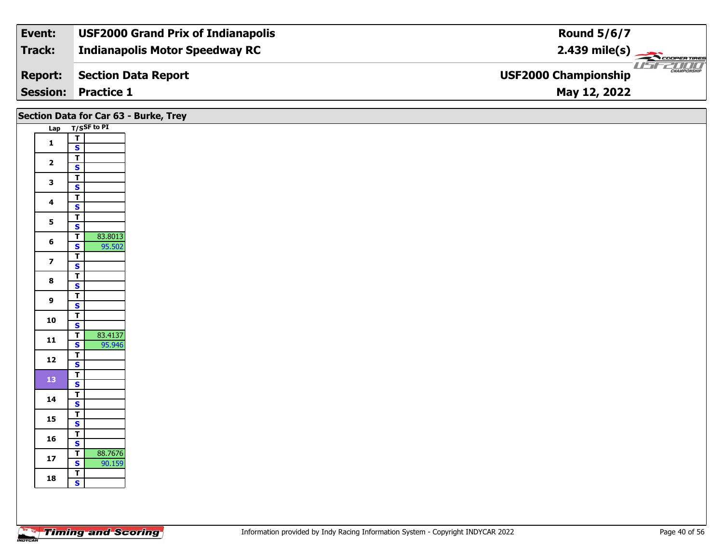| Event:         | <b>USF2000 Grand Prix of Indianapolis</b> | <b>Round 5/6/7</b>                           |
|----------------|-------------------------------------------|----------------------------------------------|
| Track:         | <b>Indianapolis Motor Speedway RC</b>     | $2.439 \text{ mile(s)}$                      |
| <b>Report:</b> | Section Data Report                       | $\frac{1}{1}$<br><b>USF2000 Championship</b> |
|                | <b>Session: Practice 1</b>                | May 12, 2022                                 |

|                         | Section Data for Car 63 - Burke, Trey                                   |  |
|-------------------------|-------------------------------------------------------------------------|--|
|                         | Lap T/SSF to PI                                                         |  |
| $\mathbf{1}$            | $\frac{1}{s}$                                                           |  |
|                         |                                                                         |  |
| $\overline{2}$          | $\mathbf{T}$                                                            |  |
|                         | $\mathbf{s}$                                                            |  |
| $\mathbf{3}$            | $rac{1}{s}$                                                             |  |
|                         | $\overline{\mathbf{r}}$                                                 |  |
| $\overline{\mathbf{4}}$ | $\overline{\mathbf{s}}$                                                 |  |
| $5\phantom{a}$          | $\overline{1}$                                                          |  |
|                         | $\overline{\mathbf{s}}$                                                 |  |
| $6\phantom{1}$          | 83.8013<br>$\overline{\mathsf{r}}$<br>$\overline{\mathbf{s}}$<br>95.502 |  |
|                         | $\overline{\mathbf{T}}$                                                 |  |
| $\overline{\mathbf{z}}$ | $\mathbf{s}$                                                            |  |
|                         | $\overline{\mathbf{r}}$                                                 |  |
| $\bf{8}$                | $\overline{\mathbf{s}}$                                                 |  |
| 9                       | $\overline{1}$                                                          |  |
|                         | $\mathbf{s}$                                                            |  |
| 10                      | $rac{1}{s}$                                                             |  |
|                         | $\overline{1}$<br>83.4137                                               |  |
| 11                      | $\mathsf{s}$<br>95.946                                                  |  |
| 12                      | $\overline{\mathbf{T}}$                                                 |  |
|                         | $\mathbf{s}$                                                            |  |
| 13                      | $\overline{\mathbf{r}}$                                                 |  |
|                         | $\overline{\mathbf{s}}$<br>$\overline{\mathbf{r}}$                      |  |
| 14                      | $\mathbf{s}$                                                            |  |
|                         | $\mathbf{T}$                                                            |  |
| 15                      | $\overline{\mathbf{s}}$                                                 |  |
| 16                      | $\frac{1}{s}$                                                           |  |
|                         |                                                                         |  |
| $17$                    | 88.7676<br>$\overline{1}$<br>$\mathbf{s}$<br>90.159                     |  |
| 18                      | $\frac{1}{s}$                                                           |  |
|                         |                                                                         |  |
|                         |                                                                         |  |
|                         |                                                                         |  |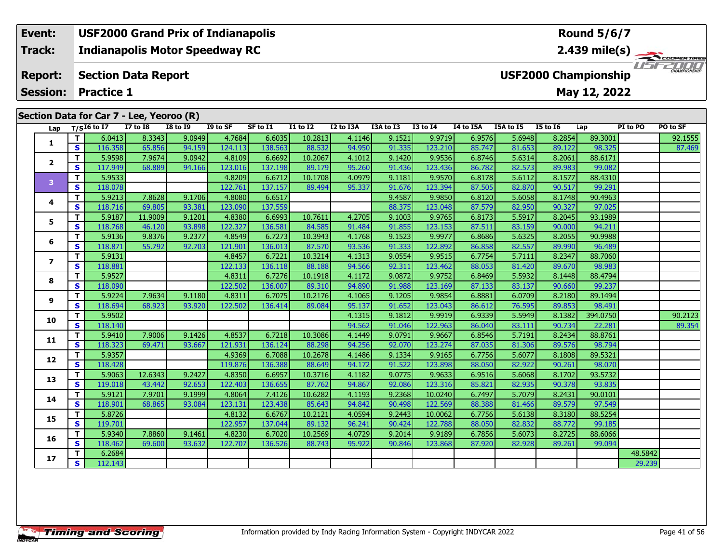### **Event: USF2000 Grand Prix of Indianapolis Round 5/6/7Indianapolis Motor Speedway RC 2.439 mile(s) Track:** THE COOPERTIRES **Report: Section Data Report USF2000 Championship May 12, 2022 Session: Practice 1 Section Data for Car 7 - Lee, Yeoroo (R) Lap T/SI6 to I7 I7 to I8 I8 to I9 I9 to SF SF to I1 I1 to I2 I2 to I3A I3A to I3 I3 to I4 I4 to I5A I5A to I5 I5 to I6 Lap PI to PO PO to SF**

| Lap               |              | $T/SI6$ to I7 | <b>I7 to I8</b> | <b>I8 to I9</b> | I9 to SF | SF to I1 | <b>I1 to I2</b> | I2 to I3A | I3A to I3 | <b>I3 to I4</b> | I4 to I5A | I5A to I5 | <b>I5 to 16</b> | Lap      | PI to PO | PO to SF |
|-------------------|--------------|---------------|-----------------|-----------------|----------|----------|-----------------|-----------|-----------|-----------------|-----------|-----------|-----------------|----------|----------|----------|
|                   | T.           | 6.0413        | 8.3343          | 9.0949          | 4.7684   | 6.6035   | 10.2813         | 4.1146    | 9.1521    | 9.9719          | 6.9576    | 5.6948    | 8.2854          | 89.3001  |          | 92.1555  |
| 1                 | S            | 116.358       | 65.856          | 94.159          | 124.113  | 138.563  | 88.532          | 94.950    | 91.335    | 123.210         | 85.747    | 81.653    | 89.122          | 98.325   |          | 87.469   |
|                   | Т            | 5.9598        | 7.9674          | 9.0942          | 4.8109   | 6.6692   | 10.2067         | 4.1012    | 9.1420    | 9.9536          | 6.8746    | 5.6314    | 8.2061          | 88.6171  |          |          |
| $\mathbf{2}$      | S            | 117.949       | 68.889          | 94.166          | 123.016  | 137.198  | 89.179          | 95.260    | 91.436    | 123.436         | 86.782    | 82.573    | 89.983          | 99.082   |          |          |
| 3                 | T            | 5.9533        |                 |                 | 4.8209   | 6.6712   | 10.1708         | 4.0979    | 9.1181    | 9.9570          | 6.8178    | 5.6112    | 8.1577          | 88.4310  |          |          |
|                   | <b>S</b>     | 118.078       |                 |                 | 122.761  | 137.157  | 89.494          | 95.337    | 91.676    | 123.394         | 87.505    | 82.870    | 90.517          | 99.291   |          |          |
|                   | T            | 5.9213        | 7.8628          | 9.1706          | 4.8080   | 6.6517   |                 |           | 9.4587    | 9.9850          | 6.8120    | 5.6058    | 8.1748          | 90.4963  |          |          |
| 4                 | $\mathbf{s}$ | 118.716       | 69.805          | 93.381          | 123.090  | 137.559  |                 |           | 88.375    | 123.048         | 87.579    | 82.950    | 90.327          | 97.025   |          |          |
| 5                 | Т            | 5.9187        | 11.9009         | 9.1201          | 4.8380   | 6.6993   | 10.7611         | 4.2705    | 9.1003    | 9.9765          | 6.8173    | 5.5917    | 8.2045          | 93.1989  |          |          |
|                   | S            | 118.768       | 46.120          | 93.898          | 122.327  | 136.581  | 84.585          | 91.484    | 91.855    | 123.153         | 87.511    | 83.159    | 90.000          | 94.211   |          |          |
| 6                 | т            | 5.9136        | 9.8376          | 9.2377          | 4.8549   | 6.7273   | 10.3943         | 4.1768    | 9.1523    | 9.9977          | 6.8686    | 5.6325    | 8.2055          | 90.9988  |          |          |
|                   | $\mathbf{s}$ | 118.871       | 55.792          | 92.703          | 121.901  | 136.013  | 87.570          | 93.536    | 91.333    | 122.892         | 86.858    | 82.557    | 89.990          | 96.489   |          |          |
| $\overline{ }$    | T            | 5.9131        |                 |                 | 4.8457   | 6.7221   | 10.3214         | 4.1313    | 9.0554    | 9.9515          | 6.7754    | 5.7111    | 8.2347          | 88.7060  |          |          |
|                   | S            | 118.881       |                 |                 | 122.133  | 136.118  | 88.188          | 94.566    | 92.311    | 123.462         | 88.053    | 81.420    | 89.670          | 98.983   |          |          |
| 8                 | Т            | 5.9527        |                 |                 | 4.8311   | 6.7276   | 10.1918         | 4.1172    | 9.0872    | 9.9752          | 6.8469    | 5.5932    | 8.1448          | 88.4794  |          |          |
|                   | $\mathbf{s}$ | 118.090       |                 |                 | 122.502  | 136.007  | 89.310          | 94.890    | 91.988    | 123.169         | 87.133    | 83.137    | 90.660          | 99.237   |          |          |
| 9                 | $\mathbf{T}$ | 5.9224        | 7.9634          | 9.1180          | 4.8311   | 6.7075   | 10.2176         | 4.1065    | 9.1205    | 9.9854          | 6.8881    | 6.0709    | 8.2180          | 89.1494  |          |          |
|                   | S            | 118.694       | 68.923          | 93.920          | 122.502  | 136.414  | 89.084          | 95.137    | 91.652    | 123.043         | 86.612    | 76.595    | 89.853          | 98.491   |          |          |
| 10                | T            | 5.9502        |                 |                 |          |          |                 | 4.1315    | 9.1812    | 9.9919          | 6.9339    | 5.5949    | 8.1382          | 394.0750 |          | 90.2123  |
|                   | S            | 118.140       |                 |                 |          |          |                 | 94.562    | 91.046    | 122.963         | 86.040    | 83.111    | 90.734          | 22.281   |          | 89.354   |
| 11                | T            | 5.9410        | 7.9006          | 9.1426          | 4.8537   | 6.7218   | 10.3086         | 4.1449    | 9.0791    | 9.9667          | 6.8546    | 5.7191    | 8.2434          | 88.8761  |          |          |
|                   | S            | 118.323       | 69.471          | 93.667          | 121.931  | 136.124  | 88.298          | 94.256    | 92.070    | 123.274         | 87.035    | 81.306    | 89.576          | 98.794   |          |          |
| $12 \overline{ }$ | T            | 5.9357        |                 |                 | 4.9369   | 6.7088   | 10.2678         | 4.1486    | 9.1334    | 9.9165          | 6.7756    | 5.6077    | 8.1808          | 89.5321  |          |          |
|                   | $\mathbf{s}$ | 118.428       |                 |                 | 119.876  | 136.388  | 88.649          | 94.172    | 91.522    | 123.898         | 88.050    | 82.922    | 90.261          | 98.070   |          |          |
| 13                | T            | 5.9063        | 12.6343         | 9.2427          | 4.8350   | 6.6957   | 10.3716         | 4.1182    | 9.0775    | 9.9633          | 6.9516    | 5.6068    | 8.1702          | 93.5732  |          |          |
|                   | S            | 119.018       | 43.442          | 92.653          | 122.403  | 136.655  | 87.762          | 94.867    | 92.086    | 123.316         | 85.821    | 82.935    | 90.378          | 93.835   |          |          |
| 14                | Т            | 5.9121        | 7.9701          | 9.1999          | 4.8064   | 7.4126   | 10.6282         | 4.1193    | 9.2368    | 10.0240         | 6.7497    | 5.7079    | 8.2431          | 90.0101  |          |          |
|                   | $\mathbf{s}$ | 118.901       | 68.865          | 93.084          | 123.131  | 123.438  | 85.643          | 94.842    | 90.498    | 122.569         | 88.388    | 81.466    | 89.579          | 97.549   |          |          |
| 15                | т            | 5.8726        |                 |                 | 4.8132   | 6.6767   | 10.2121         | 4.0594    | 9.2443    | 10.0062         | 6.7756    | 5.6138    | 8.3180          | 88.5254  |          |          |
|                   | S            | 119.701       |                 |                 | 122.957  | 137.044  | 89.132          | 96.241    | 90.424    | 122.788         | 88.050    | 82.832    | 88.772          | 99.185   |          |          |
| 16                | T            | 5.9340        | 7.8860          | 9.1461          | 4.8230   | 6.7020   | 10.2569         | 4.0729    | 9.2014    | 9.9189          | 6.7856    | 5.6073    | 8.2725          | 88.6066  |          |          |
|                   | S            | 118.462       | 69.600          | 93.632          | 122.707  | 136.526  | 88.743          | 95.922    | 90.846    | 123.868         | 87.920    | 82.928    | 89.261          | 99.094   |          |          |
| 17                | т            | 6.2684        |                 |                 |          |          |                 |           |           |                 |           |           |                 |          | 48.5842  |          |
|                   | $\mathbf{s}$ | 112.143       |                 |                 |          |          |                 |           |           |                 |           |           |                 |          | 29.239   |          |
|                   |              |               |                 |                 |          |          |                 |           |           |                 |           |           |                 |          |          |          |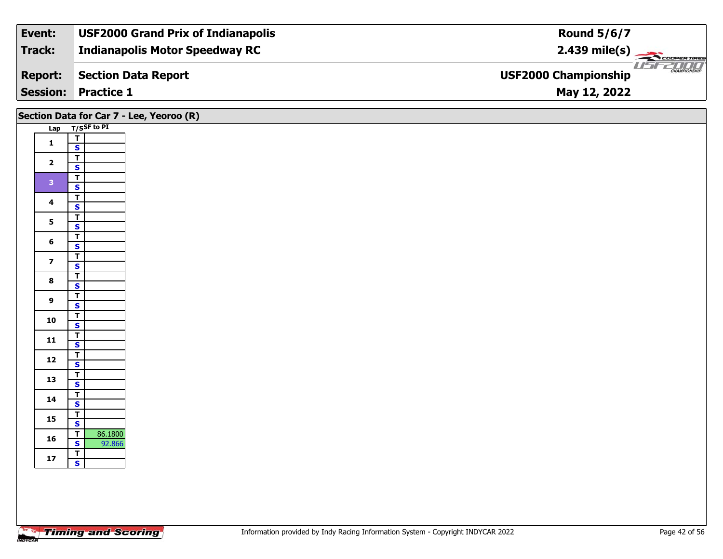| Event:         | <b>USF2000 Grand Prix of Indianapolis</b> | <b>Round 5/6/7</b>                                 |
|----------------|-------------------------------------------|----------------------------------------------------|
| <b>Track:</b>  | <b>Indianapolis Motor Speedway RC</b>     | $2.439 \text{ mile(s)}$                            |
| <b>Report:</b> | Section Data Report                       | <b>CHAMPIONSHIP</b><br><b>USF2000 Championship</b> |
|                | <b>Session: Practice 1</b>                | May 12, 2022                                       |

## **Lap T/SSF to PI 1** $\frac{1}{s}$ 2  $\frac{1}{s}$  $rac{s}{T}$ 3  $\frac{1}{s}$  $rac{s}{T}$ 4  $\frac{1}{s}$  $\mathsf{s}$ 5  $\frac{1}{s}$  $\overline{\mathsf{T}}$ 6  $\frac{1}{s}$  $\overline{\mathbf{T}}$ 7  $\frac{1}{s}$  $rac{s}{T}$ 8  $\frac{1}{s}$  $rac{s}{T}$ **9**9 <mark>「S</mark>  $\frac{10}{\text{S}}$  $\overline{\mathsf{T}}$ 11  $\frac{1}{\mathsf{S}}$  $\mathbf{s}$ 12  $\frac{1}{s}$  $rac{s}{T}$ 13  $\frac{1}{s}$  $rac{S}{T}$ **14**4  $\frac{1}{\mathsf{S}}$ 15  $\frac{1}{s}$  $\overline{\mathbf{T}}$ **16 <sup>T</sup>** 86.1800 **<sup>S</sup>** 92.866 **17 TSSection Data for Car 7 - Lee, Yeoroo (R)**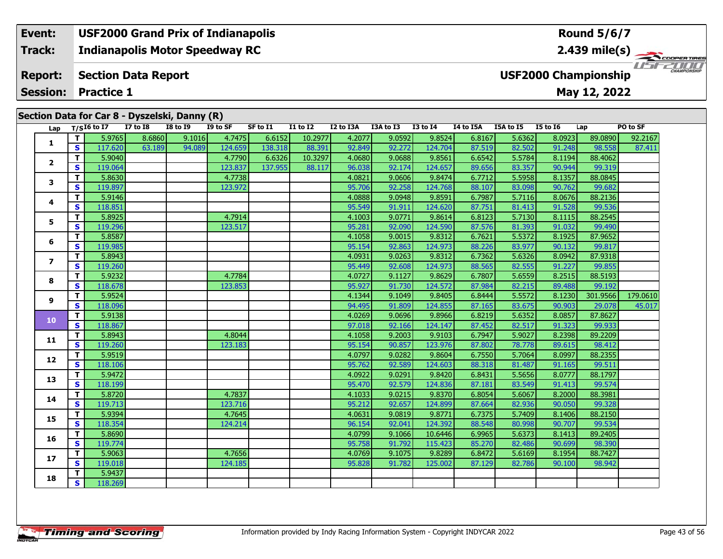#### **Event: USF2000 Grand Prix of Indianapolis Round 5/6/7Indianapolis Motor Speedway RC 2.439 mile(s) Track:** ER TIRES USF2000 **Section Data Report Report: USF2000 Championship Session:May 12, 2022 Practice 1**

|                  |              | Lap $T/SI6$ to I7 | $\cdots$ can $\bullet$ - $\bullet$ $\bullet$ $\cdots$ $\cdots$ $\cdots$<br><b>I7 to I8</b> | <b>I8 to 19</b> | I9 to SF | SF to I1 | I1 to I2 | I2 to I3A | I3A to I3 | <b>I3 to I4</b> | I4 to I5A | I5A to I5 | <b>I5 to 16</b> | Lap      | PO to SF |
|------------------|--------------|-------------------|--------------------------------------------------------------------------------------------|-----------------|----------|----------|----------|-----------|-----------|-----------------|-----------|-----------|-----------------|----------|----------|
| $\mathbf{1}$     | T.           | 5.9765            | 8.6860                                                                                     | 9.1016          | 4.7475   | 6.6152   | 10.2977  | 4.2077    | 9.0592    | 9.8524          | 6.8167    | 5.6362    | 8.0923          | 89.0890  | 92.2167  |
|                  | <b>S</b>     | 117.620           | 63.189                                                                                     | 94.089          | 124.659  | 138.318  | 88.391   | 92.849    | 92.272    | 124.704         | 87.519    | 82.502    | 91.248          | 98.558   | 87.411   |
| $\mathbf{2}$     | T.           | 5.9040            |                                                                                            |                 | 4.7790   | 6.6326   | 10.3297  | 4.0680    | 9.0688    | 9.8561          | 6.6542    | 5.5784    | 8.1194          | 88,4062  |          |
|                  | S.           | 119.064           |                                                                                            |                 | 123.837  | 137.955  | 88.117   | 96.038    | 92.174    | 124.657         | 89.656    | 83.357    | 90.944          | 99.319   |          |
| $\mathbf{3}$     | T.           | 5.8630            |                                                                                            |                 | 4.7738   |          |          | 4.0821    | 9.0606    | 9.8474          | 6.7712    | 5.5958    | 8.1357          | 88.0845  |          |
|                  | <b>S</b>     | 119.897           |                                                                                            |                 | 123.972  |          |          | 95.706    | 92.258    | 124.768         | 88.107    | 83.098    | 90.762          | 99.682   |          |
| 4                | T.           | 5.9146            |                                                                                            |                 |          |          |          | 4.0888    | 9.0948    | 9.8591          | 6.7987    | 5.7116    | 8.0676          | 88.2136  |          |
|                  | <b>S</b>     | 118.851           |                                                                                            |                 |          |          |          | 95.549    | 91.911    | 124.620         | 87.751    | 81.413    | 91.528          | 99.536   |          |
| 5                | T.           | 5.8925            |                                                                                            |                 | 4.7914   |          |          | 4.1003    | 9.0771    | 9.8614          | 6.8123    | 5.7130    | 8.1115          | 88.2545  |          |
|                  | <b>S</b>     | 119.296           |                                                                                            |                 | 123.517  |          |          | 95.281    | 92.090    | 124.590         | 87.576    | 81.393    | 91.032          | 99.490   |          |
| 6                | T.           | 5.8587            |                                                                                            |                 |          |          |          | 4.1058    | 9.0015    | 9.8312          | 6.7621    | 5.5372    | 8.1925          | 87.9652  |          |
|                  | S            | 119.985           |                                                                                            |                 |          |          |          | 95.154    | 92.863    | 124.973         | 88.226    | 83.977    | 90.132          | 99.817   |          |
| $\overline{ }$   | T.           | 5.8943            |                                                                                            |                 |          |          |          | 4.0931    | 9.0263    | 9.8312          | 6.7362    | 5.6326    | 8.0942          | 87.9318  |          |
|                  | $\mathbf{s}$ | 119.260           |                                                                                            |                 |          |          |          | 95.449    | 92.608    | 124.973         | 88.565    | 82.555    | 91.227          | 99.855   |          |
| 8                | T.           | 5.9232            |                                                                                            |                 | 4.7784   |          |          | 4.0727    | 9.1127    | 9.8629          | 6.7807    | 5.6559    | 8.2515          | 88.5193  |          |
|                  | $\mathbf{s}$ | 118.678           |                                                                                            |                 | 123.853  |          |          | 95.927    | 91.730    | 124.572         | 87.984    | 82.215    | 89.488          | 99.192   |          |
| 9                | T.           | 5.9524            |                                                                                            |                 |          |          |          | 4.1344    | 9.1049    | 9.8405          | 6.8444    | 5.5572    | 8.1230          | 301.9566 | 179.0610 |
|                  | $\mathbf{s}$ | 118.096           |                                                                                            |                 |          |          |          | 94.495    | 91.809    | 124.855         | 87.165    | 83.675    | 90.903          | 29.078   | 45.017   |
| 10 <sub>1</sub>  | T.           | 5.9138            |                                                                                            |                 |          |          |          | 4.0269    | 9.0696    | 9.8966          | 6.8219    | 5.6352    | 8.0857          | 87.8627  |          |
|                  | <b>S</b>     | 118.867           |                                                                                            |                 |          |          |          | 97.018    | 92.166    | 124.147         | 87.452    | 82.517    | 91.323          | 99.933   |          |
| 11               | T.           | 5.8943            |                                                                                            |                 | 4.8044   |          |          | 4.1058    | 9.2003    | 9.9103          | 6.7947    | 5.9027    | 8.2398          | 89.2209  |          |
|                  | s.           | 119.260           |                                                                                            |                 | 123.183  |          |          | 95.154    | 90.857    | 123.976         | 87.802    | 78.778    | 89.615          | 98.412   |          |
| 12 <sup>12</sup> | $\mathbf{T}$ | 5.9519            |                                                                                            |                 |          |          |          | 4.0797    | 9.0282    | 9.8604          | 6.7550    | 5.7064    | 8.0997          | 88.2355  |          |
|                  | <b>S</b>     | 118.106           |                                                                                            |                 |          |          |          | 95.762    | 92.589    | 124.603         | 88.318    | 81.487    | 91.165          | 99.511   |          |
| 13               | $\mathbf{T}$ | 5.9472            |                                                                                            |                 |          |          |          | 4.0922    | 9.0291    | 9.8420          | 6.8431    | 5.5656    | 8.0777          | 88.1797  |          |
|                  | <b>S</b>     | 118.199           |                                                                                            |                 |          |          |          | 95.470    | 92.579    | 124.836         | 87.181    | 83.549    | 91.413          | 99.574   |          |
| 14               | $\mathbf{T}$ | 5.8720            |                                                                                            |                 | 4.7837   |          |          | 4.1033    | 9.0215    | 9.8370          | 6.8054    | 5.6067    | 8.2000          | 88.3981  |          |
|                  | <b>S</b>     | 119.713           |                                                                                            |                 | 123.716  |          |          | 95.212    | 92.657    | 124.899         | 87.664    | 82.936    | 90.050          | 99.328   |          |
| 15               | T            | 5.9394            |                                                                                            |                 | 4.7645   |          |          | 4.0631    | 9.0819    | 9.8771          | 6.7375    | 5.7409    | 8.1406          | 88.2150  |          |
|                  | <b>S</b>     | 118.354           |                                                                                            |                 | 124.214  |          |          | 96.154    | 92.041    | 124.392         | 88.548    | 80.998    | 90.707          | 99.534   |          |
| 16               | $\mathbf{T}$ | 5.8690            |                                                                                            |                 |          |          |          | 4.0799    | 9.1066    | 10.6446         | 6.9965    | 5.6373    | 8.1413          | 89.2405  |          |
|                  | <b>S</b>     | 119.774           |                                                                                            |                 |          |          |          | 95.758    | 91.792    | 115.423         | 85.270    | 82.486    | 90.699          | 98.390   |          |
| 17               | T            | 5.9063            |                                                                                            |                 | 4.7656   |          |          | 4.0769    | 9.1075    | 9.8289          | 6.8472    | 5.6169    | 8.1954          | 88.7427  |          |
|                  | S.           | 119.018           |                                                                                            |                 | 124.185  |          |          | 95.828    | 91.782    | 125.002         | 87.129    | 82.786    | 90.100          | 98.942   |          |
| 18               | T.           | 5.9437            |                                                                                            |                 |          |          |          |           |           |                 |           |           |                 |          |          |
|                  | -s l         | 118,269           |                                                                                            |                 |          |          |          |           |           |                 |           |           |                 |          |          |

**Section Data for Car 8 - Dyszelski, Danny (R)**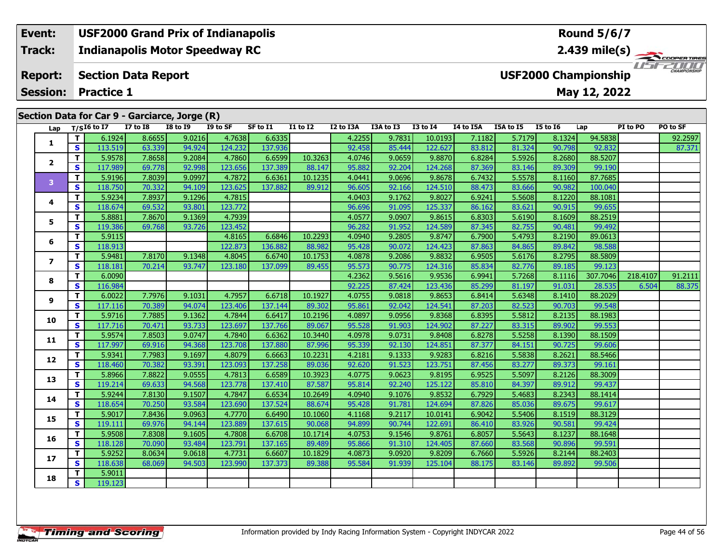#### **Event: USF2000 Grand Prix of Indianapolis Round 5/6/7Indianapolis Motor Speedway RC 2.439 mile(s) Track: THE COOPERTIRES Report: Section Data Report USF2000 Championship Session:May 12, 2022 Practice 1 Section Data for Car 9 - Garciarce, Jorge (R)**

| occion p | Lap                     |                         | יש וטו ש<br>$T/SI6$ to I7 | <b>I7 to I8</b> | $\frac{1}{2}$<br><b>I8 to I9</b> | I9 to SF | SF to I1 | <b>I1 to I2</b> | I2 to I3A | I3A to I3 | <b>I3 to I4</b> | I4 to I5A | I5A to I5 | <b>I5 to 16</b> | Lap      | PI to PO | PO to SF |
|----------|-------------------------|-------------------------|---------------------------|-----------------|----------------------------------|----------|----------|-----------------|-----------|-----------|-----------------|-----------|-----------|-----------------|----------|----------|----------|
|          |                         | T.                      | 6.1924                    | 8.6655          | 9.0216                           | 4.7638   | 6.6335   |                 | 4.2255    | 9.7831    | 10.0193         | 7.1182    | 5.7179    | 8.1324          | 94.5838  |          | 92.2597  |
|          | 1                       | $\mathbf{s}$            | 113.519                   | 63.339          | 94.924                           | 124.232  | 137.936  |                 | 92.458    | 85.444    | 122,627         | 83.812    | 81.324    | 90.798          | 92.832   |          | 87.371   |
|          |                         | T.                      | 5.9578                    | 7.8658          | 9.2084                           | 4.7860   | 6.6599   | 10.3263         | 4.0746    | 9.0659    | 9.8870          | 6.8284    | 5.5926    | 8.2680          | 88.5207  |          |          |
|          | $\overline{2}$          | S                       | 117.989                   | 69.778          | 92.998                           | 123.656  | 137.389  | 88.147          | 95.882    | 92.204    | 124.268         | 87.369    | 83.146    | 89.309          | 99.190   |          |          |
|          |                         | T.                      | 5.9196                    | 7.8039          | 9.0997                           | 4.7872   | 6.6361   | 10.1235         | 4.0441    | 9.0696    | 9.8678          | 6.7432    | 5.5578    | 8.1160          | 87.7685  |          |          |
|          | 3                       | S                       | 118.750                   | 70.332          | 94.109                           | 123.625  | 137.882  | 89.912          | 96.605    | 92.166    | 124.510         | 88.473    | 83.666    | 90.982          | 100.040  |          |          |
|          |                         | T.                      | 5.9234                    | 7.8937          | 9.1296                           | 4.7815   |          |                 | 4.0403    | 9.1762    | 9.8027          | 6.9241    | 5.5608    | 8.1220          | 88.1081  |          |          |
|          | 4                       | S                       | 118.674                   | 69.532          | 93.801                           | 123.772  |          |                 | 96.696    | 91.095    | 125.337         | 86.162    | 83.621    | 90.915          | 99.655   |          |          |
|          | 5                       | T.                      | 5.8881                    | 7.8670          | 9.1369                           | 4.7939   |          |                 | 4.0577    | 9.0907    | 9.8615          | 6.8303    | 5.6190    | 8.1609          | 88.2519  |          |          |
|          |                         | $\mathbf{s}$            | 119.386                   | 69.768          | 93.726                           | 123.452  |          |                 | 96.282    | 91.952    | 124.589         | 87.345    | 82.755    | 90.481          | 99.492   |          |          |
|          | 6                       | T.                      | 5.9115                    |                 |                                  | 4.8165   | 6.6846   | 10.2293         | 4.0940    | 9.2805    | 9.8747          | 6.7900    | 5.4793    | 8.2190          | 89.0613  |          |          |
|          |                         | S                       | 118.913                   |                 |                                  | 122.873  | 136.882  | 88.982          | 95.428    | 90.072    | 124.423         | 87.863    | 84.865    | 89.842          | 98.588   |          |          |
|          | $\overline{\mathbf{z}}$ | T.                      | 5.9481                    | 7.8170          | 9.1348                           | 4.8045   | 6.6740   | 10.1753         | 4.0878    | 9.2086    | 9.8832          | 6.9505    | 5.6176    | 8.2795          | 88.5809  |          |          |
|          |                         | S                       | 118.181                   | 70.214          | 93.747                           | 123.180  | 137.099  | 89.455          | 95.573    | 90.775    | 124.316         | 85.834    | 82.776    | 89.185          | 99.123   |          |          |
|          | 8                       | T                       | 6.0090                    |                 |                                  |          |          |                 | 4.2362    | 9.5616    | 9.9536          | 6.9941    | 5.7268    | 8.1116          | 307.7046 | 218.4107 | 91.2111  |
|          |                         | S                       | 116.984                   |                 |                                  |          |          |                 | 92.225    | 87.424    | 123.436         | 85.299    | 81.197    | 91.031          | 28.535   | 6.504    | 88.375   |
|          | 9                       | T.                      | 6.0022                    | 7.7976          | 9.1031                           | 4.7957   | 6.6718   | 10.1927         | 4.0755    | 9.0818    | 9.8653          | 6.8414    | 5.6348    | 8.1410          | 88.2029  |          |          |
|          |                         | S                       | 117.116                   | 70.389          | 94.074                           | 123.406  | 137.144  | 89.302          | 95.861    | 92.042    | 124.541         | 87.203    | 82.523    | 90.703          | 99.548   |          |          |
|          | 10                      | T.                      | 5.9716                    | 7.7885          | 9.1362                           | 4.7844   | 6.6417   | 10.2196         | 4.0897    | 9.0956    | 9.8368          | 6.8395    | 5.5812    | 8.2135          | 88.1983  |          |          |
|          |                         | $\mathbf{s}$            | 117.716                   | 70.471          | 93.733                           | 123.697  | 137.766  | 89.067          | 95.528    | 91.903    | 124.902         | 87.227    | 83.315    | 89.902          | 99.553   |          |          |
|          | 11                      | T.                      | 5.9574                    | 7.8503          | 9.0747                           | 4.7840   | 6.6362   | 10.3440         | 4.0978    | 9.0731    | 9.8408          | 6.8278    | 5.5258    | 8.1390          | 88.1509  |          |          |
|          |                         | $\mathbf{s}$            | 117.997                   | 69.916          | 94.368                           | 123.708  | 137.880  | 87.996          | 95.339    | 92.130    | 124.851         | 87.377    | 84.151    | 90.725          | 99.606   |          |          |
|          | 12                      | T.                      | 5.9341                    | 7.7983          | 9.1697                           | 4.8079   | 6.6663   | 10.2231         | 4.2181    | 9.1333    | 9.9283          | 6.8216    | 5.5838    | 8.2621          | 88.5466  |          |          |
|          |                         | $\overline{\mathbf{s}}$ | 118.460                   | 70.382          | 93.391                           | 123.093  | 137.258  | 89.036          | 92.620    | 91.523    | 123.751         | 87.456    | 83.277    | 89.373          | 99.161   |          |          |
|          | 13                      | T.                      | 5.8966                    | 7.8822          | 9.0555                           | 4.7813   | 6.6589   | 10.3923         | 4.0775    | 9.0623    | 9.8195          | 6.9525    | 5.5097    | 8.2126          | 88.3009  |          |          |
|          |                         | $\mathbf{s}$            | 119.214                   | 69.633          | 94.568                           | 123.778  | 137.410  | 87.587          | 95.814    | 92.240    | 125.122         | 85.810    | 84.397    | 89.912          | 99.437   |          |          |
|          | 14                      | T.                      | 5.9244                    | 7.8130          | 9.1507                           | 4.7847   | 6.6534   | 10.2649         | 4.0940    | 9.1076    | 9.8532          | 6.7929    | 5.4683    | 8.2343          | 88.1414  |          |          |
|          |                         | $\mathbf{s}$            | 118.654                   | 70.250          | 93.584                           | 123.690  | 137.524  | 88.674          | 95.428    | 91.781    | 124.694         | 87.826    | 85.036    | 89.675          | 99.617   |          |          |
|          | 15                      | T.                      | 5.9017                    | 7.8436          | 9.0963                           | 4.7770   | 6.6490   | 10.1060         | 4.1168    | 9.2117    | 10.0141         | 6.9042    | 5.5406    | 8.1519          | 88.3129  |          |          |
|          |                         | S                       | 119.111                   | 69.976          | 94.144                           | 123.889  | 137.615  | 90.068          | 94.899    | 90.744    | 122.691         | 86.410    | 83.926    | 90.581          | 99.424   |          |          |
|          | 16                      | T.                      | 5.9508                    | 7.8308          | 9.1605                           | 4.7808   | 6.6708   | 10.1714         | 4.0753    | 9.1546    | 9.8761          | 6.8057    | 5.5643    | 8.1237          | 88.1648  |          |          |
|          |                         | $\mathbf{s}$            | 118.128                   | 70.090          | 93.484                           | 123.791  | 137.165  | 89.489          | 95.866    | 91.310    | 124.405         | 87.660    | 83.568    | 90.896          | 99.591   |          |          |
|          | 17                      | T                       | 5.9252                    | 8.0634          | 9.0618                           | 4.7731   | 6.6607   | 10.1829         | 4.0873    | 9.0920    | 9.8209          | 6.7660    | 5.5926    | 8.2144          | 88.2403  |          |          |
|          |                         | $\mathbf{s}$            | 118.638                   | 68.069          | 94.503                           | 123.990  | 137.373  | 89.388          | 95.584    | 91.939    | 125.104         | 88.175    | 83.146    | 89.892          | 99.506   |          |          |
|          | 18                      | Т                       | 5.9011                    |                 |                                  |          |          |                 |           |           |                 |           |           |                 |          |          |          |
|          |                         | S                       | 119.123                   |                 |                                  |          |          |                 |           |           |                 |           |           |                 |          |          |          |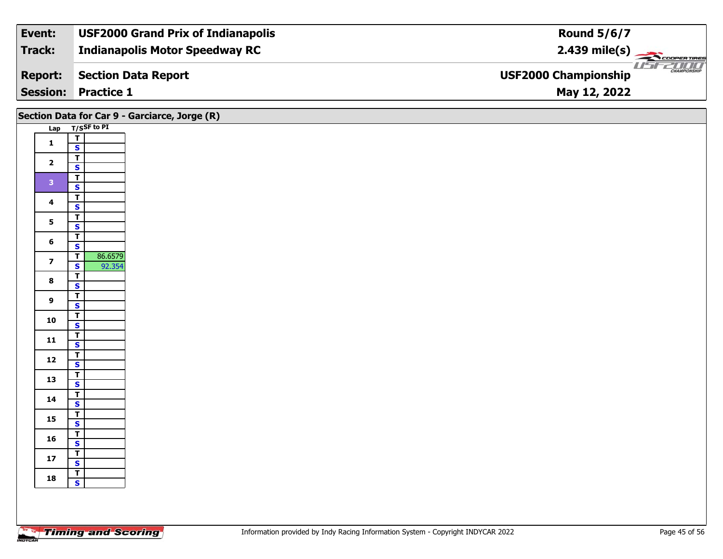| Event:          | <b>USF2000 Grand Prix of Indianapolis</b> | <b>Round 5/6/7</b>                                 |
|-----------------|-------------------------------------------|----------------------------------------------------|
| Track:          | <b>Indianapolis Motor Speedway RC</b>     | $2.439$ mile(s) $\sum_{\text{Cooperimes}}$         |
| <b>Report:</b>  | Section Data Report                       | <b>CHAMPIONSHIP</b><br><b>USF2000 Championship</b> |
| <b>Session:</b> | <b>Practice 1</b>                         | May 12, 2022                                       |

|                         | Section Data for Car 9 - Garciarce, Jorge (R)      |
|-------------------------|----------------------------------------------------|
|                         | Lap T/SSF to PI                                    |
| $\mathbf{1}$            | $\overline{I}$                                     |
|                         | $\mathbf{s}$                                       |
| $\overline{\mathbf{2}}$ | $\overline{\mathsf{r}}$<br>$\mathbf{s}$            |
|                         | $\overline{\mathbf{r}}$                            |
| $\mathbf{3}$            | $\overline{\mathbf{s}}$                            |
|                         | $\overline{\mathsf{T}}$                            |
| $\overline{\mathbf{4}}$ | $\mathsf{s}$                                       |
| $5\phantom{a}$          | $\overline{\mathsf{T}}$                            |
|                         | $\overline{\mathbf{s}}$                            |
| $6\phantom{1}$          | $\overline{\mathbf{r}}$<br>$\mathsf{s}$            |
|                         | 86.6579<br>$\overline{\mathsf{T}}$                 |
| $\overline{\mathbf{z}}$ | $\overline{\mathbf{s}}$<br>92.354                  |
| $\bf8$                  | $\overline{\mathbf{r}}$                            |
|                         | $\overline{\mathbf{s}}$                            |
| $\overline{9}$          | $\overline{\mathsf{T}}$                            |
|                         | $\mathbf{s}$<br>$\overline{\mathbf{T}}$            |
| 10                      | $\overline{\mathbf{s}}$                            |
|                         | $\overline{\mathbf{T}}$                            |
| 11                      | $\mathsf{s}$                                       |
| $12$                    | $\overline{\mathsf{T}}$                            |
|                         | $\overline{\mathbf{s}}$                            |
| 13                      | $\overline{\mathbf{r}}$<br>$\overline{\mathbf{s}}$ |
|                         | $\overline{\mathsf{T}}$                            |
| 14                      | $\mathsf{s}$                                       |
| 15                      | $\mathbf{T}$                                       |
|                         | $\overline{\mathbf{s}}$                            |
| 16                      | $\frac{1}{S}$                                      |
|                         | $\overline{\mathbf{r}}$                            |
| $17$                    | $\overline{\mathbf{s}}$                            |
| 18                      | $rac{1}{s}$                                        |
|                         |                                                    |
|                         |                                                    |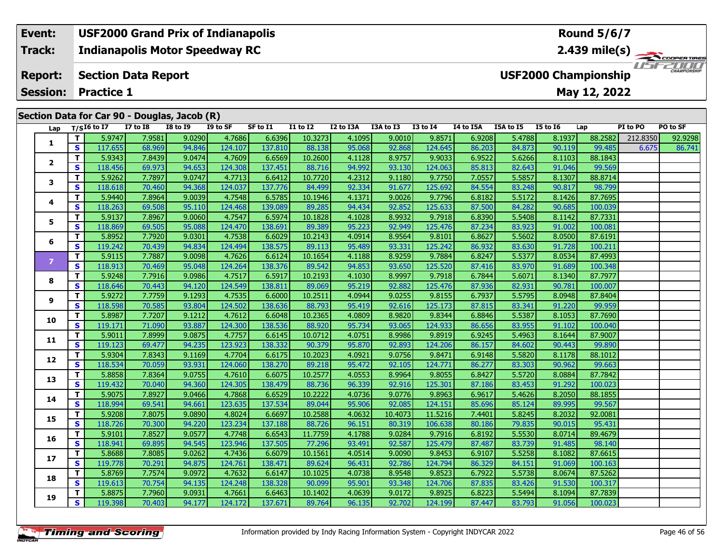#### **Event: USF2000 Grand Prix of Indianapolis Round 5/6/7Indianapolis Motor Speedway RC 2.439 mile(s) Track: ERTIRES** USFZOOD **Report: Section Data Report USF2000 Championship Session:May 12, 2022 Practice 1 Section Data for Car 90 - Douglas, Jacob (R)**

| Lap            |                         | $T/SI6$ to I7 | <b>I7 to I8</b> | <b>I8 to 19</b> | I9 to SF | SF to I1 | <b>I1 to I2</b> | I2 to I3A | I3A to I3 | I3 to I4 | I4 to I5A | I5A to I5 | I5 to I6 | Lap     | PI to PO | PO to SF |
|----------------|-------------------------|---------------|-----------------|-----------------|----------|----------|-----------------|-----------|-----------|----------|-----------|-----------|----------|---------|----------|----------|
|                | T.                      | 5.9747        | 7.9581          | 9.0290          | 4.7686   | 6.6396   | 10.3273         | 4.1095    | 9.0010    | 9.8571   | 6.9208    | 5.4788    | 8.1937   | 88.2582 | 212.8350 | 92.9298  |
| 1              | S.                      | 117.655       | 68.969          | 94.846          | 124.107  | 137.810  | 88.138          | 95.068    | 92.868    | 124.645  | 86.203    | 84.873    | 90.119   | 99.485  | 6.675    | 86.741   |
|                | T.                      | 5.9343        | 7.8439          | 9.0474          | 4.7609   | 6.6569   | 10.2600         | 4.1128    | 8.9757    | 9.9033   | 6.9522    | 5.6266    | 8.1103   | 88.1843 |          |          |
| $\mathbf{2}$   | S                       | 118.456       | 69.973          | 94.653          | 124.308  | 137.451  | 88.716          | 94.992    | 93.130    | 124.063  | 85.813    | 82.643    | 91.046   | 99.569  |          |          |
|                | T.                      | 5.9262        | 7.7897          | 9.0747          | 4.7713   | 6.6412   | 10.7720         | 4.2312    | 9.1180    | 9.7750   | 7.0557    | 5.5857    | 8.1307   | 88.8714 |          |          |
| 3              | S.                      | 118.618       | 70.460          | 94.368          | 124.037  | 137.776  | 84.499          | 92.334    | 91.677    | 125.692  | 84.554    | 83.248    | 90.817   | 98.799  |          |          |
|                | T.                      | 5.9440        | 7.8964          | 9.0039          | 4.7548   | 6.5785   | 10.1946         | 4.1371    | 9.0026    | 9.7796   | 6.8182    | 5.5172    | 8.1426   | 87.7695 |          |          |
| 4              | $\mathbf{s}$            | 118.263       | 69.508          | 95.110          | 124.468  | 139.089  | 89.285          | 94.434    | 92.852    | 125.633  | 87.500    | 84.282    | 90.685   | 100.039 |          |          |
|                | T.                      | 5.9137        | 7.8967          | 9.0060          | 4.7547   | 6.5974   | 10.1828         | 4.1028    | 8.9932    | 9.7918   | 6.8390    | 5.5408    | 8.1142   | 87.7331 |          |          |
| 5              | S                       | 118.869       | 69.505          | 95.088          | 124.470  | 138.691  | 89.389          | 95.223    | 92.949    | 125.476  | 87.234    | 83.923    | 91.002   | 100.081 |          |          |
|                | T.                      | 5.8952        | 7.7920          | 9.0301          | 4.7538   | 6.6029   | 10.2143         | 4.0914    | 8.9564    | 9.8101   | 6.8627    | 5.5602    | 8.0500   | 87.6191 |          |          |
| 6              | $\mathbf{s}$            | 119.242       | 70.439          | 94.834          | 124.494  | 138.575  | 89.113          | 95.489    | 93.331    | 125.242  | 86.932    | 83.630    | 91.728   | 100.211 |          |          |
|                | T.                      | 5.9115        | 7.7887          | 9.0098          | 4.7626   | 6.6124   | 10.1654         | 4.1188    | 8.9259    | 9.7884   | 6.8247    | 5.5377    | 8.0534   | 87.4993 |          |          |
| $\overline{7}$ | S                       | 118.913       | 70.469          | 95.048          | 124.264  | 138.376  | 89.542          | 94.853    | 93.650    | 125.520  | 87.416    | 83.970    | 91.689   | 100.348 |          |          |
|                | т                       | 5.9248        | 7.7916          | 9.0986          | 4.7517   | 6.5917   | 10.2193         | 4.1030    | 8.9997    | 9.7918   | 6.7844    | 5.6071    | 8.1340   | 87.7977 |          |          |
| 8              | $\mathbf{s}$            | 118.646       | 70.443          | 94.120          | 124.549  | 138.811  | 89.069          | 95.219    | 92.882    | 125.476  | 87.936    | 82.931    | 90.781   | 100.007 |          |          |
|                | T.                      | 5.9272        | 7.7759          | 9.1293          | 4.7535   | 6.6000   | 10.2511         | 4.0944    | 9.0255    | 9.8155   | 6.7937    | 5.5795    | 8.0948   | 87.8404 |          |          |
| 9              | S                       | 118.598       | 70.585          | 93.804          | 124.502  | 138.636  | 88.793          | 95.419    | 92.616    | 125.173  | 87.815    | 83.341    | 91.220   | 99.959  |          |          |
| 10             | T                       | 5.8987        | 7.7207          | 9.1212          | 4.7612   | 6.6048   | 10.2365         | 4.0809    | 8.9820    | 9.8344   | 6.8846    | 5.5387    | 8.1053   | 87.7690 |          |          |
|                | $\mathbf{s}$            | 119.171       | 71.090          | 93.887          | 124.300  | 138.536  | 88.920          | 95.734    | 93.065    | 124.933  | 86.656    | 83.955    | 91.102   | 100.040 |          |          |
| 11             | T.                      | 5.9011        | 7.8999          | 9.0875          | 4.7757   | 6.6145   | 10.0712         | 4.0751    | 8.9986    | 9.8919   | 6.9245    | 5.4963    | 8.1644   | 87.9007 |          |          |
|                | S                       | 119.123       | 69.477          | 94.235          | 123.923  | 138.332  | 90.379          | 95.870    | 92.893    | 124.206  | 86.157    | 84.602    | 90.443   | 99.890  |          |          |
| 12             | т                       | 5.9304        | 7.8343          | 9.1169          | 4.7704   | 6.6175   | 10.2023         | 4.0921    | 9.0756    | 9.8471   | 6.9148    | 5.5820    | 8.1178   | 88.1012 |          |          |
|                | $\mathbf{s}$            | 118.534       | 70.059          | 93.931          | 124.060  | 138.270  | 89.218          | 95.472    | 92.105    | 124.771  | 86.277    | 83.303    | 90.962   | 99.663  |          |          |
| 13             | T.                      | 5.8858        | 7.8364          | 9.0755          | 4.7610   | 6.6075   | 10.2577         | 4.0553    | 8.9964    | 9.8055   | 6.8427    | 5.5720    | 8.0884   | 87.7842 |          |          |
|                | S                       | 119.432       | 70.040          | 94.360          | 124.305  | 138.479  | 88.736          | 96.339    | 92.916    | 125.301  | 87.186    | 83.453    | 91.292   | 100.023 |          |          |
| 14             | T.                      | 5.9075        | 7.8927          | 9.0466          | 4.7868   | 6.6529   | 10.2222         | 4.0736    | 9.0776    | 9.8963   | 6.9617    | 5.4626    | 8.2050   | 88.1855 |          |          |
|                | $\mathbf{s}$            | 118.994       | 69.541          | 94.661          | 123.635  | 137.534  | 89.044          | 95.906    | 92.085    | 124.151  | 85.696    | 85.124    | 89.995   | 99.567  |          |          |
| 15             | T.                      | 5.9208        | 7.8075          | 9.0890          | 4.8024   | 6.6697   | 10.2588         | 4.0632    | 10.4073   | 11.5216  | 7.4401    | 5.8245    | 8.2032   | 92.0081 |          |          |
|                | S                       | 118.726       | 70.300          | 94.220          | 123.234  | 137.188  | 88.726          | 96.151    | 80.319    | 106.638  | 80.186    | 79.835    | 90.015   | 95.431  |          |          |
| 16             | т                       | 5.9101        | 7.8527          | 9.0577          | 4.7748   | 6.6543   | 11.7759         | 4.1788    | 9.0284    | 9.7916   | 6.8192    | 5.5530    | 8.0714   | 89.4679 |          |          |
|                | $\overline{\mathbf{s}}$ | 118.941       | 69.895          | 94.545          | 123.946  | 137.505  | 77.296          | 93.491    | 92.587    | 125.479  | 87.487    | 83.739    | 91.485   | 98.140  |          |          |
| 17             | T.                      | 5.8688        | 7.8085          | 9.0262          | 4.7436   | 6.6079   | 10.1561         | 4.0514    | 9.0090    | 9.8453   | 6.9107    | 5.5258    | 8.1082   | 87.6615 |          |          |
|                | $\mathbf{s}$            | 119.778       | 70.291          | 94.875          | 124.761  | 138.471  | 89.624          | 96.431    | 92.786    | 124.794  | 86.329    | 84.151    | 91.069   | 100.163 |          |          |
| 18             | T.                      | 5.8769        | 7.7574          | 9.0972          | 4.7632   | 6.6147   | 10.1025         | 4.0738    | 8.9548    | 9.8523   | 6.7922    | 5.5738    | 8.0674   | 87.5262 |          |          |
|                | $\mathbf{s}$            | 119.613       | 70.754          | 94.135          | 124.248  | 138.328  | 90.099          | 95.901    | 93.348    | 124.706  | 87.835    | 83.426    | 91.530   | 100.317 |          |          |
| 19             | T.                      | 5.8875        | 7.7960          | 9.0931          | 4.7661   | 6.6463   | 10.1402         | 4.0639    | 9.0172    | 9.8925   | 6.8223    | 5.5494    | 8.1094   | 87.7839 |          |          |
|                | S                       | 119.398       | 70.403          | 94.177          | 124.172  | 137.671  | 89.764          | 96.135    | 92.702    | 124.199  | 87.447    | 83.793    | 91.056   | 100.023 |          |          |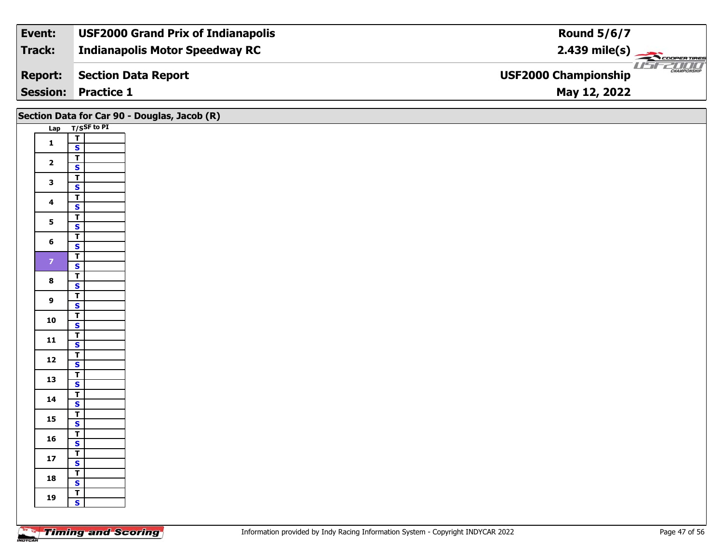| Event:          | <b>USF2000 Grand Prix of Indianapolis</b> | <b>Round 5/6/7</b>                                 |
|-----------------|-------------------------------------------|----------------------------------------------------|
| Track:          | <b>Indianapolis Motor Speedway RC</b>     | $2.439$ mile(s) $\sum_{\text{Cooperimes}}$         |
| <b>Report:</b>  | Section Data Report                       | <b>CHAMPIONSHIP</b><br><b>USF2000 Championship</b> |
| <b>Session:</b> | <b>Practice 1</b>                         | May 12, 2022                                       |

|                         | Section Data for Car 90 - Douglas, Jacob (R)       |
|-------------------------|----------------------------------------------------|
|                         | Lap T/SSF to PI                                    |
| $\mathbf{1}$            | $\mathbf{T}$<br>$\mathsf{s}$                       |
|                         | $\mathbf{T}$                                       |
| $\overline{\mathbf{2}}$ | $\overline{\mathbf{s}}$                            |
|                         | $\overline{t}$                                     |
| $\mathbf{3}$            | $\overline{\mathbf{s}}$                            |
| $\overline{\mathbf{4}}$ | $\overline{\mathsf{T}}$                            |
|                         | $\mathsf{s}$<br>$\overline{1}$                     |
| $5\phantom{a}$          | $\overline{\mathbf{s}}$                            |
|                         | $\overline{\mathbf{r}}$                            |
| $6\phantom{a}$          | $\mathbf{s}$                                       |
| $\mathbf{Z}$            | $\overline{1}$                                     |
|                         | $\overline{\mathbf{s}}$                            |
| $\bf{8}$                | $\overline{r}$<br>$\overline{\mathbf{s}}$          |
|                         | $\overline{\mathsf{T}}$                            |
| $\overline{9}$          | $\mathbf{s}$                                       |
| 10                      | $\overline{\mathbf{r}}$                            |
|                         | $\overline{\mathbf{s}}$                            |
| ${\bf 11}$              | $\overline{\mathbf{r}}$<br>$\overline{\mathbf{s}}$ |
|                         |                                                    |
| $12$                    | $\frac{T}{S}$                                      |
| 13                      | $\frac{1}{s}$                                      |
|                         |                                                    |
| 14                      | $\overline{\mathsf{r}}$<br>$\mathbf{s}$            |
|                         | $\overline{1}$                                     |
| 15                      | $\overline{\mathbf{s}}$                            |
| 16                      | $\overline{\mathbf{r}}$                            |
|                         | $\mathsf{s}$                                       |
| $17$                    | $\mathbf{T}$                                       |
|                         | $\mathbf{s}$                                       |
| 18                      | $rac{1}{s}$                                        |
|                         | $\mathbf{T}$                                       |
| 19                      | $\mathsf{s}$                                       |
|                         |                                                    |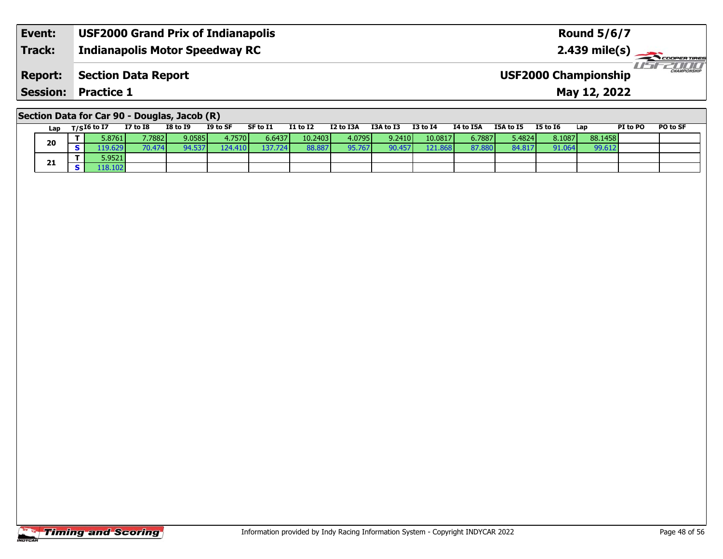| Event:         | <b>USF2000 Grand Prix of Indianapolis</b> | <b>Round 5/6/7</b>                                                   |
|----------------|-------------------------------------------|----------------------------------------------------------------------|
| Track:         | <b>Indianapolis Motor Speedway RC</b>     | $2.439$ mile(s) $\overbrace{\hspace{2.5cm}}$ COOPER TIRE             |
| <b>Report:</b> | Section Data Report                       | <i>IFFZOOD</i><br><b>CHAMPIONSHIP</b><br><b>USF2000 Championship</b> |
|                | <b>Session: Practice 1</b>                | May 12, 2022                                                         |

## **Section Data for Car 90 - Douglas, Jacob (R)**

| Lap | T/SI6 to I7 | I7 to I8 | <b>I8 to I9</b> | I9 to SF | SF to I1 | <b>I1 to I2</b> | I2 to I3A | I3A to I3     | <b>I3 to I4</b> | <b>I4 to I5A</b> | I5A to I5 | <b>I5 to I6</b> | Lap     | <b>PI to PO</b> | PO to SF |
|-----|-------------|----------|-----------------|----------|----------|-----------------|-----------|---------------|-----------------|------------------|-----------|-----------------|---------|-----------------|----------|
| 20  | 5.8761      | 7.7882   | 9.0585          | 4.7570 l | 6.6437   | 10.2403         | 4.0795    | 9.2410        | 10.0817         | 6.7887           | 5.4824    | 8.1087          | 88.1458 |                 |          |
|     | 19.6291     | 70.474   | 94.537          | 124.410  | I37.724  | 88.887          | 95.767    | <b>QO 457</b> | 121.868         | 87.880           | 84.817    | 91.064          | 99.612  |                 |          |
|     | 5.9521      |          |                 |          |          |                 |           |               |                 |                  |           |                 |         |                 |          |
| 21  | 18.102      |          |                 |          |          |                 |           |               |                 |                  |           |                 |         |                 |          |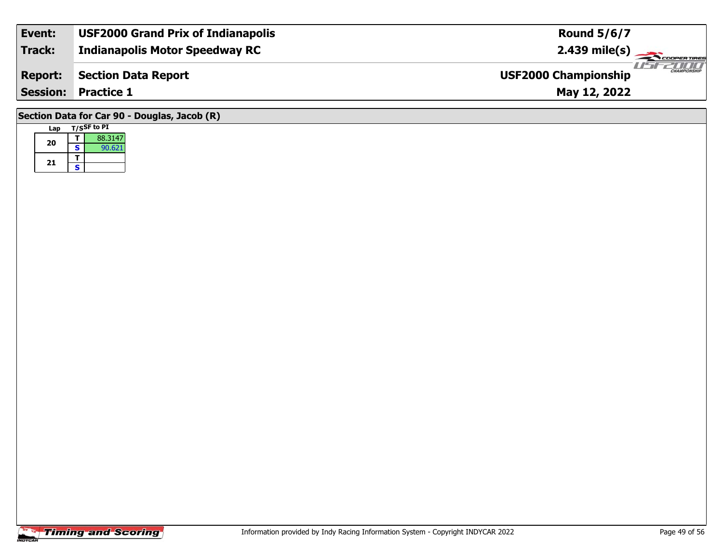| Event:         | <b>USF2000 Grand Prix of Indianapolis</b>    | <b>Round 5/6/7</b>                                 |  |  |  |  |  |  |
|----------------|----------------------------------------------|----------------------------------------------------|--|--|--|--|--|--|
| <b>Track:</b>  | <b>Indianapolis Motor Speedway RC</b>        |                                                    |  |  |  |  |  |  |
| <b>Report:</b> | <b>Section Data Report</b>                   | <b>CHAMPIONSHIP</b><br><b>USF2000 Championship</b> |  |  |  |  |  |  |
|                | <b>Session: Practice 1</b>                   | May 12, 2022                                       |  |  |  |  |  |  |
|                | Section Data for Car 90 - Douglas, Jacob (R) |                                                    |  |  |  |  |  |  |

## **Timing and Scoring**

**Lap T/SSF to PI** 

**TS**

**a T** 88.3147<br>**S** 90.621

**20**

**21**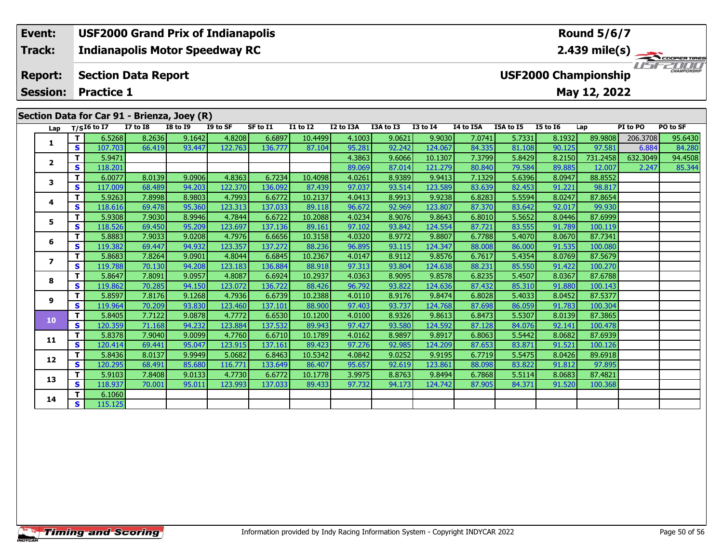### **Event: USF2000 Grand Prix of Indianapolis Round 5/6/72.439 mile(s) Track:Indianapolis Motor Speedway RC** 11515211111 **Report: Section Data Report USF2000 Championship May 12, 2022 Session: Practice 1 Section Data for Car 91 - Brienza, Joey (R)**<br>Lap T/SI6 to I7 I7 to I8 I8 to I9 I9 **Lap T/SI6 to I7 I7 to I8 I8 to I9 I9 to SF SF to I1 I1 to I2 I2 to I3A I3A to I3 I3 to I4 I4 to I5A I5A to I5 I5 to I6 Lap PI to PO PO to SF**

| 1                       |   | 6.5268  | 8.2636 | 9.1642 | 4.82081 | 6.6897  | 10.44991 | 4.1003 | 9.0621 | 9.9030  | 7.0741 | 5.7331 | 8.1932 | 89.9808  | 206.3708 | 95.6430 |
|-------------------------|---|---------|--------|--------|---------|---------|----------|--------|--------|---------|--------|--------|--------|----------|----------|---------|
|                         | s | 107.703 | 66.419 | 93.447 | 122.763 | 136.777 | 87.104   | 95.281 | 92.242 | 124.067 | 84.335 | 81.108 | 90.125 | 97.581   | 6.884    | 84.280  |
| $\overline{\mathbf{2}}$ | т | 5.9471  |        |        |         |         |          | 4.3863 | 9.6066 | 10.1307 | 7.3799 | 5.8429 | 8.2150 | 731.2458 | 632.3049 | 94.4508 |
|                         | S | 118.201 |        |        |         |         |          | 89.069 | 87.014 | 121.279 | 80.840 | 79.584 | 89.885 | 12.007   | 2.247    | 85.344  |
| 3                       | т | 6.0077  | 8.0139 | 9.0906 | 4.8363  | 6.7234  | 10.4098  | 4.0261 | 8.9389 | 9.9413  | 7.1329 | 5.6396 | 8.0947 | 88.8552  |          |         |
|                         | S | 117.009 | 68.489 | 94.203 | 122.370 | 136.092 | 87.439   | 97.037 | 93.514 | 123.589 | 83.639 | 82.453 | 91.221 | 98.817   |          |         |
| 4                       | т | 5.9263  | 7.8998 | 8.9803 | 4.7993  | 6.6772  | 10.2137  | 4.0413 | 8.9913 | 9.9238  | 6.8283 | 5.5594 | 8.0247 | 87.8654  |          |         |
|                         | S | 118.616 | 69.478 | 95.360 | 123.313 | 137.033 | 89.118   | 96.672 | 92.969 | 123.807 | 87.370 | 83.642 | 92.017 | 99.930   |          |         |
| 5                       | т | 5.9308  | 7.9030 | 8.9946 | 4.7844  | 6.6722  | 10.2088  | 4.0234 | 8.9076 | 9.8643  | 6.8010 | 5.5652 | 8.0446 | 87.6999  |          |         |
|                         | S | 118.526 | 69.450 | 95.209 | 123.697 | 137.136 | 89.161   | 97.102 | 93.842 | 124.554 | 87.721 | 83.555 | 91.789 | 100.119  |          |         |
| 6                       | т | 5.8883  | 7.9033 | 9.0208 | 4.7976  | 6.6656  | 10.3158  | 4.0320 | 8.9772 | 9.8807  | 6.7788 | 5.4070 | 8.0670 | 87.7341  |          |         |
|                         | S | 119.382 | 69.447 | 94.932 | 123.357 | 137.272 | 88.236   | 96.895 | 93.115 | 124.347 | 88.008 | 86.000 | 91.535 | 100.080  |          |         |
| 7                       | т | 5.8683  | 7.8264 | 9.0901 | 4.8044  | 6.6845  | 10.2367  | 4.0147 | 8.9112 | 9.8576  | 6.7617 | 5.4354 | 8.0769 | 87.5679  |          |         |
|                         | S | 119.788 | 70.130 | 94.208 | 123.183 | 136.884 | 88.918   | 97.313 | 93.804 | 124.638 | 88.231 | 85.550 | 91.422 | 100.270  |          |         |
| 8                       | т | 5.8647  | 7.8091 | 9.0957 | 4.8087  | 6.6924  | 10.2937  | 4.0363 | 8.9095 | 9.8578  | 6.8235 | 5.4507 | 8.0367 | 87.6788  |          |         |
|                         | S | 119.862 | 70.285 | 94.150 | 123.072 | 136.722 | 88.426   | 96.792 | 93.822 | 124.636 | 87.432 | 85.310 | 91.880 | 100.143  |          |         |
| 9                       | т | 5.8597  | 7.8176 | 9.1268 | 4.7936  | 6.6739  | 10.2388  | 4.0110 | 8.9176 | 9.8474  | 6.8028 | 5.4033 | 8.0452 | 87.5377  |          |         |
|                         | S | 119.964 | 70.209 | 93.830 | 123.460 | 137.101 | 88.900   | 97.403 | 93.737 | 124.768 | 87.698 | 86.059 | 91.783 | 100.304  |          |         |
| 10                      | т | 5.8405  | 7.7122 | 9.0878 | 4.7772  | 6.6530  | 10.1200  | 4.0100 | 8.9326 | 9.8613  | 6.8473 | 5.5307 | 8.0139 | 87.3865  |          |         |
|                         | S | 120.359 | 71.168 | 94.232 | 123.884 | 137.532 | 89.943   | 97.427 | 93.580 | 124.592 | 87.128 | 84.076 | 92.141 | 100.478  |          |         |
| 11                      | т | 5.8378  | 7.9040 | 9.0099 | 4.7760  | 6.6710  | 10.1789  | 4.0162 | 8.9897 | 9.8917  | 6.8063 | 5.5442 | 8.0682 | 87.6939  |          |         |
|                         | S | 120.414 | 69.441 | 95.047 | 123.915 | 137.161 | 89.423   | 97.276 | 92.985 | 124.209 | 87.653 | 83.871 | 91.521 | 100.126  |          |         |
| 12                      | т | 5.8436  | 8.0137 | 9.9949 | 5.0682  | 6.8463  | 10.5342  | 4.0842 | 9.0252 | 9.9195  | 6.7719 | 5.5475 | 8.0426 | 89.6918  |          |         |
|                         | S | 120.295 | 68.491 | 85.680 | 116.771 | 133.649 | 86.407   | 95.657 | 92.619 | 123.861 | 88.098 | 83.822 | 91.812 | 97.895   |          |         |
| 13                      | т | 5.9103  | 7.8408 | 9.0133 | 4.7730  | 6.6772  | 10.1778  | 3.9975 | 8.8763 | 9.8494  | 6.7868 | 5.5114 | 8.0683 | 87.4821  |          |         |
|                         | S | 118.937 | 70.001 | 95.011 | 123.993 | 137.033 | 89.433   | 97.732 | 94.173 | 124.742 | 87.905 | 84.371 | 91.520 | 100.368  |          |         |
| 14                      | т | 6.1060  |        |        |         |         |          |        |        |         |        |        |        |          |          |         |
|                         | S | 115.125 |        |        |         |         |          |        |        |         |        |        |        |          |          |         |
|                         |   |         |        |        |         |         |          |        |        |         |        |        |        |          |          |         |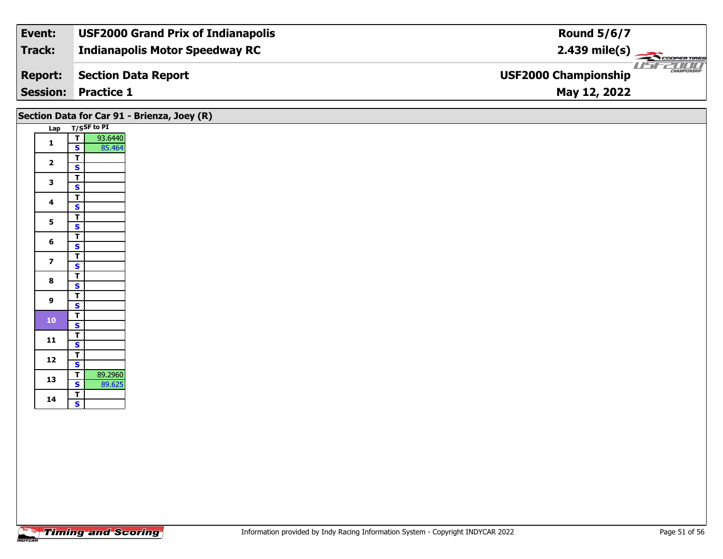| Event:         | <b>USF2000 Grand Prix of Indianapolis</b> | <b>Round 5/6/7</b>                                 |
|----------------|-------------------------------------------|----------------------------------------------------|
| Track:         | <b>Indianapolis Motor Speedway RC</b>     | $2.439 \text{ mile(s)}$                            |
| <b>Report:</b> | Section Data Report                       | <b>CHAMPIONSHIP</b><br><b>USF2000 Championship</b> |
|                | <b>Session: Practice 1</b>                | May 12, 2022                                       |

|                         |                                                              | Section Data for Car 91 - Brienza, Joey (R) |
|-------------------------|--------------------------------------------------------------|---------------------------------------------|
|                         | Lap T/SSF to PI                                              |                                             |
| $\mathbf{1}$            | $\overline{r}$<br>93.6440<br>85.464<br>$\mathbf{s}$          |                                             |
| $\overline{\mathbf{2}}$ | $\mathbf T$<br>$\mathbf{s}$                                  |                                             |
| $\mathbf{3}$            | $\overline{\mathbf{T}}$<br>$\overline{\mathbf{s}}$           |                                             |
| 4                       | $rac{1}{s}$                                                  |                                             |
| $5\phantom{a}$          | $\overline{\mathsf{T}}$<br>$\overline{\mathbf{s}}$           |                                             |
| 6                       | $\frac{1}{s}$                                                |                                             |
| $\overline{\mathbf{z}}$ | $\overline{\mathsf{T}}$<br>$\overline{\mathbf{s}}$           |                                             |
| 8                       | $\overline{\mathbf{r}}$<br>$\overline{\mathbf{s}}$           |                                             |
| $\boldsymbol{9}$        | $\overline{\mathsf{r}}$<br>$\overline{\mathbf{s}}$           |                                             |
| $\bf{10}$               | $\overline{\mathsf{T}}$<br>$\overline{\mathbf{s}}$           |                                             |
| 11                      | $\frac{1}{s}$                                                |                                             |
| 12                      | $\overline{I}$<br>$\mathbf{s}$                               |                                             |
| 13                      | 89.2960<br>$\overline{\mathbf{T}}$<br>$\mathbf{s}$<br>89.625 |                                             |
| 14                      | $rac{1}{s}$                                                  |                                             |
|                         |                                                              |                                             |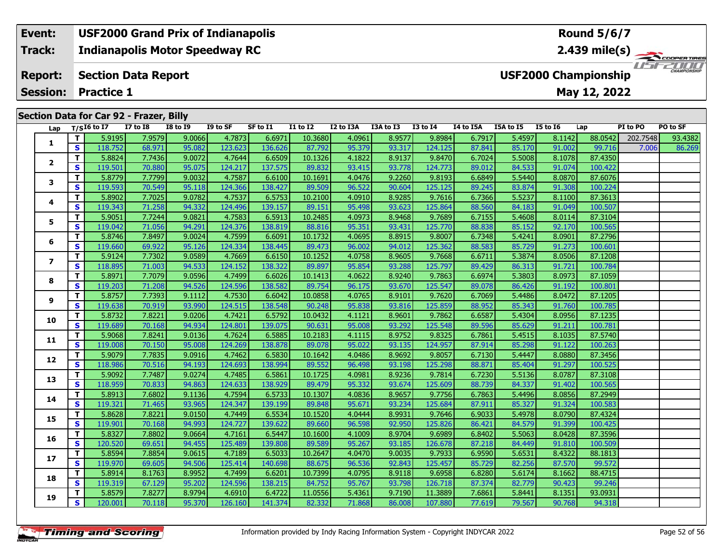## **Event: USF2000 Grand Prix of Indianapolis Round 5/6/7Indianapolis Motor Speedway RC 2.439 mile(s) Track:** TELECOPERTIRES **Report: Section Data Report USF2000 Championship May 12, 2022 Session: Practice 1 Section Data for Car 92 - Frazer, Billy Lap T/SI6 to I7 I7 to I8 I8 to I9 I9 to SF SF to I1 I1 to I2 I2 to I3A I3A to I3 I3 to I4 I4 to I5A I5A to I5 I5 to I6 Lap PI to PO PO to SF**

| Lap            |              | T/SI6 to I7 | <b>I7 to I8</b> | <b>I8 to I9</b> | I9 to SF | SF to I1 | I1 to I2 | I2 to I3A | I3A to I3 | <b>I3 to I4</b> | I4 to I5A | I5A to I5 | <b>I5 to 16</b> | Lap     | PI to PO | PO to SF |
|----------------|--------------|-------------|-----------------|-----------------|----------|----------|----------|-----------|-----------|-----------------|-----------|-----------|-----------------|---------|----------|----------|
| 1              | T.           | 5.9195      | 7.9579          | 9.0066          | 4.7873   | 6.6971   | 10.3680  | 4.0961    | 8.9577    | 9.8984          | 6.7917    | 5.4597    | 8.1142          | 88.0542 | 202.7548 | 93.4382  |
|                | S            | 118.752     | 68.971          | 95.082          | 123.623  | 136.626  | 87.792   | 95.379    | 93.317    | 124.125         | 87.841    | 85.170    | 91.002          | 99.716  | 7.006    | 86.269   |
| 2              | Τ.           | 5.8824      | 7.7436          | 9.0072          | 4.7644   | 6.6509   | 10.1326  | 4.1822    | 8.9137    | 9.8470          | 6.7024    | 5.5008    | 8.1078          | 87.4350 |          |          |
|                | S.           | 119.501     | 70.880          | 95.075          | 124.217  | 137.575  | 89.832   | 93.415    | 93.778    | 124.773         | 89.012    | 84.533    | 91.074          | 100.422 |          |          |
| 3              | T.           | 5.8779      | 7.7799          | 9.0032          | 4.7587   | 6.6100   | 10.1691  | 4.0476    | 9.2260    | 9.8193          | 6.6849    | 5.5440    | 8.0870          | 87.6076 |          |          |
|                | S            | 119.593     | 70.549          | 95.118          | 124.366  | 138.427  | 89.509   | 96.522    | 90.604    | 125.125         | 89.245    | 83.874    | 91.308          | 100.224 |          |          |
| 4              | T.           | 5.8902      | 7.7025          | 9.0782          | 4.7537   | 6.5753   | 10.2100  | 4.0910    | 8.9285    | 9.7616          | 6.7366    | 5.5237    | 8.1100          | 87.3613 |          |          |
|                | S            | 119.343     | 71.258          | 94.332          | 124.496  | 139.157  | 89.151   | 95.498    | 93.623    | 125.864         | 88.560    | 84.183    | 91.049          | 100.507 |          |          |
| 5              | T.           | 5.9051      | 7.7244          | 9.0821          | 4.7583   | 6.5913   | 10.2485  | 4.0973    | 8.9468    | 9.7689          | 6.7155    | 5.4608    | 8.0114          | 87.3104 |          |          |
|                | S            | 119.042     | 71.056          | 94.291          | 124.376  | 138.819  | 88.816   | 95.351    | 93.431    | 125.770         | 88.838    | 85.152    | 92.170          | 100.565 |          |          |
| 6              | T.           | 5.8746      | 7.8497          | 9.0024          | 4.7599   | 6.6091   | 10.1732  | 4.0695    | 8.8915    | 9.8007          | 6.7348    | 5.4241    | 8.0901          | 87.2796 |          |          |
|                | S            | 119.660     | 69.922          | 95.126          | 124.334  | 138.445  | 89.473   | 96.002    | 94.012    | 125.362         | 88.583    | 85.729    | 91.273          | 100.601 |          |          |
| $\overline{ }$ | T.           | 5.9124      | 7.7302          | 9.0589          | 4.7669   | 6.6150   | 10.1252  | 4.0758    | 8.9605    | 9.7668          | 6.6711    | 5.3874    | 8.0506          | 87.1208 |          |          |
|                | S.           | 118.895     | 71.003          | 94.533          | 124.152  | 138.322  | 89.897   | 95.854    | 93.288    | 125.797         | 89.429    | 86.313    | 91.721          | 100.784 |          |          |
| 8              | T.           | 5.8971      | 7.7079          | 9.0596          | 4.7499   | 6.6026   | 10.1413  | 4.0622    | 8.9240    | 9.7863          | 6.6974    | 5.3803    | 8.0973          | 87.1059 |          |          |
|                | S            | 119.203     | 71.208          | 94.526          | 124.596  | 138.582  | 89.754   | 96.175    | 93.670    | 125.547         | 89.078    | 86.426    | 91.192          | 100.801 |          |          |
| 9              | T.           | 5.8757      | 7.7393          | 9.1112          | 4.7530   | 6.6042   | 10.0858  | 4.0765    | 8.9101    | 9.7620          | 6.7069    | 5.4486    | 8.0472          | 87.1205 |          |          |
|                | S            | 119.638     | 70.919          | 93.990          | 124.515  | 138.548  | 90.248   | 95.838    | 93.816    | 125.859         | 88.952    | 85.343    | 91.760          | 100.785 |          |          |
| 10             | T.           | 5.8732      | 7.8221          | 9.0206          | 4.7421   | 6.5792   | 10.0432  | 4.1121    | 8.9601    | 9.7862          | 6.6587    | 5.4304    | 8.0956          | 87.1235 |          |          |
|                | S            | 119.689     | 70.168          | 94.934          | 124.801  | 139.075  | 90.631   | 95.008    | 93.292    | 125.548         | 89.596    | 85.629    | 91.211          | 100.781 |          |          |
| 11             | T.           | 5.9068      | 7.8241          | 9.0136          | 4.7624   | 6.5885   | 10.2183  | 4.1115    | 8.9752    | 9.8325          | 6.7861    | 5.4515    | 8.1035          | 87.5740 |          |          |
|                | S            | 119.008     | 70.150          | 95.008          | 124.269  | 138.878  | 89.078   | 95.022    | 93.135    | 124.957         | 87.914    | 85.298    | 91.122          | 100.263 |          |          |
| 12             | Τ.           | 5.9079      | 7.7835          | 9.0916          | 4.7462   | 6.5830   | 10.1642  | 4.0486    | 8.9692    | 9.8057          | 6.7130    | 5.4447    | 8.0880          | 87.3456 |          |          |
|                | S.           | 118.986     | 70.516          | 94.193          | 124.693  | 138.994  | 89.552   | 96.498    | 93.198    | 125.298         | 88.871    | 85.404    | 91.297          | 100.525 |          |          |
| 13             | T.           | 5.9092      | 7.7487          | 9.0274          | 4.7485   | 6.5861   | 10.1725  | 4.0981    | 8.9236    | 9.7814          | 6.7230    | 5.5136    | 8.0787          | 87.3108 |          |          |
|                | S            | 118.959     | 70.833          | 94.863          | 124.633  | 138.929  | 89.479   | 95.332    | 93.674    | 125.609         | 88.739    | 84.337    | 91.402          | 100.565 |          |          |
| 14             | T.           | 5.8913      | 7.6802          | 9.1136          | 4.7594   | 6.5733   | 10.1307  | 4.0836    | 8.9657    | 9.7756          | 6.7863    | 5.4496    | 8.0856          | 87.2949 |          |          |
|                | S            | 119.321     | 71.465          | 93.965          | 124.347  | 139.199  | 89.848   | 95.671    | 93.234    | 125.684         | 87.911    | 85.327    | 91.324          | 100.583 |          |          |
| 15             | $\mathbf{T}$ | 5.8628      | 7.8221          | 9.0150          | 4.7449   | 6.5534   | 10.1520  | 4.0444    | 8.9931    | 9.7646          | 6.9033    | 5.4978    | 8.0790          | 87.4324 |          |          |
|                | S            | 119.901     | 70.168          | 94.993          | 124.727  | 139.622  | 89.660   | 96.598    | 92.950    | 125.826         | 86.421    | 84.579    | 91.399          | 100.425 |          |          |
| 16             | T.           | 5.8327      | 7.8802          | 9.0664          | 4.7161   | 6.5447   | 10.1600  | 4.1009    | 8.9704    | 9.6989          | 6.8402    | 5.5063    | 8.0428          | 87.3596 |          |          |
|                | S            | 120.520     | 69.651          | 94.455          | 125.489  | 139.808  | 89.589   | 95.267    | 93.185    | 126.678         | 87.218    | 84.449    | 91.810          | 100.509 |          |          |
| 17             | T.           | 5.8594      | 7.8854          | 9.0615          | 4.7189   | 6.5033   | 10.2647  | 4.0470    | 9.0035    | 9.7933          | 6.9590    | 5.6531    | 8.4322          | 88.1813 |          |          |
|                | S.           | 119.970     | 69.605          | 94.506          | 125.414  | 140.698  | 88.675   | 96.536    | 92.843    | 125.457         | 85.729    | 82.256    | 87.570          | 99.572  |          |          |
| 18             | T.           | 5.8914      | 8.1763          | 8.9952          | 4.7499   | 6.6201   | 10.7399  | 4.0795    | 8.9118    | 9.6958          | 6.8280    | 5.6174    | 8.1662          | 88.4715 |          |          |
|                | S            | 119.319     | 67.129          | 95.202          | 124.596  | 138.215  | 84.752   | 95.767    | 93.798    | 126.718         | 87.374    | 82.779    | 90.423          | 99.246  |          |          |
| 19             | T.           | 5.8579      | 7.8277          | 8.9794          | 4.6910   | 6.4722   | 11.0556  | 5.4361    | 9.7190    | 11.3889         | 7.6861    | 5.8441    | 8.1351          | 93.0931 |          |          |
|                | S.           | 120.001     | 70.118          | 95.370          | 126.160  | 141.374  | 82.332   | 71.868    | 86.008    | 107.880         | 77.619    | 79.567    | 90.768          | 94.318  |          |          |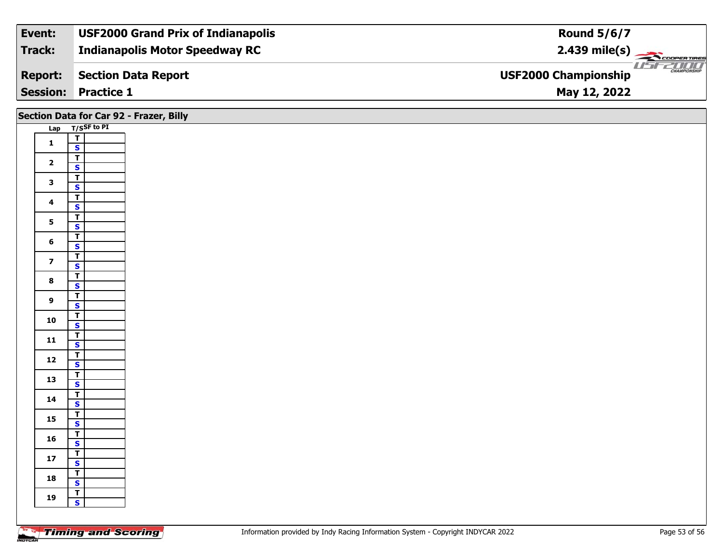| Event:         | <b>USF2000 Grand Prix of Indianapolis</b> | <b>Round 5/6/7</b>                           |
|----------------|-------------------------------------------|----------------------------------------------|
| Track:         | <b>Indianapolis Motor Speedway RC</b>     | $2.439 \text{ mile(s)}$                      |
| <b>Report:</b> | Section Data Report                       | $\frac{1}{1}$<br><b>USF2000 Championship</b> |
|                | <b>Session: Practice 1</b>                | May 12, 2022                                 |

|                         |                                         | Section Data for Car 92 - Frazer, Billy |
|-------------------------|-----------------------------------------|-----------------------------------------|
|                         | Lap T/SSF to PI                         |                                         |
| $\mathbf{1}$            | $\frac{1}{\sqrt{2}}$                    |                                         |
|                         |                                         |                                         |
| $\mathbf{2}$            | $\overline{1}$                          |                                         |
|                         | $\mathbf{s}$                            |                                         |
| $\mathbf{3}$            | $\overline{I}$                          |                                         |
|                         | $\overline{\mathbf{s}}$                 |                                         |
| $\overline{\mathbf{4}}$ | $\overline{\mathsf{T}}$<br>$\mathsf{s}$ |                                         |
|                         | $\overline{1}$                          |                                         |
| 5                       | $\overline{\mathbf{s}}$                 |                                         |
|                         | $\overline{\mathsf{T}}$                 |                                         |
| 6                       | $\mathbf{s}$                            |                                         |
| $\overline{\mathbf{z}}$ | $\overline{\mathsf{r}}$                 |                                         |
|                         | $\mathbf{s}$                            |                                         |
| $\bf{8}$                | $\overline{1}$                          |                                         |
|                         | $\mathbf{s}$                            |                                         |
| 9                       | $\overline{1}$<br>$\mathbf{s}$          |                                         |
|                         |                                         |                                         |
| ${\bf 10}$              | $rac{1}{s}$                             |                                         |
|                         | $\overline{r}$                          |                                         |
| 11                      | $\mathsf{s}$                            |                                         |
| $12$                    | $\overline{1}$                          |                                         |
|                         | $\mathbf{s}$                            |                                         |
| 13                      | $\frac{1}{s}$                           |                                         |
|                         |                                         |                                         |
| 14                      | $\mathbf{T}$<br>$\mathbf{s}$            |                                         |
|                         |                                         |                                         |
| $15\phantom{.0}$        | $rac{1}{s}$                             |                                         |
|                         |                                         |                                         |
| 16                      | $\frac{1}{s}$                           |                                         |
| $17\,$                  | $\mathbf{T}$                            |                                         |
|                         | $\mathbf{s}$                            |                                         |
| 18                      | $\frac{T}{S}$                           |                                         |
|                         | $\mathbf{T}$                            |                                         |
| 19                      | $\mathbf{s}$                            |                                         |
|                         |                                         |                                         |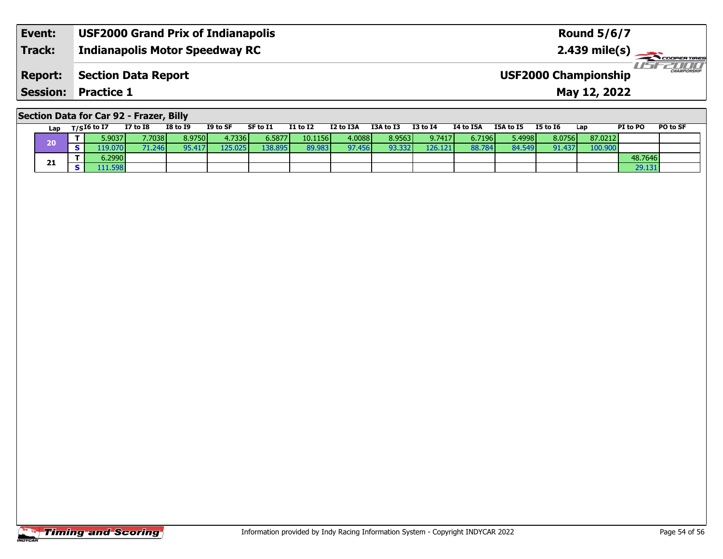| Event:          | <b>USF2000 Grand Prix of Indianapolis</b> | <b>Round 5/6/7</b>                                             |
|-----------------|-------------------------------------------|----------------------------------------------------------------|
| <b>Track:</b>   | <b>Indianapolis Motor Speedway RC</b>     | $2.439$ mile(s)                                                |
| Report:         | Section Data Report                       | IF-FAILE<br><b>CHAMPIONSHIP</b><br><b>USF2000 Championship</b> |
| <b>Session:</b> | <b>Practice 1</b>                         | May 12, 2022                                                   |

## **Section Data for Car 92 - Frazer, Billy**

| Lap | $T/SI6$ to I7   | <b>I7 to I8</b> | <b>I8 to I9</b> | I9 to SF         | SF to I1        | <b>I1 to I2</b> | I2 to I3A | <b>I3A to I3</b> | <b>I3 to I4</b> | <b>I4 to I5A</b> | I5A to I5 | <b>I5 to I6</b> | Lap     | PI to PO | PO to SF |
|-----|-----------------|-----------------|-----------------|------------------|-----------------|-----------------|-----------|------------------|-----------------|------------------|-----------|-----------------|---------|----------|----------|
| 20  | 5.9037 <b>l</b> | 7.7038          | 8.9750          | 4.7336 l         | 6.5877 <b>l</b> | 10.1156         | 4.00881   | 8.9563           | 9.7417          | 6.7196           | 5.4998    | 8.0756          | 87.0212 |          |          |
|     | .19.070         | '1.246          | 95.41           | 125.025<br>125 I | 138.8951        | 89.983          | 97.456    | 93.332           | 126.121         | 88.784           | 84.549    | .437<br>Ω1.     | 100.900 |          |          |
|     | 5.2990          |                 |                 |                  |                 |                 |           |                  |                 |                  |           |                 |         | 48.7646  |          |
| 21  | 111.598         |                 |                 |                  |                 |                 |           |                  |                 |                  |           |                 |         | 29.131   |          |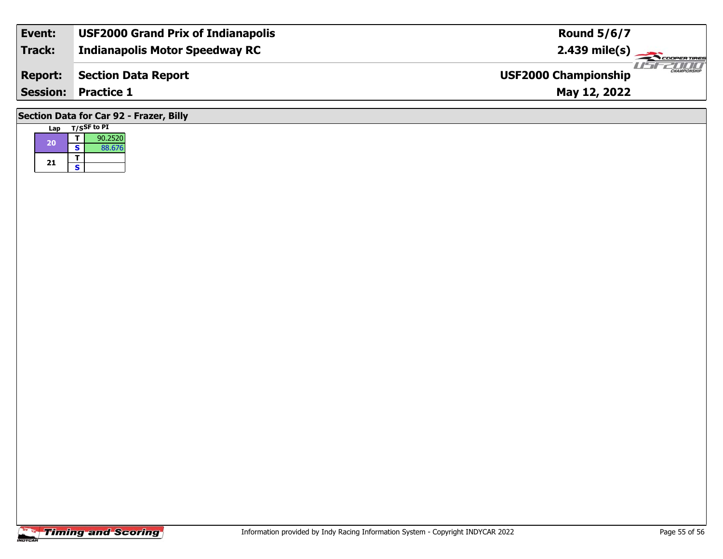| Event:                                  | <b>USF2000 Grand Prix of Indianapolis</b> | <b>Round 5/6/7</b>                                 |  |  |  |  |  |
|-----------------------------------------|-------------------------------------------|----------------------------------------------------|--|--|--|--|--|
| Track:                                  | <b>Indianapolis Motor Speedway RC</b>     |                                                    |  |  |  |  |  |
| <b>Report:</b>                          | <b>Section Data Report</b>                | <b>CHAMPIONSHIP</b><br><b>USF2000 Championship</b> |  |  |  |  |  |
|                                         | <b>Session: Practice 1</b>                | May 12, 2022                                       |  |  |  |  |  |
| Section Data for Car 92 - Frazer, Billy |                                           |                                                    |  |  |  |  |  |

| Lap |   | T/SSF to PI |
|-----|---|-------------|
| 20  |   | 90.2520     |
|     | S | 88.676      |
| 21  |   |             |
|     | S |             |